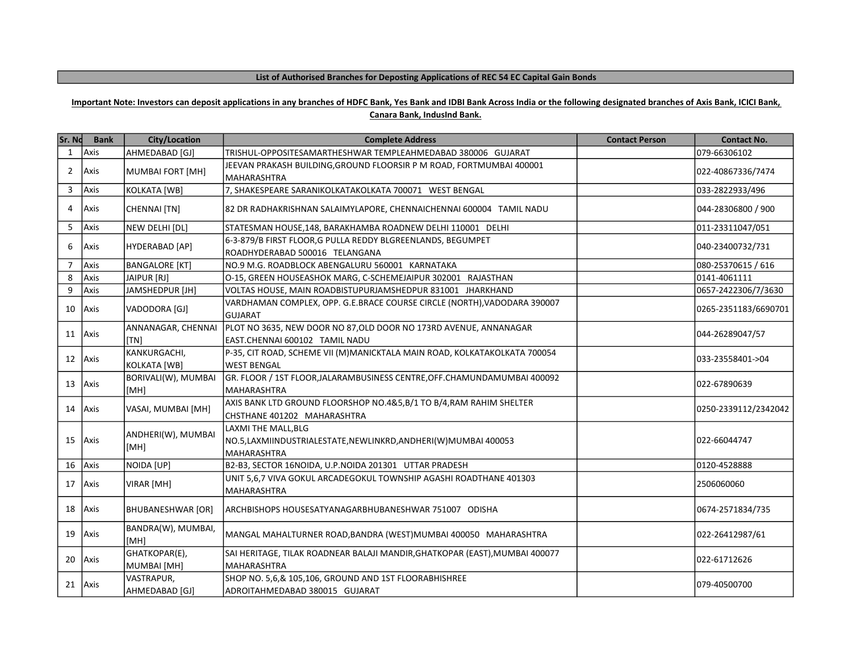## List of Authorised Branches for Deposting Applications of REC 54 EC Capital Gain Bonds

## Important Note: Investors can deposit applications in any branches of HDFC Bank, Yes Bank and IDBI Bank Across India or the following designated branches of Axis Bank, ICICI Bank,

| Canara Bank, IndusInd Bank. |
|-----------------------------|
|-----------------------------|

| Sr. Nd         | <b>Bank</b> | <b>City/Location</b>         | <b>Complete Address</b>                                                                                   | <b>Contact Person</b> | <b>Contact No.</b>   |
|----------------|-------------|------------------------------|-----------------------------------------------------------------------------------------------------------|-----------------------|----------------------|
| 1              | Axis        | AHMEDABAD [GJ]               | TRISHUL-OPPOSITESAMARTHESHWAR TEMPLEAHMEDABAD 380006 GUJARAT                                              |                       | 079-66306102         |
| $\overline{2}$ | <b>Axis</b> | MUMBAI FORT [MH]             | JEEVAN PRAKASH BUILDING, GROUND FLOORSIR P M ROAD, FORTMUMBAI 400001<br><b>IMAHARASHTRA</b>               |                       | 022-40867336/7474    |
| 3              | Axis        | KOLKATA [WB]                 | 7, SHAKESPEARE SARANIKOLKATAKOLKATA 700071 WEST BENGAL                                                    |                       | 033-2822933/496      |
| 4              | Axis        | <b>CHENNAI [TN]</b>          | 82 DR RADHAKRISHNAN SALAIMYLAPORE, CHENNAICHENNAI 600004 TAMIL NADU                                       |                       | 044-28306800 / 900   |
| 5              | Axis        | NEW DELHI [DL]               | STATESMAN HOUSE, 148, BARAKHAMBA ROADNEW DELHI 110001 DELHI                                               |                       | 011-23311047/051     |
| 6              | Axis        | HYDERABAD [AP]               | 6-3-879/B FIRST FLOOR, G PULLA REDDY BLGREENLANDS, BEGUMPET<br>ROADHYDERABAD 500016 TELANGANA             |                       | 040-23400732/731     |
| $\overline{7}$ | Axis        | <b>BANGALORE [KT]</b>        | NO.9 M.G. ROADBLOCK ABENGALURU 560001 KARNATAKA                                                           |                       | 080-25370615 / 616   |
| 8              | Axis        | JAIPUR [RJ]                  | O-15, GREEN HOUSEASHOK MARG, C-SCHEMEJAIPUR 302001 RAJASTHAN                                              |                       | 0141-4061111         |
| 9              | Axis        | JAMSHEDPUR [JH]              | VOLTAS HOUSE, MAIN ROADBISTUPURJAMSHEDPUR 831001 JHARKHAND                                                |                       | 0657-2422306/7/3630  |
| 10             | <b>Axis</b> | VADODORA [GJ]                | VARDHAMAN COMPLEX, OPP. G.E.BRACE COURSE CIRCLE (NORTH), VADODARA 390007<br><b>GUJARAT</b>                |                       | 0265-2351183/6690701 |
| 11             | Axis        | ANNANAGAR, CHENNAI<br>[TN]   | PLOT NO 3635, NEW DOOR NO 87, OLD DOOR NO 173RD AVENUE, ANNANAGAR<br>EAST.CHENNAI 600102 TAMIL NADU       |                       | 044-26289047/57      |
| 12             | Axis        | KANKURGACHI,<br>KOLKATA [WB] | P-35, CIT ROAD, SCHEME VII (M)MANICKTALA MAIN ROAD, KOLKATAKOLKATA 700054<br><b>WEST BENGAL</b>           |                       | l033-23558401->04    |
| 13             | <b>Axis</b> | BORIVALI(W), MUMBAI<br>[MH]  | GR. FLOOR / 1ST FLOOR, JALARAMBUSINESS CENTRE, OFF. CHAMUNDAMUMBAI 400092<br>MAHARASHTRA                  |                       | 1022-67890639        |
|                | 14 Axis     | VASAI, MUMBAI [MH]           | AXIS BANK LTD GROUND FLOORSHOP NO.4&5,B/1 TO B/4,RAM RAHIM SHELTER<br>CHSTHANE 401202 MAHARASHTRA         |                       | 0250-2339112/2342042 |
| 15             | Axis        | ANDHERI(W), MUMBAI<br>[MH]   | LAXMI THE MALL, BLG<br>NO.5,LAXMIINDUSTRIALESTATE,NEWLINKRD,ANDHERI(W)MUMBAI 400053<br><b>MAHARASHTRA</b> |                       | 022-66044747         |
| 16             | Axis        | NOIDA [UP]                   | B2-B3, SECTOR 16NOIDA, U.P.NOIDA 201301 UTTAR PRADESH                                                     |                       | 0120-4528888         |
|                | 17 Axis     | VIRAR [MH]                   | UNIT 5,6,7 VIVA GOKUL ARCADEGOKUL TOWNSHIP AGASHI ROADTHANE 401303<br><b>MAHARASHTRA</b>                  |                       | 2506060060           |
|                | 18 Axis     | <b>BHUBANESHWAR [OR]</b>     | ARCHBISHOPS HOUSESATYANAGARBHUBANESHWAR 751007 ODISHA                                                     |                       | 0674-2571834/735     |
|                | $19$ Axis   | BANDRA(W), MUMBAI,<br>[MH]   | MANGAL MAHALTURNER ROAD, BANDRA (WEST) MUMBAI 400050 MAHARASHTRA                                          |                       | 022-26412987/61      |
|                | 20 Axis     | GHATKOPAR(E),<br>MUMBAI [MH] | SAI HERITAGE, TILAK ROADNEAR BALAJI MANDIR, GHATKOPAR (EAST), MUMBAI 400077<br><b>MAHARASHTRA</b>         |                       | 022-61712626         |
|                | 21 Axis     | VASTRAPUR,<br>AHMEDABAD [GJ] | SHOP NO. 5,6,& 105,106, GROUND AND 1ST FLOORABHISHREE<br>ADROITAHMEDABAD 380015 GUJARAT                   |                       | 1079-40500700        |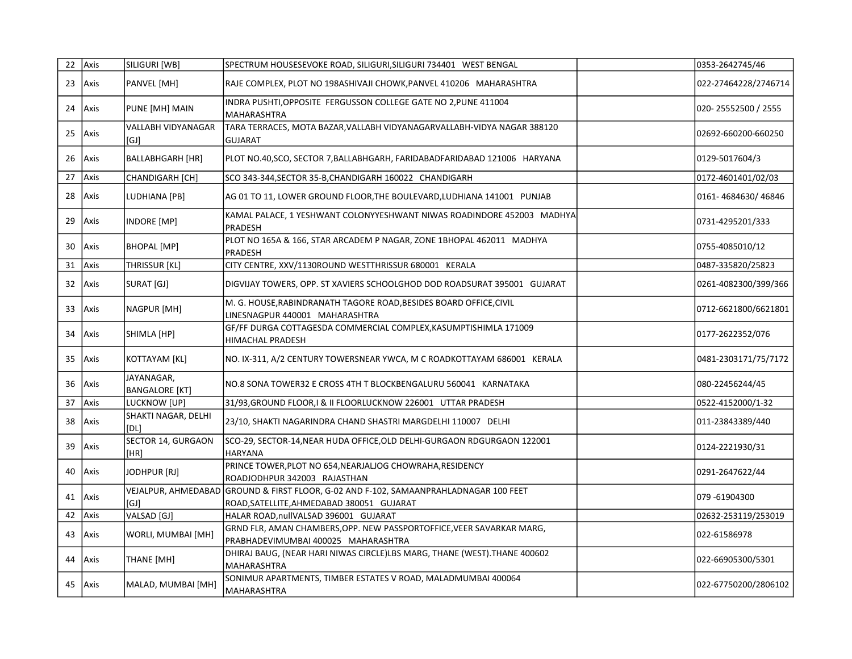|    | 22 Axis | SILIGURI [WB]                       | SPECTRUM HOUSESEVOKE ROAD, SILIGURI, SILIGURI 734401 WEST BENGAL                                                                   | 0353-2642745/46      |
|----|---------|-------------------------------------|------------------------------------------------------------------------------------------------------------------------------------|----------------------|
| 23 | Axis    | PANVEL [MH]                         | RAJE COMPLEX, PLOT NO 198ASHIVAJI CHOWK, PANVEL 410206 MAHARASHTRA                                                                 | 022-27464228/2746714 |
| 24 | Axis    | PUNE [MH] MAIN                      | INDRA PUSHTI, OPPOSITE FERGUSSON COLLEGE GATE NO 2, PUNE 411004<br>MAHARASHTRA                                                     | 020-25552500 / 2555  |
| 25 | Axis    | <b>VALLABH VIDYANAGAR</b><br>[GJ]   | TARA TERRACES, MOTA BAZAR, VALLABH VIDYANAGARVALLABH-VIDYA NAGAR 388120<br><b>GUJARAT</b>                                          | 02692-660200-660250  |
| 26 | Axis    | <b>BALLABHGARH [HR]</b>             | PLOT NO.40, SCO, SECTOR 7, BALLABHGARH, FARIDABADFARIDABAD 121006 HARYANA                                                          | 0129-5017604/3       |
| 27 | Axis    | CHANDIGARH [CH]                     | SCO 343-344, SECTOR 35-B, CHANDIGARH 160022 CHANDIGARH                                                                             | 0172-4601401/02/03   |
| 28 | Axis    | LUDHIANA [PB]                       | AG 01 TO 11, LOWER GROUND FLOOR, THE BOULEVARD, LUDHIANA 141001 PUNJAB                                                             | 0161-4684630/46846   |
| 29 | Axis    | INDORE [MP]                         | KAMAL PALACE, 1 YESHWANT COLONYYESHWANT NIWAS ROADINDORE 452003 MADHYA<br>PRADESH                                                  | 0731-4295201/333     |
| 30 | Axis    | BHOPAL [MP]                         | PLOT NO 165A & 166, STAR ARCADEM P NAGAR, ZONE 1BHOPAL 462011 MADHYA<br>PRADESH                                                    | 0755-4085010/12      |
| 31 | Axis    | THRISSUR [KL]                       | CITY CENTRE, XXV/1130ROUND WESTTHRISSUR 680001 KERALA                                                                              | 0487-335820/25823    |
| 32 | Axis    | SURAT [GJ]                          | DIGVIJAY TOWERS, OPP. ST XAVIERS SCHOOLGHOD DOD ROADSURAT 395001 GUJARAT                                                           | 0261-4082300/399/366 |
| 33 | Axis    | NAGPUR [MH]                         | M. G. HOUSE, RABINDRANATH TAGORE ROAD, BESIDES BOARD OFFICE, CIVIL<br>LINESNAGPUR 440001 MAHARASHTRA                               | 0712-6621800/6621801 |
| 34 | Axis    | SHIMLA [HP]                         | GF/FF DURGA COTTAGESDA COMMERCIAL COMPLEX, KASUMPTISHIMLA 171009<br>HIMACHAL PRADESH                                               | 0177-2622352/076     |
| 35 | Axis    | KOTTAYAM [KL]                       | NO. IX-311, A/2 CENTURY TOWERSNEAR YWCA, M C ROADKOTTAYAM 686001 KERALA                                                            | 0481-2303171/75/7172 |
| 36 | Axis    | JAYANAGAR,<br><b>BANGALORE [KT]</b> | NO.8 SONA TOWER32 E CROSS 4TH T BLOCKBENGALURU 560041 KARNATAKA                                                                    | 080-22456244/45      |
| 37 | Axis    | LUCKNOW [UP]                        | 31/93, GROUND FLOOR, I & II FLOORLUCKNOW 226001 UTTAR PRADESH                                                                      | 0522-4152000/1-32    |
| 38 | Axis    | SHAKTI NAGAR, DELHI<br><b>[DL]</b>  | 23/10, SHAKTI NAGARINDRA CHAND SHASTRI MARGDELHI 110007 DELHI                                                                      | 011-23843389/440     |
| 39 | Axis    | SECTOR 14, GURGAON<br>[HR]          | SCO-29, SECTOR-14, NEAR HUDA OFFICE, OLD DELHI-GURGAON RDGURGAON 122001<br><b>HARYANA</b>                                          | 0124-2221930/31      |
| 40 | Axis    | JODHPUR [RJ]                        | PRINCE TOWER, PLOT NO 654, NEARJALJOG CHOWRAHA, RESIDENCY<br>ROADJODHPUR 342003 RAJASTHAN                                          | 0291-2647622/44      |
|    | 41 Axis | [GJ]                                | VEJALPUR, AHMEDABAD GROUND & FIRST FLOOR, G-02 AND F-102, SAMAANPRAHLADNAGAR 100 FEET<br>ROAD, SATELLITE, AHMEDABAD 380051 GUJARAT | 079 -61904300        |
| 42 | Axis    | VALSAD [GJ]                         | HALAR ROAD, nullVALSAD 396001 GUJARAT                                                                                              | 02632-253119/253019  |
| 43 | Axis    | WORLI, MUMBAI [MH]                  | GRND FLR, AMAN CHAMBERS, OPP. NEW PASSPORTOFFICE, VEER SAVARKAR MARG,<br>PRABHADEVIMUMBAI 400025 MAHARASHTRA                       | 022-61586978         |
| 44 | Axis    | THANE [MH]                          | DHIRAJ BAUG, (NEAR HARI NIWAS CIRCLE)LBS MARG, THANE (WEST). THANE 400602<br>MAHARASHTRA                                           | 022-66905300/5301    |
|    | 45 Axis | MALAD, MUMBAI [MH]                  | SONIMUR APARTMENTS, TIMBER ESTATES V ROAD, MALADMUMBAI 400064<br>MAHARASHTRA                                                       | 022-67750200/2806102 |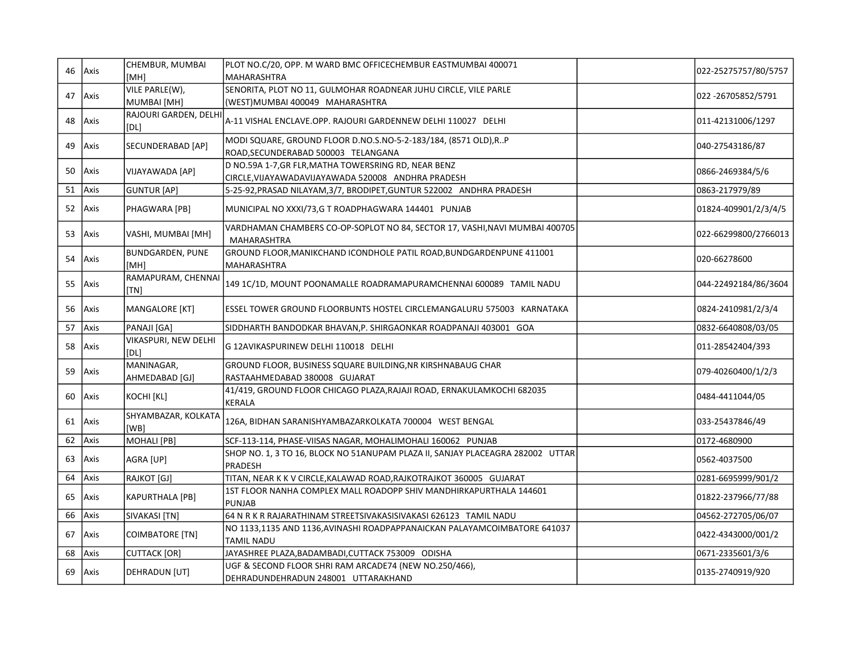|    | 46 Axis | CHEMBUR, MUMBAI               | PLOT NO.C/20, OPP. M WARD BMC OFFICECHEMBUR EASTMUMBAI 400071                                     | 022-25275757/80/5757 |
|----|---------|-------------------------------|---------------------------------------------------------------------------------------------------|----------------------|
|    |         | [MH]                          | MAHARASHTRA                                                                                       |                      |
|    | 47 Axis | VILE PARLE(W),                | SENORITA, PLOT NO 11, GULMOHAR ROADNEAR JUHU CIRCLE, VILE PARLE                                   | 022 -26705852/5791   |
|    |         | MUMBAI [MH]                   | (WEST) MUMBAI 400049 MAHARASHTRA                                                                  |                      |
|    | 48 Axis | RAJOURI GARDEN, DELHI<br>[DL] | A-11 VISHAL ENCLAVE.OPP. RAJOURI GARDENNEW DELHI 110027 DELHI                                     | 011-42131006/1297    |
| 49 | Axis    | SECUNDERABAD [AP]             | MODI SQUARE, GROUND FLOOR D.NO.S.NO-5-2-183/184, (8571 OLD), RP                                   | 040-27543186/87      |
|    |         |                               | ROAD, SECUNDERABAD 500003 TELANGANA                                                               |                      |
| 50 | Axis    | VIJAYAWADA [AP]               | D NO.59A 1-7, GR FLR, MATHA TOWERSRING RD, NEAR BENZ                                              | 0866-2469384/5/6     |
|    |         |                               | CIRCLE, VIJAYAWADAVIJAYAWADA 520008 ANDHRA PRADESH                                                |                      |
| 51 | Axis    | <b>GUNTUR [AP]</b>            | 5-25-92, PRASAD NILAYAM, 3/7, BRODIPET, GUNTUR 522002 ANDHRA PRADESH                              | 0863-217979/89       |
| 52 | Axis    | PHAGWARA [PB]                 | MUNICIPAL NO XXXI/73,G T ROADPHAGWARA 144401 PUNJAB                                               | 01824-409901/2/3/4/5 |
|    | 53 Axis | VASHI, MUMBAI [MH]            | VARDHAMAN CHAMBERS CO-OP-SOPLOT NO 84, SECTOR 17, VASHI, NAVI MUMBAI 400705<br><b>MAHARASHTRA</b> | 022-66299800/2766013 |
| 54 | Axis    | <b>BUNDGARDEN, PUNE</b>       | GROUND FLOOR, MANIKCHAND ICONDHOLE PATIL ROAD, BUNDGARDENPUNE 411001                              | 020-66278600         |
|    |         | [MH]                          | MAHARASHTRA                                                                                       |                      |
| 55 | Axis    | RAMAPURAM, CHENNAI<br>[TN]    | 149 1C/1D, MOUNT POONAMALLE ROADRAMAPURAMCHENNAI 600089 TAMIL NADU                                | 044-22492184/86/3604 |
| 56 | Axis    | MANGALORE [KT]                | ESSEL TOWER GROUND FLOORBUNTS HOSTEL CIRCLEMANGALURU 575003 KARNATAKA                             | 0824-2410981/2/3/4   |
| 57 | Axis    | PANAJI [GA]                   | SIDDHARTH BANDODKAR BHAVAN,P. SHIRGAONKAR ROADPANAJI 403001 GOA                                   | 0832-6640808/03/05   |
| 58 | Axis    | VIKASPURI, NEW DELHI<br>[DL]  | G 12AVIKASPURINEW DELHI 110018 DELHI                                                              | 011-28542404/393     |
|    |         | MANINAGAR,                    | GROUND FLOOR, BUSINESS SQUARE BUILDING, NR KIRSHNABAUG CHAR                                       |                      |
| 59 | Axis    | AHMEDABAD [GJ]                | RASTAAHMEDABAD 380008 GUJARAT                                                                     | 079-40260400/1/2/3   |
| 60 | Axis    | KOCHI [KL]                    | 41/419, GROUND FLOOR CHICAGO PLAZA, RAJAJI ROAD, ERNAKULAMKOCHI 682035<br><b>KERALA</b>           | 0484-4411044/05      |
|    | 61 Axis | SHYAMBAZAR, KOLKATA<br>[WB]   | 126A, BIDHAN SARANISHYAMBAZARKOLKATA 700004 WEST BENGAL                                           | 033-25437846/49      |
| 62 | Axis    | <b>MOHALI</b> [PB]            | SCF-113-114, PHASE-VIISAS NAGAR, MOHALIMOHALI 160062 PUNJAB                                       | 0172-4680900         |
|    |         |                               | SHOP NO. 1, 3 TO 16, BLOCK NO 51ANUPAM PLAZA II, SANJAY PLACEAGRA 282002 UTTAR                    |                      |
| 63 | Axis    | AGRA [UP]                     | PRADESH                                                                                           | 0562-4037500         |
| 64 | Axis    | RAJKOT [GJ]                   | TITAN, NEAR K K V CIRCLE, KALAWAD ROAD, RAJKOTRAJKOT 360005 GUJARAT                               | 0281-6695999/901/2   |
| 65 |         |                               | 1ST FLOOR NANHA COMPLEX MALL ROADOPP SHIV MANDHIRKAPURTHALA 144601                                |                      |
|    | Axis    | <b>KAPURTHALA [PB]</b>        | <b>PUNJAB</b>                                                                                     | 01822-237966/77/88   |
| 66 | Axis    | SIVAKASI [TN]                 | 64 N R K R RAJARATHINAM STREETSIVAKASISIVAKASI 626123 TAMIL NADU                                  | 04562-272705/06/07   |
| 67 | Axis    | COIMBATORE [TN]               | NO 1133,1135 AND 1136, AVINASHI ROADPAPPANAICKAN PALAYAMCOIMBATORE 641037                         | 0422-4343000/001/2   |
|    |         |                               | <b>TAMIL NADU</b>                                                                                 |                      |
| 68 | Axis    | <b>CUTTACK [OR]</b>           | JAYASHREE PLAZA, BADAMBADI, CUTTACK 753009 ODISHA                                                 | 0671-2335601/3/6     |
| 69 | Axis    | DEHRADUN [UT]                 | UGF & SECOND FLOOR SHRI RAM ARCADE74 (NEW NO.250/466),<br>DEHRADUNDEHRADUN 248001 UTTARAKHAND     | 0135-2740919/920     |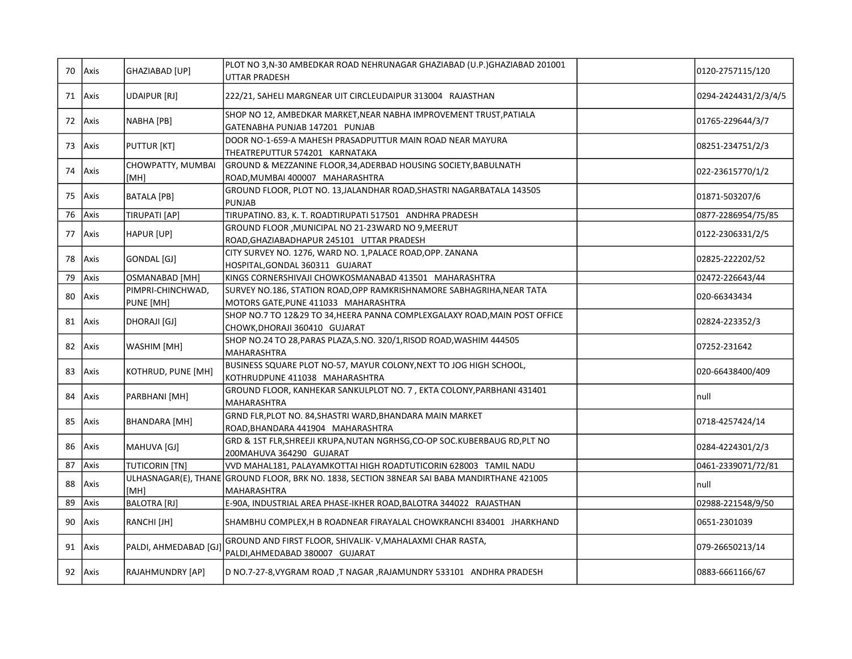|    | 70 Axis | GHAZIABAD [UP]                 | PLOT NO 3,N-30 AMBEDKAR ROAD NEHRUNAGAR GHAZIABAD (U.P.)GHAZIABAD 201001<br><b>UTTAR PRADESH</b>              | 0120-2757115/120     |
|----|---------|--------------------------------|---------------------------------------------------------------------------------------------------------------|----------------------|
|    | 71 Axis | <b>UDAIPUR [RJ]</b>            | 222/21, SAHELI MARGNEAR UIT CIRCLEUDAIPUR 313004 RAJASTHAN                                                    | 0294-2424431/2/3/4/5 |
|    | 72 Axis | NABHA [PB]                     | SHOP NO 12, AMBEDKAR MARKET,NEAR NABHA IMPROVEMENT TRUST,PATIALA<br>GATENABHA PUNJAB 147201 PUNJAB            | 01765-229644/3/7     |
| 73 | Axis    | <b>PUTTUR [KT]</b>             | DOOR NO-1-659-A MAHESH PRASADPUTTUR MAIN ROAD NEAR MAYURA<br>THEATREPUTTUR 574201 KARNATAKA                   | 08251-234751/2/3     |
| 74 | Axis    | CHOWPATTY, MUMBAI<br>[MH]      | GROUND & MEZZANINE FLOOR, 34, ADERBAD HOUSING SOCIETY, BABULNATH<br>ROAD, MUMBAI 400007 MAHARASHTRA           | 022-23615770/1/2     |
| 75 | Axis    | BATALA [PB]                    | GROUND FLOOR, PLOT NO. 13, JALANDHAR ROAD, SHASTRI NAGARBATALA 143505<br><b>PUNJAB</b>                        | 01871-503207/6       |
| 76 | Axis    | TIRUPATI [AP]                  | TIRUPATINO. 83, K. T. ROADTIRUPATI 517501 ANDHRA PRADESH                                                      | 0877-2286954/75/85   |
| 77 | Axis    | HAPUR [UP]                     | GROUND FLOOR , MUNICIPAL NO 21-23WARD NO 9, MEERUT<br>ROAD, GHAZIABADHAPUR 245101 UTTAR PRADESH               | 0122-2306331/2/5     |
| 78 | Axis    | GONDAL [GJ]                    | CITY SURVEY NO. 1276, WARD NO. 1, PALACE ROAD, OPP. ZANANA<br>HOSPITAL, GONDAL 360311 GUJARAT                 | 02825-222202/52      |
| 79 | Axis    | <b>OSMANABAD [MH]</b>          | KINGS CORNERSHIVAJI CHOWKOSMANABAD 413501 MAHARASHTRA                                                         | 02472-226643/44      |
| 80 | Axis    | PIMPRI-CHINCHWAD,<br>PUNE [MH] | SURVEY NO.186, STATION ROAD, OPP RAMKRISHNAMORE SABHAGRIHA, NEAR TATA<br>MOTORS GATE, PUNE 411033 MAHARASHTRA | 020-66343434         |
|    | 81 Axis | DHORAJI [GJ]                   | SHOP NO.7 TO 12&29 TO 34, HEERA PANNA COMPLEXGALAXY ROAD, MAIN POST OFFICE<br>CHOWK, DHORAJI 360410 GUJARAT   | 02824-223352/3       |
|    | 82 Axis | WASHIM [MH]                    | SHOP NO.24 TO 28, PARAS PLAZA, S.NO. 320/1, RISOD ROAD, WASHIM 444505<br>MAHARASHTRA                          | 07252-231642         |
| 83 | Axis    | KOTHRUD, PUNE [MH]             | BUSINESS SQUARE PLOT NO-57, MAYUR COLONY, NEXT TO JOG HIGH SCHOOL,<br>KOTHRUDPUNE 411038 MAHARASHTRA          | 020-66438400/409     |
| 84 | Axis    | PARBHANI [MH]                  | GROUND FLOOR, KANHEKAR SANKULPLOT NO. 7, EKTA COLONY, PARBHANI 431401<br>MAHARASHTRA                          | null                 |
| 85 | Axis    | BHANDARA [MH]                  | GRND FLR, PLOT NO. 84, SHASTRI WARD, BHANDARA MAIN MARKET<br>ROAD, BHANDARA 441904 MAHARASHTRA                | 0718-4257424/14      |
| 86 | Axis    | MAHUVA [GJ]                    | GRD & 1ST FLR, SHREEJI KRUPA, NUTAN NGRHSG, CO-OP SOC. KUBERBAUG RD, PLT NO<br>200MAHUVA 364290 GUJARAT       | 0284-4224301/2/3     |
| 87 | Axis    | <b>TUTICORIN [TN]</b>          | VVD MAHAL181, PALAYAMKOTTAI HIGH ROADTUTICORIN 628003 TAMIL NADU                                              | 0461-2339071/72/81   |
| 88 | Axis    | [MH]                           | ULHASNAGAR(E), THANE GROUND FLOOR, BRK NO. 1838, SECTION 38NEAR SAI BABA MANDIRTHANE 421005<br>MAHARASHTRA    | null                 |
| 89 | Axis    | BALOTRA [RJ]                   | E-90A, INDUSTRIAL AREA PHASE-IKHER ROAD, BALOTRA 344022 RAJASTHAN                                             | 02988-221548/9/50    |
| 90 | Axis    | RANCHI [JH]                    | SHAMBHU COMPLEX, H B ROADNEAR FIRAYALAL CHOWKRANCHI 834001 JHARKHAND                                          | 0651-2301039         |
| 91 | Axis    | PALDI, AHMEDABAD [GJ]          | GROUND AND FIRST FLOOR, SHIVALIK-V, MAHALAXMI CHAR RASTA,<br>PALDI, AHMEDABAD 380007 GUJARAT                  | 079-26650213/14      |
|    | 92 Axis | RAJAHMUNDRY [AP]               | D NO.7-27-8, VYGRAM ROAD, T NAGAR, RAJAMUNDRY 533101 ANDHRA PRADESH                                           | 0883-6661166/67      |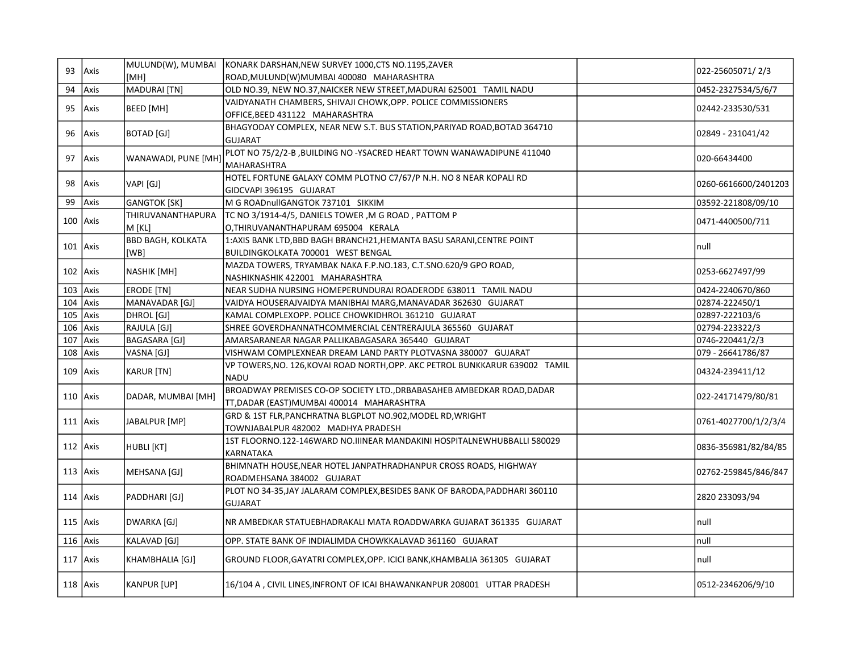| 93           | Axis       | MULUND(W), MUMBAI        | KONARK DARSHAN, NEW SURVEY 1000, CTS NO.1195, ZAVER                          | 022-25605071/2/3     |
|--------------|------------|--------------------------|------------------------------------------------------------------------------|----------------------|
|              |            | [MH]                     | ROAD, MULUND(W) MUMBAI 400080 MAHARASHTRA                                    |                      |
| 94           | Axis       | MADURAI [TN]             | OLD NO.39, NEW NO.37, NAICKER NEW STREET, MADURAI 625001 TAMIL NADU          | 0452-2327534/5/6/7   |
| 95           | Axis       | BEED [MH]                | VAIDYANATH CHAMBERS, SHIVAJI CHOWK, OPP. POLICE COMMISSIONERS                | 02442-233530/531     |
|              |            |                          | OFFICE, BEED 431122 MAHARASHTRA                                              |                      |
| 96           | Axis       | BOTAD [GJ]               | BHAGYODAY COMPLEX, NEAR NEW S.T. BUS STATION, PARIYAD ROAD, BOTAD 364710     | 02849 - 231041/42    |
|              |            |                          | <b>GUJARAT</b>                                                               |                      |
| 97           | Axis       | WANAWADI, PUNE [MH]      | PLOT NO 75/2/2-B, BUILDING NO -YSACRED HEART TOWN WANAWADIPUNE 411040        | 020-66434400         |
|              |            |                          | <b>MAHARASHTRA</b>                                                           |                      |
| 98           | Axis       | VAPI [GJ]                | HOTEL FORTUNE GALAXY COMM PLOTNO C7/67/P N.H. NO 8 NEAR KOPALI RD            | 0260-6616600/2401203 |
|              |            |                          | GIDCVAPI 396195 GUJARAT                                                      |                      |
| 99           | Axis       | <b>GANGTOK [SK]</b>      | M G ROADnullGANGTOK 737101 SIKKIM                                            | 03592-221808/09/10   |
| $100$ Axis   |            | THIRUVANANTHAPURA        | TC NO 3/1914-4/5, DANIELS TOWER ,M G ROAD , PATTOM P                         | 0471-4400500/711     |
|              |            | M [KL]                   | O, THIRUVANANTHAPURAM 695004 KERALA                                          |                      |
| $101$ Axis   |            | <b>BBD BAGH, KOLKATA</b> | 1:AXIS BANK LTD, BBD BAGH BRANCH21, HEMANTA BASU SARANI, CENTRE POINT        | null                 |
|              |            | [WB]                     | BUILDINGKOLKATA 700001 WEST BENGAL                                           |                      |
| 102 Axis     |            | NASHIK [MH]              | MAZDA TOWERS, TRYAMBAK NAKA F.P.NO.183, C.T.SNO.620/9 GPO ROAD,              | 0253-6627497/99      |
|              |            |                          | NASHIKNASHIK 422001 MAHARASHTRA                                              |                      |
| 103          | Axis       | <b>ERODE [TN]</b>        | NEAR SUDHA NURSING HOMEPERUNDURAI ROADERODE 638011 TAMIL NADU                | 0424-2240670/860     |
| 104          | Axis       | MANAVADAR [GJ]           | VAIDYA HOUSERAJVAIDYA MANIBHAI MARG, MANAVADAR 362630 GUJARAT                | 02874-222450/1       |
| 105          | Axis       | DHROL [GJ]               | KAMAL COMPLEXOPP. POLICE CHOWKIDHROL 361210 GUJARAT                          | 02897-222103/6       |
| 106          | Axis       | RAJULA [GJ]              | SHREE GOVERDHANNATHCOMMERCIAL CENTRERAJULA 365560 GUJARAT                    | 02794-223322/3       |
| 107          | Axis       | BAGASARA [GJ]            | AMARSARANEAR NAGAR PALLIKABAGASARA 365440 GUJARAT                            | 0746-220441/2/3      |
| 108          | Axis       | VASNA [GJ]               | VISHWAM COMPLEXNEAR DREAM LAND PARTY PLOTVASNA 380007 GUJARAT                | 079 - 26641786/87    |
| 109          | Axis       | KARUR [TN]               | VP TOWERS, NO. 126, KOVAI ROAD NORTH, OPP. AKC PETROL BUNKKARUR 639002 TAMIL | 04324-239411/12      |
|              |            |                          | <b>NADU</b>                                                                  |                      |
| $110$ Axis   |            | DADAR, MUMBAI [MH]       | BROADWAY PREMISES CO-OP SOCIETY LTD., DRBABASAHEB AMBEDKAR ROAD, DADAR       | 022-24171479/80/81   |
|              |            |                          | TT, DADAR (EAST) MUMBAI 400014 MAHARASHTRA                                   |                      |
| $111$   Axis |            | JABALPUR [MP]            | GRD & 1ST FLR, PANCHRATNA BLGPLOT NO.902, MODEL RD, WRIGHT                   | 0761-4027700/1/2/3/4 |
|              |            |                          | TOWNJABALPUR 482002 MADHYA PRADESH                                           |                      |
|              | $112$ Axis | HUBLI [KT]               | 1ST FLOORNO.122-146WARD NO.IIINEAR MANDAKINI HOSPITALNEWHUBBALLI 580029      | 0836-356981/82/84/85 |
|              |            |                          | KARNATAKA                                                                    |                      |
| $113$ Axis   |            | MEHSANA [GJ]             | BHIMNATH HOUSE, NEAR HOTEL JANPATHRADHANPUR CROSS ROADS, HIGHWAY             | 02762-259845/846/847 |
|              |            |                          | ROADMEHSANA 384002 GUJARAT                                                   |                      |
| $114$ Axis   |            | PADDHARI [GJ]            | PLOT NO 34-35, JAY JALARAM COMPLEX, BESIDES BANK OF BARODA, PADDHARI 360110  | 2820 233093/94       |
|              |            |                          | <b>GUJARAT</b>                                                               |                      |
|              | $115$ Axis | DWARKA [GJ]              | NR AMBEDKAR STATUEBHADRAKALI MATA ROADDWARKA GUJARAT 361335   GUJARAT        | null                 |
|              |            |                          |                                                                              |                      |
| 116          | Axis       | KALAVAD [GJ]             | OPP. STATE BANK OF INDIALIMDA CHOWKKALAVAD 361160 GUJARAT                    | null                 |
| $117$ Axis   |            | KHAMBHALIA [GJ]          | GROUND FLOOR, GAYATRI COMPLEX, OPP. ICICI BANK, KHAMBALIA 361305 GUJARAT     | null                 |
|              |            |                          |                                                                              |                      |
| $118$ Axis   |            | KANPUR [UP]              | 16/104 A , CIVIL LINES, INFRONT OF ICAI BHAWANKANPUR 208001 UTTAR PRADESH    | 0512-2346206/9/10    |
|              |            |                          |                                                                              |                      |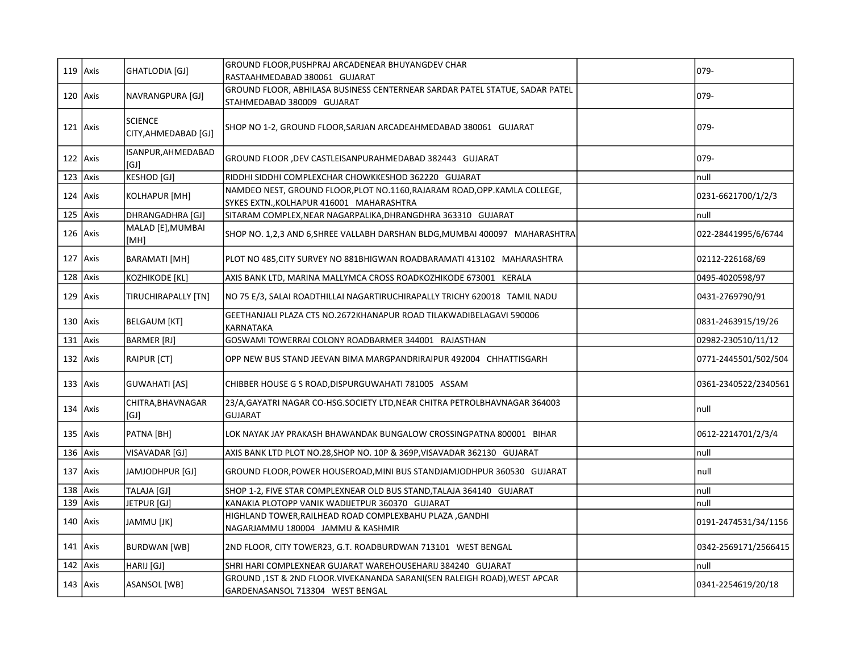| $119$ Axis  | GHATLODIA [GJ]                         | GROUND FLOOR, PUSHPRAJ ARCADENEAR BHUYANGDEV CHAR<br>RASTAAHMEDABAD 380061 GUJARAT                                     | 079-                 |
|-------------|----------------------------------------|------------------------------------------------------------------------------------------------------------------------|----------------------|
| $120$ Axis  | NAVRANGPURA [GJ]                       | GROUND FLOOR, ABHILASA BUSINESS CENTERNEAR SARDAR PATEL STATUE, SADAR PATEL<br>STAHMEDABAD 380009 GUJARAT              | 079-                 |
| $121$ Axis  | <b>SCIENCE</b><br>CITY, AHMEDABAD [GJ] | SHOP NO 1-2, GROUND FLOOR, SARJAN ARCADEAHMEDABAD 380061 GUJARAT                                                       | $079 -$              |
| $122$ Axis  | ISANPUR, AHMEDABAD<br>[GJ]             | GROUND FLOOR , DEV CASTLEISANPURAHMEDABAD 382443 GUJARAT                                                               | 079-                 |
| $123$ Axis  | <b>KESHOD [GJ]</b>                     | RIDDHI SIDDHI COMPLEXCHAR CHOWKKESHOD 362220 GUJARAT                                                                   | null                 |
| $124$ Axis  | KOLHAPUR [MH]                          | NAMDEO NEST, GROUND FLOOR, PLOT NO.1160, RAJARAM ROAD, OPP. KAMLA COLLEGE,<br>SYKES EXTN., KOLHAPUR 416001 MAHARASHTRA | 0231-6621700/1/2/3   |
| $125$ Axis  | DHRANGADHRA [GJ]                       | SITARAM COMPLEX, NEAR NAGARPALIKA, DHRANGDHRA 363310 GUJARAT                                                           | null                 |
| $126$ Axis  | MALAD [E], MUMBAI<br>[MH]              | SHOP NO. 1,2,3 AND 6, SHREE VALLABH DARSHAN BLDG, MUMBAI 400097 MAHARASHTRA                                            | 022-28441995/6/6744  |
| $127$ Axis  | <b>BARAMATI</b> [MH]                   | PLOT NO 485,CITY SURVEY NO 881BHIGWAN ROADBARAMATI 413102 MAHARASHTRA                                                  | 02112-226168/69      |
| $128$ Axis  | KOZHIKODE [KL]                         | AXIS BANK LTD, MARINA MALLYMCA CROSS ROADKOZHIKODE 673001 KERALA                                                       | 0495-4020598/97      |
| $129$ Axis  | TIRUCHIRAPALLY [TN]                    | NO 75 E/3, SALAI ROADTHILLAI NAGARTIRUCHIRAPALLY TRICHY 620018 TAMIL NADU                                              | 0431-2769790/91      |
| 130 $Axis$  | <b>BELGAUM [KT]</b>                    | GEETHANJALI PLAZA CTS NO.2672KHANAPUR ROAD TILAKWADIBELAGAVI 590006<br>KARNATAKA                                       | 0831-2463915/19/26   |
| $131$ Axis  | <b>BARMER</b> [RJ]                     | GOSWAMI TOWERRAI COLONY ROADBARMER 344001 RAJASTHAN                                                                    | 02982-230510/11/12   |
| 132 $Axis$  | <b>RAIPUR [CT]</b>                     | OPP NEW BUS STAND JEEVAN BIMA MARGPANDRIRAIPUR 492004   CHHATTISGARH                                                   | 0771-2445501/502/504 |
| $133$  Axis | <b>GUWAHATI</b> [AS]                   | CHIBBER HOUSE G S ROAD, DISPURGUWAHATI 781005 ASSAM                                                                    | 0361-2340522/2340561 |
| $134$ Axis  | CHITRA, BHAVNAGAR<br>[GJ]              | 23/A, GAYATRI NAGAR CO-HSG. SOCIETY LTD, NEAR CHITRA PETROLBHAVNAGAR 364003<br><b>GUJARAT</b>                          | null                 |
| 135 Axis    | PATNA [BH]                             | LOK NAYAK JAY PRAKASH BHAWANDAK BUNGALOW CROSSINGPATNA 800001 BIHAR                                                    | 0612-2214701/2/3/4   |
| $136$ Axis  | VISAVADAR [GJ]                         | AXIS BANK LTD PLOT NO.28, SHOP NO. 10P & 369P, VISAVADAR 362130 GUJARAT                                                | null                 |
| 137 $Axis$  | JAMJODHPUR [GJ]                        | GROUND FLOOR, POWER HOUSEROAD, MINI BUS STANDJAMJODHPUR 360530 GUJARAT                                                 | null                 |
| $138$ Axis  | TALAJA [GJ]                            | SHOP 1-2, FIVE STAR COMPLEXNEAR OLD BUS STAND, TALAJA 364140 GUJARAT                                                   | null                 |
| $139$ Axis  | JETPUR [GJ]                            | KANAKIA PLOTOPP VANIK WADIJETPUR 360370 GUJARAT                                                                        | null                 |
| $140$ Axis  | JAMMU [JK]                             | HIGHLAND TOWER, RAILHEAD ROAD COMPLEXBAHU PLAZA, GANDHI<br>NAGARJAMMU 180004 JAMMU & KASHMIR                           | 0191-2474531/34/1156 |
| $141$ Axis  | BURDWAN [WB]                           | 2ND FLOOR, CITY TOWER23, G.T. ROADBURDWAN 713101 WEST BENGAL                                                           | 0342-2569171/2566415 |
| $142$ Axis  | HARIJ [GJ]                             | SHRI HARI COMPLEXNEAR GUJARAT WAREHOUSEHARIJ 384240 GUJARAT                                                            | null                 |
| $143$ Axis  | ASANSOL [WB]                           | GROUND, 1ST & 2ND FLOOR. VIVEKANANDA SARANI(SEN RALEIGH ROAD), WEST APCAR<br>GARDENASANSOL 713304 WEST BENGAL          | 0341-2254619/20/18   |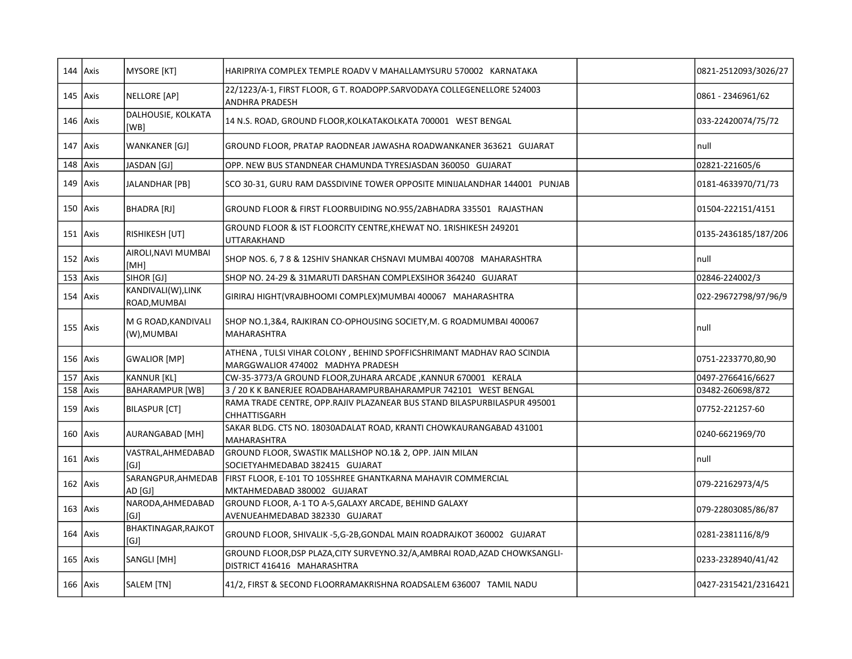|            | $144$ Axis | MYSORE [KT]                        | HARIPRIYA COMPLEX TEMPLE ROADV V MAHALLAMYSURU 570002 KARNATAKA                                            | 0821-2512093/3026/27 |
|------------|------------|------------------------------------|------------------------------------------------------------------------------------------------------------|----------------------|
|            | $145$ Axis | NELLORE [AP]                       | 22/1223/A-1, FIRST FLOOR, G T. ROADOPP.SARVODAYA COLLEGENELLORE 524003<br>ANDHRA PRADESH                   | 0861 - 2346961/62    |
|            | $146$ Axis | DALHOUSIE, KOLKATA<br>[WB]         | 14 N.S. ROAD, GROUND FLOOR, KOLKATAKOLKATA 700001 WEST BENGAL                                              | 033-22420074/75/72   |
|            | $147$ Axis | WANKANER [GJ]                      | GROUND FLOOR, PRATAP RAODNEAR JAWASHA ROADWANKANER 363621 GUJARAT                                          | null                 |
| $148$ Axis |            | JASDAN [GJ]                        | OPP. NEW BUS STANDNEAR CHAMUNDA TYRESJASDAN 360050 GUJARAT                                                 | 02821-221605/6       |
|            | $149$ Axis | JALANDHAR [PB]                     | SCO 30-31, GURU RAM DASSDIVINE TOWER OPPOSITE MINIJALANDHAR 144001 PUNJAB                                  | 0181-4633970/71/73   |
|            | $150$ Axis | BHADRA [RJ]                        | GROUND FLOOR & FIRST FLOORBUIDING NO.955/2ABHADRA 335501   RAJASTHAN                                       | 01504-222151/4151    |
|            | $151$ Axis | RISHIKESH [UT]                     | GROUND FLOOR & IST FLOORCITY CENTRE, KHEWAT NO. 1RISHIKESH 249201<br>UTTARAKHAND                           | 0135-2436185/187/206 |
|            | $152$ Axis | AIROLI, NAVI MUMBAI<br>[MH]        | SHOP NOS. 6, 7 8 & 12SHIV SHANKAR CHSNAVI MUMBAI 400708 MAHARASHTRA                                        | null                 |
|            | $153$ Axis | SIHOR [GJ]                         | SHOP NO. 24-29 & 31MARUTI DARSHAN COMPLEXSIHOR 364240 GUJARAT                                              | 02846-224002/3       |
|            | $154$ Axis | KANDIVALI(W),LINK<br>ROAD, MUMBAI  | GIRIRAJ HIGHT(VRAJBHOOMI COMPLEX)MUMBAI 400067   MAHARASHTRA                                               | 022-29672798/97/96/9 |
|            | $155$ Axis | M G ROAD,KANDIVALI<br>(W), MUMBAI  | SHOP NO.1,3&4, RAJKIRAN CO-OPHOUSING SOCIETY, M. G ROADMUMBAI 400067<br><b>MAHARASHTRA</b>                 | null                 |
|            | $156$ Axis | <b>GWALIOR</b> [MP]                | ATHENA, TULSI VIHAR COLONY, BEHIND SPOFFICSHRIMANT MADHAV RAO SCINDIA<br>MARGGWALIOR 474002 MADHYA PRADESH | 0751-2233770,80,90   |
| 157        | Axis       | KANNUR [KL]                        | CW-35-3773/A GROUND FLOOR, ZUHARA ARCADE, KANNUR 670001 KERALA                                             | 0497-2766416/6627    |
|            | $158$ Axis | <b>BAHARAMPUR [WB]</b>             | 3 / 20 K K BANERJEE ROADBAHARAMPURBAHARAMPUR 742101 WEST BENGAL                                            | 03482-260698/872     |
|            | $159$ Axis | <b>BILASPUR [CT]</b>               | RAMA TRADE CENTRE, OPP.RAJIV PLAZANEAR BUS STAND BILASPURBILASPUR 495001<br>CHHATTISGARH                   | 07752-221257-60      |
|            | $160$ Axis | AURANGABAD [MH]                    | SAKAR BLDG. CTS NO. 18030ADALAT ROAD, KRANTI CHOWKAURANGABAD 431001<br>MAHARASHTRA                         | 0240-6621969/70      |
|            | $161$ Axis | VASTRAL, AHMEDABAD<br>[GJ]         | GROUND FLOOR, SWASTIK MALLSHOP NO.1& 2, OPP. JAIN MILAN<br>SOCIETYAHMEDABAD 382415 GUJARAT                 | Inull                |
|            | $162$ Axis | SARANGPUR, AHMEDAB<br>AD [GJ]      | FIRST FLOOR, E-101 TO 105SHREE GHANTKARNA MAHAVIR COMMERCIAL<br>MKTAHMEDABAD 380002 GUJARAT                | 079-22162973/4/5     |
|            | $163$ Axis | NARODA, AHMEDABAD<br>[GJ]          | GROUND FLOOR, A-1 TO A-5, GALAXY ARCADE, BEHIND GALAXY<br>AVENUEAHMEDABAD 382330 GUJARAT                   | 079-22803085/86/87   |
|            | $164$ Axis | <b>BHAKTINAGAR, RAJKOT</b><br>[GJ] | GROUND FLOOR, SHIVALIK -5,G-2B, GONDAL MAIN ROADRAJKOT 360002 GUJARAT                                      | 0281-2381116/8/9     |
|            | $165$ Axis | SANGLI [MH]                        | GROUND FLOOR, DSP PLAZA, CITY SURVEYNO.32/A, AMBRAI ROAD, AZAD CHOWKSANGLI-<br>DISTRICT 416416 MAHARASHTRA | 0233-2328940/41/42   |
|            | $166$ Axis | SALEM [TN]                         | 41/2, FIRST & SECOND FLOORRAMAKRISHNA ROADSALEM 636007 TAMIL NADU                                          | 0427-2315421/2316421 |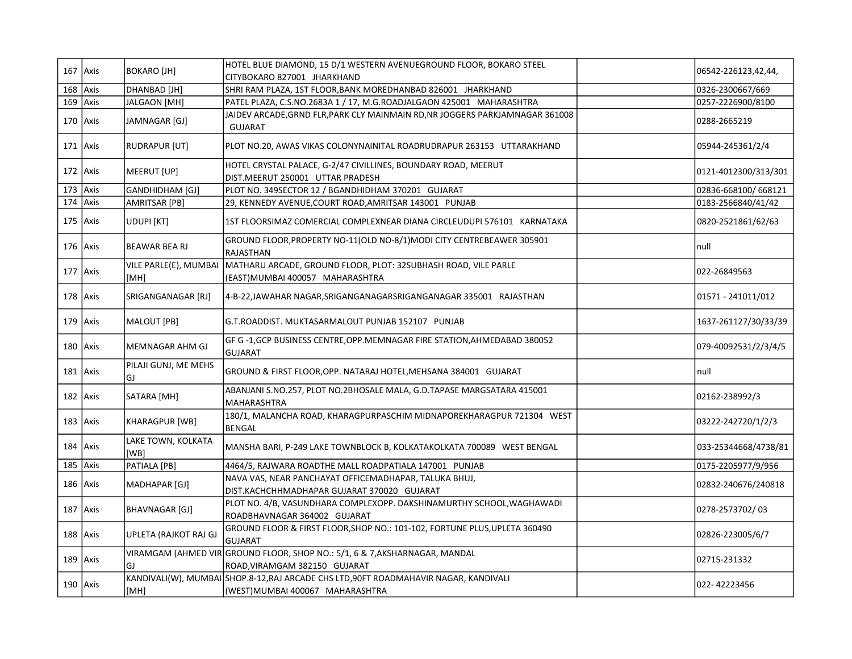| 167 Axis   |            | <b>BOKARO [JH]</b>         | HOTEL BLUE DIAMOND, 15 D/1 WESTERN AVENUEGROUND FLOOR, BOKARO STEEL<br>CITYBOKARO 827001 JHARKHAND                       | 06542-226123,42,44,  |
|------------|------------|----------------------------|--------------------------------------------------------------------------------------------------------------------------|----------------------|
| $168$ Axis |            | DHANBAD [JH]               | SHRI RAM PLAZA, 1ST FLOOR, BANK MOREDHANBAD 826001 JHARKHAND                                                             | 0326-2300667/669     |
| $169$ Axis |            | JALGAON [MH]               | PATEL PLAZA, C.S.NO.2683A 1 / 17, M.G.ROADJALGAON 425001 MAHARASHTRA                                                     | 0257-2226900/8100    |
| 170 Axis   |            | JAMNAGAR [GJ]              | JAIDEV ARCADE, GRND FLR, PARK CLY MAINMAIN RD, NR JOGGERS PARKJAMNAGAR 361008<br><b>GUJARAT</b>                          | 10288-2665219        |
| 171 Axis   |            | RUDRAPUR [UT]              | PLOT NO.20, AWAS VIKAS COLONYNAINITAL ROADRUDRAPUR 263153 UTTARAKHAND                                                    | 05944-245361/2/4     |
| $172$ Axis |            | MEERUT [UP]                | HOTEL CRYSTAL PALACE, G-2/47 CIVILLINES, BOUNDARY ROAD, MEERUT<br>DIST.MEERUT 250001 UTTAR PRADESH                       | 0121-4012300/313/301 |
| $173$ Axis |            | GANDHIDHAM [GJ]            | PLOT NO. 349SECTOR 12 / BGANDHIDHAM 370201 GUJARAT                                                                       | 02836-668100/668121  |
| $174$ Axis |            | AMRITSAR [PB]              | 29, KENNEDY AVENUE, COURT ROAD, AMRITSAR 143001 PUNJAB                                                                   | 0183-2566840/41/42   |
|            | $175$ Axis | <b>UDUPI [KT]</b>          | 1ST FLOORSIMAZ COMERCIAL COMPLEXNEAR DIANA CIRCLEUDUPI 576101 KARNATAKA                                                  | 0820-2521861/62/63   |
|            | 176 Axis   | BEAWAR BEA RJ              | GROUND FLOOR, PROPERTY NO-11(OLD NO-8/1) MODI CITY CENTREBEAWER 305901<br>RAJASTHAN                                      | Inull                |
|            | $177$ Axis | [MH]                       | VILE PARLE(E), MUMBAI MATHARU ARCADE, GROUND FLOOR, PLOT: 32SUBHASH ROAD, VILE PARLE<br>(EAST) MUMBAI 400057 MAHARASHTRA | 022-26849563         |
| $178$ Axis |            | SRIGANGANAGAR [RJ]         | 4-B-22,JAWAHAR NAGAR, SRIGANGANAGARSRIGANGANAGAR 335001 RAJASTHAN                                                        | 01571 - 241011/012   |
|            | $179$ Axis | MALOUT [PB]                | G.T.ROADDIST, MUKTASARMALOUT PUNJAB 152107 PUNJAB                                                                        | 1637-261127/30/33/39 |
|            | 180 Axis   | MEMNAGAR AHM GJ            | GF G-1, GCP BUSINESS CENTRE, OPP. MEMNAGAR FIRE STATION, AHMEDABAD 380052<br><b>GUJARAT</b>                              | 079-40092531/2/3/4/5 |
|            | $181$ Axis | PILAJI GUNJ, ME MEHS<br>GJ | GROUND & FIRST FLOOR, OPP. NATARAJ HOTEL, MEHSANA 384001 GUJARAT                                                         | null                 |
| 182 Axis   |            | SATARA [MH]                | ABANJANI S.NO.257, PLOT NO.2BHOSALE MALA, G.D.TAPASE MARGSATARA 415001<br>MAHARASHTRA                                    | 02162-238992/3       |
| $183$ Axis |            | KHARAGPUR [WB]             | 180/1, MALANCHA ROAD, KHARAGPURPASCHIM MIDNAPOREKHARAGPUR 721304 WEST<br><b>BENGAL</b>                                   | 03222-242720/1/2/3   |
|            | $184$ Axis | LAKE TOWN, KOLKATA<br>[WB] | MANSHA BARI, P-249 LAKE TOWNBLOCK B, KOLKATAKOLKATA 700089 WEST BENGAL                                                   | 033-25344668/4738/81 |
| 185 $Axis$ |            | PATIALA [PB]               | 4464/5, RAJWARA ROADTHE MALL ROADPATIALA 147001 PUNJAB                                                                   | 0175-2205977/9/956   |
| 186 Axis   |            | MADHAPAR [GJ]              | NAVA VAS, NEAR PANCHAYAT OFFICEMADHAPAR, TALUKA BHUJ,<br>DIST.KACHCHHMADHAPAR GUJARAT 370020 GUJARAT                     | 02832-240676/240818  |
| $187$ Axis |            | BHAVNAGAR [GJ]             | PLOT NO. 4/B, VASUNDHARA COMPLEXOPP. DAKSHINAMURTHY SCHOOL, WAGHAWADI<br>ROADBHAVNAGAR 364002 GUJARAT                    | 0278-2573702/03      |
|            | 188   Axis | UPLETA (RAJKOT RAJ GJ      | GROUND FLOOR & FIRST FLOOR, SHOP NO.: 101-102, FORTUNE PLUS, UPLETA 360490<br><b>GUJARAT</b>                             | 02826-223005/6/7     |
|            | $189$ Axis | GJ                         | VIRAMGAM (AHMED VIR GROUND FLOOR, SHOP NO.: 5/1, 6 & 7,AKSHARNAGAR, MANDAL<br>ROAD, VIRAMGAM 382150 GUJARAT              | 02715-231332         |
| 190 Axis   |            | [MH]                       | KANDIVALI(W), MUMBAI SHOP.8-12,RAJ ARCADE CHS LTD,90FT ROADMAHAVIR NAGAR, KANDIVALI<br>(WEST) MUMBAI 400067 MAHARASHTRA  | 022-42223456         |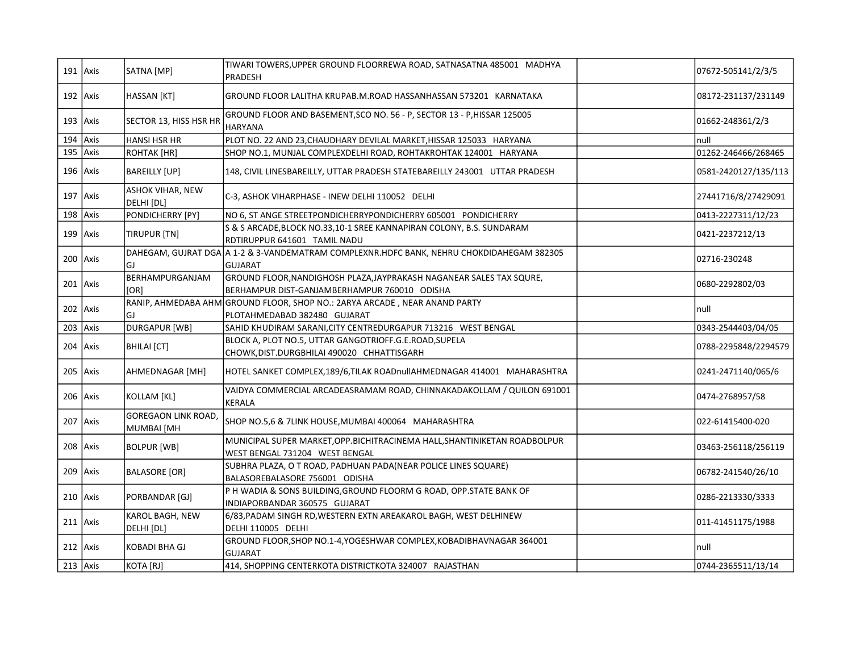|            | $191$ Axis   | SATNA [MP]                              | TIWARI TOWERS,UPPER GROUND FLOORREWA ROAD, SATNASATNA 485001 MADHYA<br>PRADESH                                       | 07672-505141/2/3/5   |
|------------|--------------|-----------------------------------------|----------------------------------------------------------------------------------------------------------------------|----------------------|
|            | $192$ Axis   | HASSAN [KT]                             | GROUND FLOOR LALITHA KRUPAB.M.ROAD HASSANHASSAN 573201 KARNATAKA                                                     | 08172-231137/231149  |
|            | $193$ Axis   | SECTOR 13, HISS HSR HR                  | GROUND FLOOR AND BASEMENT, SCO NO. 56 - P, SECTOR 13 - P, HISSAR 125005<br><b>HARYANA</b>                            | 01662-248361/2/3     |
| 194 $Axis$ |              | <b>HANSI HSR HR</b>                     | PLOT NO. 22 AND 23, CHAUDHARY DEVILAL MARKET, HISSAR 125033 HARYANA                                                  | null                 |
| 195 $Axis$ |              | ROHTAK [HR]                             | SHOP NO.1, MUNJAL COMPLEXDELHI ROAD, ROHTAKROHTAK 124001 HARYANA                                                     | 01262-246466/268465  |
|            | $196$ Axis   | <b>BAREILLY [UP]</b>                    | 148, CIVIL LINESBAREILLY, UTTAR PRADESH STATEBAREILLY 243001 UTTAR PRADESH                                           | 0581-2420127/135/113 |
|            | $197$ Axis   | ASHOK VIHAR, NEW<br>DELHI [DL]          | C-3, ASHOK VIHARPHASE - INEW DELHI 110052 DELHI                                                                      | 27441716/8/27429091  |
| 198 $Axis$ |              | PONDICHERRY [PY]                        | NO 6, ST ANGE STREETPONDICHERRYPONDICHERRY 605001 PONDICHERRY                                                        | 0413-2227311/12/23   |
|            | 199 $Axis$   | TIRUPUR [TN]                            | S & S ARCADE, BLOCK NO.33,10-1 SREE KANNAPIRAN COLONY, B.S. SUNDARAM<br>RDTIRUPPUR 641601 TAMIL NADU                 | 0421-2237212/13      |
|            | $200$   Axis | GJ                                      | DAHEGAM, GUJRAT DGA A 1-2 & 3-VANDEMATRAM COMPLEXNR.HDFC BANK, NEHRU CHOKDIDAHEGAM 382305<br><b>GUJARAT</b>          | 02716-230248         |
|            | $201$ Axis   | BERHAMPURGANJAM<br>[OR]                 | GROUND FLOOR, NANDIGHOSH PLAZA, JAYPRAKASH NAGANEAR SALES TAX SQURE,<br>BERHAMPUR DIST-GANJAMBERHAMPUR 760010 ODISHA | 0680-2292802/03      |
|            | $202$ Axis   | GJ                                      | RANIP, AHMEDABA AHM GROUND FLOOR, SHOP NO.: 2ARYA ARCADE, NEAR ANAND PARTY<br>PLOTAHMEDABAD 382480 GUJARAT           | Inull                |
| $203$ Axis |              | <b>DURGAPUR [WB]</b>                    | SAHID KHUDIRAM SARANI, CITY CENTREDURGAPUR 713216 WEST BENGAL                                                        | 0343-2544403/04/05   |
|            | 204 Axis     | <b>BHILAI</b> [CT]                      | BLOCK A, PLOT NO.5, UTTAR GANGOTRIOFF.G.E.ROAD, SUPELA<br>CHOWK, DIST. DURGBHILAI 490020 CHHATTISGARH                | 0788-2295848/2294579 |
|            | $205$   Axis | AHMEDNAGAR [MH]                         | HOTEL SANKET COMPLEX,189/6,TILAK ROADnullAHMEDNAGAR 414001 MAHARASHTRA                                               | 0241-2471140/065/6   |
|            | 206 Axis     | KOLLAM [KL]                             | VAIDYA COMMERCIAL ARCADEASRAMAM ROAD, CHINNAKADAKOLLAM / QUILON 691001<br>KERALA                                     | 0474-2768957/58      |
|            | $207$ Axis   | <b>GOREGAON LINK ROAD</b><br>MUMBAI [MH | SHOP NO.5,6 & 7LINK HOUSE, MUMBAI 400064 MAHARASHTRA                                                                 | 022-61415400-020     |
|            | 208 Axis     | <b>BOLPUR [WB]</b>                      | MUNICIPAL SUPER MARKET, OPP. BICHITRACINEMA HALL, SHANTINIKETAN ROADBOLPUR<br>WEST BENGAL 731204 WEST BENGAL         | 03463-256118/256119  |
|            | $209$ Axis   | <b>BALASORE [OR]</b>                    | SUBHRA PLAZA, O T ROAD, PADHUAN PADA(NEAR POLICE LINES SQUARE)<br>BALASOREBALASORE 756001 ODISHA                     | 06782-241540/26/10   |
|            | $210$ Axis   | PORBANDAR [GJ]                          | P H WADIA & SONS BUILDING, GROUND FLOORM G ROAD, OPP. STATE BANK OF<br>INDIAPORBANDAR 360575 GUJARAT                 | 0286-2213330/3333    |
|            | $211$ Axis   | KAROL BAGH, NEW<br>DELHI [DL]           | 6/83, PADAM SINGH RD, WESTERN EXTN AREAKAROL BAGH, WEST DELHINEW<br>DELHI 110005 DELHI                               | 011-41451175/1988    |
|            | $212$   Axis | KOBADI BHA GJ                           | GROUND FLOOR, SHOP NO.1-4, YOGESHWAR COMPLEX, KOBADIBHAVNAGAR 364001<br><b>GUJARAT</b>                               | Inull                |
| $213$ Axis |              | KOTA [RJ]                               | 414, SHOPPING CENTERKOTA DISTRICTKOTA 324007 RAJASTHAN                                                               | 0744-2365511/13/14   |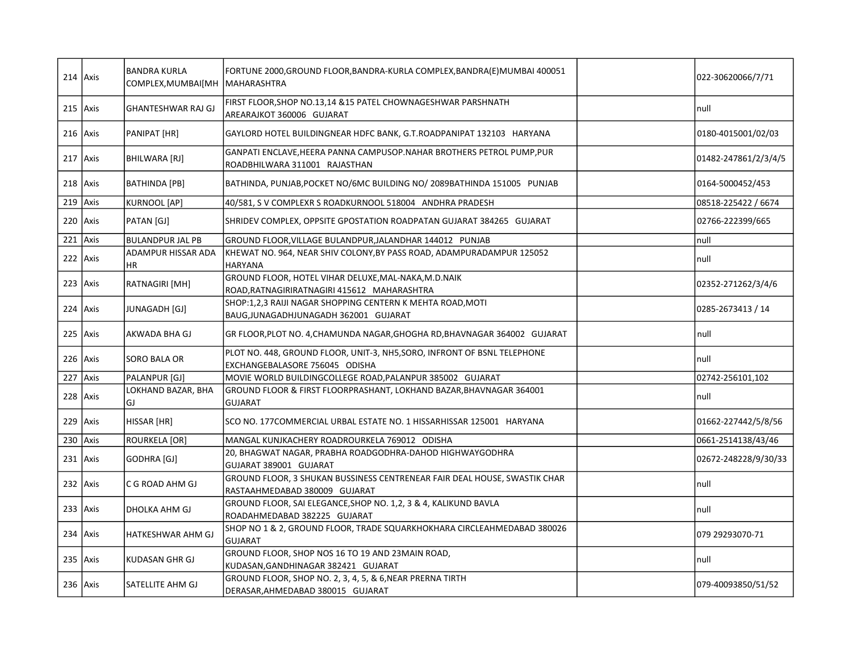|     | $214$ Axis | <b>BANDRA KURLA</b><br>COMPLEX, MUMBAI [MH | FORTUNE 2000, GROUND FLOOR, BANDRA-KURLA COMPLEX, BANDRA(E) MUMBAI 400051<br><b>MAHARASHTRA</b>            | 022-30620066/7/71    |
|-----|------------|--------------------------------------------|------------------------------------------------------------------------------------------------------------|----------------------|
|     | $215$ Axis | <b>GHANTESHWAR RAJ GJ</b>                  | FIRST FLOOR, SHOP NO.13, 14 & 15 PATEL CHOWNAGESHWAR PARSHNATH<br>AREARAJKOT 360006 GUJARAT                | Inull                |
|     | $216$ Axis | PANIPAT [HR]                               | GAYLORD HOTEL BUILDINGNEAR HDFC BANK, G.T.ROADPANIPAT 132103 HARYANA                                       | 0180-4015001/02/03   |
|     | $217$ Axis | BHILWARA [RJ]                              | GANPATI ENCLAVE, HEERA PANNA CAMPUSOP. NAHAR BROTHERS PETROL PUMP, PUR<br>ROADBHILWARA 311001 RAJASTHAN    | 01482-247861/2/3/4/5 |
|     | $218$ Axis | <b>BATHINDA</b> [PB]                       | BATHINDA, PUNJAB, POCKET NO/6MC BUILDING NO/2089BATHINDA 151005 PUNJAB                                     | 0164-5000452/453     |
|     | 219 $Axis$ | KURNOOL [AP]                               | 40/581, SV COMPLEXR S ROADKURNOOL 518004 ANDHRA PRADESH                                                    | 08518-225422 / 6674  |
|     | 220 Axis   | PATAN [GJ]                                 | SHRIDEV COMPLEX, OPPSITE GPOSTATION ROADPATAN GUJARAT 384265 GUJARAT                                       | 02766-222399/665     |
| 221 | Axis       | BULANDPUR JAL PB                           | GROUND FLOOR, VILLAGE BULANDPUR, JALANDHAR 144012 PUNJAB                                                   | Inull                |
|     | 222 Axis   | <b>ADAMPUR HISSAR ADA</b><br>IHR.          | KHEWAT NO. 964, NEAR SHIV COLONY, BY PASS ROAD, ADAMPURADAMPUR 125052<br><b>HARYANA</b>                    | null                 |
|     | $223$ Axis | RATNAGIRI [MH]                             | GROUND FLOOR, HOTEL VIHAR DELUXE, MAL-NAKA, M.D.NAIK<br>ROAD, RATNAGIRIRATNAGIRI 415612 MAHARASHTRA        | 02352-271262/3/4/6   |
|     | $224$ Axis | JUNAGADH [GJ]                              | SHOP:1,2,3 RAIJI NAGAR SHOPPING CENTERN K MEHTA ROAD, MOTI<br>BAUG, JUNAGADHJUNAGADH 362001 GUJARAT        | 0285-2673413 / 14    |
|     | 225 Axis   | AKWADA BHA GJ                              | GR FLOOR, PLOT NO. 4, CHAMUNDA NAGAR, GHOGHA RD, BHAVNAGAR 364002 GUJARAT                                  | null                 |
|     | $226$ Axis | SORO BALA OR                               | PLOT NO. 448, GROUND FLOOR, UNIT-3, NH5, SORO, INFRONT OF BSNL TELEPHONE<br>EXCHANGEBALASORE 756045 ODISHA | Inull                |
| 227 | Axis       | PALANPUR [GJ]                              | MOVIE WORLD BUILDINGCOLLEGE ROAD, PALANPUR 385002 GUJARAT                                                  | 02742-256101,102     |
|     | 228 Axis   | LOKHAND BAZAR, BHA<br>GJ                   | GROUND FLOOR & FIRST FLOORPRASHANT, LOKHAND BAZAR, BHAVNAGAR 364001<br><b>GUJARAT</b>                      | null                 |
|     | $229$ Axis | HISSAR [HR]                                | SCO NO. 177COMMERCIAL URBAL ESTATE NO. 1 HISSARHISSAR 125001 HARYANA                                       | 01662-227442/5/8/56  |
| 230 | Axis       | <b>ROURKELA [OR]</b>                       | MANGAL KUNJKACHERY ROADROURKELA 769012 ODISHA                                                              | 0661-2514138/43/46   |
|     | $231$ Axis | GODHRA [GJ]                                | 20, BHAGWAT NAGAR, PRABHA ROADGODHRA-DAHOD HIGHWAYGODHRA<br>GUJARAT 389001 GUJARAT                         | 02672-248228/9/30/33 |
|     | 232 Axis   | C G ROAD AHM GJ                            | GROUND FLOOR, 3 SHUKAN BUSSINESS CENTRENEAR FAIR DEAL HOUSE, SWASTIK CHAR<br>RASTAAHMEDABAD 380009 GUJARAT | Inull                |
|     | $233$ Axis | DHOLKA AHM GJ                              | GROUND FLOOR, SAI ELEGANCE, SHOP NO. 1, 2, 3 & 4, KALIKUND BAVLA<br>ROADAHMEDABAD 382225 GUJARAT           | Inull                |
|     | 234 Axis   | HATKESHWAR AHM GJ                          | SHOP NO 1 & 2, GROUND FLOOR, TRADE SQUARKHOKHARA CIRCLEAHMEDABAD 380026<br><b>GUJARAT</b>                  | 079 29293070-71      |
|     | $235$ Axis | KUDASAN GHR GJ                             | GROUND FLOOR, SHOP NOS 16 TO 19 AND 23MAIN ROAD,<br>KUDASAN,GANDHINAGAR 382421 GUJARAT                     | Inull                |
|     | $236$ Axis | SATELLITE AHM GJ                           | GROUND FLOOR, SHOP NO. 2, 3, 4, 5, & 6, NEAR PRERNA TIRTH<br>DERASAR, AHMEDABAD 380015 GUJARAT             | 079-40093850/51/52   |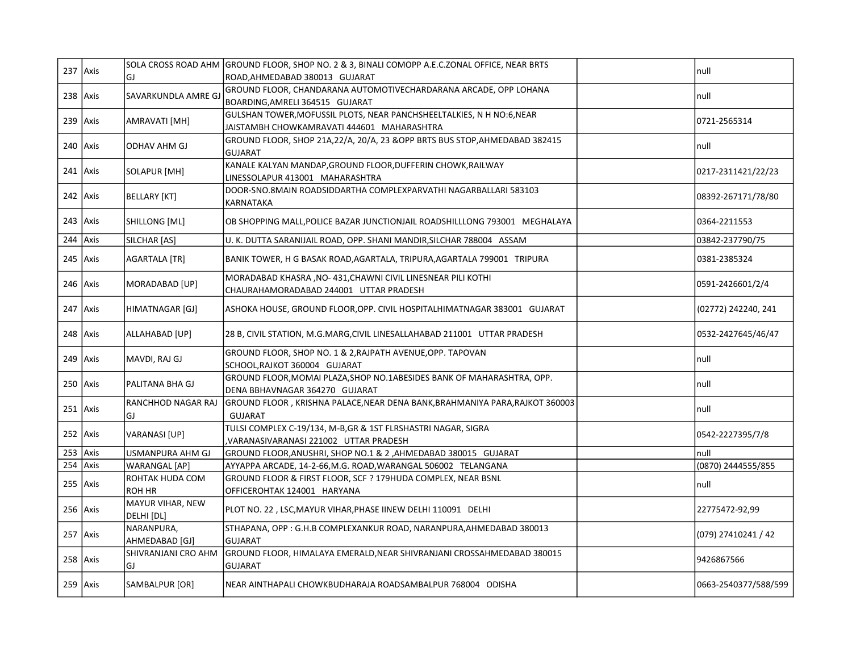|            | $237$ Axis |                      | SOLA CROSS ROAD AHM GROUND FLOOR, SHOP NO. 2 & 3, BINALI COMOPP A.E.C.ZONAL OFFICE, NEAR BRTS | null                 |
|------------|------------|----------------------|-----------------------------------------------------------------------------------------------|----------------------|
|            |            | GJ                   | ROAD, AHMEDABAD 380013 GUJARAT                                                                |                      |
| $238$ Axis |            | SAVARKUNDLA AMRE GJ  | GROUND FLOOR, CHANDARANA AUTOMOTIVECHARDARANA ARCADE, OPP LOHANA                              | null                 |
|            |            |                      | BOARDING, AMRELI 364515 GUJARAT                                                               |                      |
| $239$ Axis |            | AMRAVATI [MH]        | GULSHAN TOWER, MOFUSSIL PLOTS, NEAR PANCHSHEELTALKIES, N H NO:6, NEAR                         | 0721-2565314         |
|            |            |                      | JAISTAMBH CHOWKAMRAVATI 444601 MAHARASHTRA                                                    |                      |
|            | $240$ Axis | <b>ODHAV AHM GJ</b>  | GROUND FLOOR, SHOP 21A, 22/A, 20/A, 23 & OPP BRTS BUS STOP, AHMEDABAD 382415                  | null                 |
|            |            |                      | <b>GUJARAT</b>                                                                                |                      |
| $241$ Axis |            | SOLAPUR [MH]         | KANALE KALYAN MANDAP, GROUND FLOOR, DUFFERIN CHOWK, RAILWAY                                   | 0217-2311421/22/23   |
|            |            |                      | LINESSOLAPUR 413001 MAHARASHTRA                                                               |                      |
|            | $242$ Axis | BELLARY [KT]         | DOOR-SNO.8MAIN ROADSIDDARTHA COMPLEXPARVATHI NAGARBALLARI 583103                              | 08392-267171/78/80   |
|            |            |                      | KARNATAKA                                                                                     |                      |
| $243$ Axis |            | SHILLONG [ML]        | OB SHOPPING MALL, POLICE BAZAR JUNCTIONJAIL ROADSHILLLONG 793001 MEGHALAYA                    | 0364-2211553         |
|            |            |                      |                                                                                               |                      |
| 244 $Axis$ |            | SILCHAR [AS]         | U. K. DUTTA SARANIJAIL ROAD, OPP. SHANI MANDIR, SILCHAR 788004 ASSAM                          | 03842-237790/75      |
|            | $245$ Axis | <b>AGARTALA [TR]</b> | BANIK TOWER, H G BASAK ROAD, AGARTALA, TRIPURA, AGARTALA 799001 TRIPURA                       | 0381-2385324         |
|            |            |                      |                                                                                               |                      |
|            | $246$ Axis | MORADABAD [UP]       | MORADABAD KHASRA , NO-431, CHAWNI CIVIL LINESNEAR PILI KOTHI                                  | 0591-2426601/2/4     |
|            |            |                      | CHAURAHAMORADABAD 244001 UTTAR PRADESH                                                        |                      |
|            | $247$ Axis | HIMATNAGAR [GJ]      | ASHOKA HOUSE, GROUND FLOOR, OPP. CIVIL HOSPITALHIMATNAGAR 383001 GUJARAT                      | (02772) 242240, 241  |
|            |            |                      |                                                                                               |                      |
|            | $248$ Axis | ALLAHABAD [UP]       | 28 B, CIVIL STATION, M.G.MARG, CIVIL LINESALLAHABAD 211001 UTTAR PRADESH                      | 0532-2427645/46/47   |
|            |            |                      |                                                                                               |                      |
|            | $249$ Axis | MAVDI, RAJ GJ        | GROUND FLOOR, SHOP NO. 1 & 2, RAJPATH AVENUE, OPP. TAPOVAN<br>SCHOOL, RAJKOT 360004 GUJARAT   | null                 |
|            |            |                      | GROUND FLOOR, MOMAI PLAZA, SHOP NO.1ABESIDES BANK OF MAHARASHTRA, OPP.                        |                      |
|            | 250 Axis   | PALITANA BHA GJ      | DENA BBHAVNAGAR 364270 GUJARAT                                                                | null                 |
|            |            | RANCHHOD NAGAR RAJ   | GROUND FLOOR, KRISHNA PALACE, NEAR DENA BANK, BRAHMANIYA PARA, RAJKOT 360003                  |                      |
|            | $251$ Axis | GJ                   | <b>GUJARAT</b>                                                                                | null                 |
|            |            |                      | TULSI COMPLEX C-19/134, M-B,GR & 1ST FLRSHASTRI NAGAR, SIGRA                                  |                      |
|            | $252$ Axis | VARANASI [UP]        | VARANASIVARANASI 221002 UTTAR PRADESH                                                         | 0542-2227395/7/8     |
| $253$ Axis |            | USMANPURA AHM GJ     | GROUND FLOOR, ANUSHRI, SHOP NO.1 & 2, AHMEDABAD 380015 GUJARAT                                | null                 |
| 254 Axis   |            | <b>WARANGAL</b> [AP] | AYYAPPA ARCADE, 14-2-66, M.G. ROAD, WARANGAL 506002 TELANGANA                                 | (0870) 2444555/855   |
|            |            | ROHTAK HUDA COM      | GROUND FLOOR & FIRST FLOOR, SCF ? 179HUDA COMPLEX, NEAR BSNL                                  |                      |
| $255$ Axis |            | ROH HR               | OFFICEROHTAK 124001 HARYANA                                                                   | null                 |
|            |            | MAYUR VIHAR, NEW     |                                                                                               |                      |
|            | $256$ Axis | DELHI [DL]           | PLOT NO. 22, LSC, MAYUR VIHAR, PHASE IINEW DELHI 110091 DELHI                                 | 22775472-92,99       |
|            |            | NARANPURA,           | STHAPANA, OPP: G.H.B COMPLEXANKUR ROAD, NARANPURA, AHMEDABAD 380013                           |                      |
|            | $257$ Axis | AHMEDABAD [GJ]       | <b>GUJARAT</b>                                                                                | (079) 27410241 / 42  |
|            |            | SHIVRANJANI CRO AHM  | GROUND FLOOR, HIMALAYA EMERALD, NEAR SHIVRANJANI CROSSAHMEDABAD 380015                        |                      |
| $258$ Axis |            | GJ                   | <b>GUJARAT</b>                                                                                | 9426867566           |
|            |            |                      |                                                                                               |                      |
|            | 259 Axis   | SAMBALPUR [OR]       | NEAR AINTHAPALI CHOWKBUDHARAJA ROADSAMBALPUR 768004 ODISHA                                    | 0663-2540377/588/599 |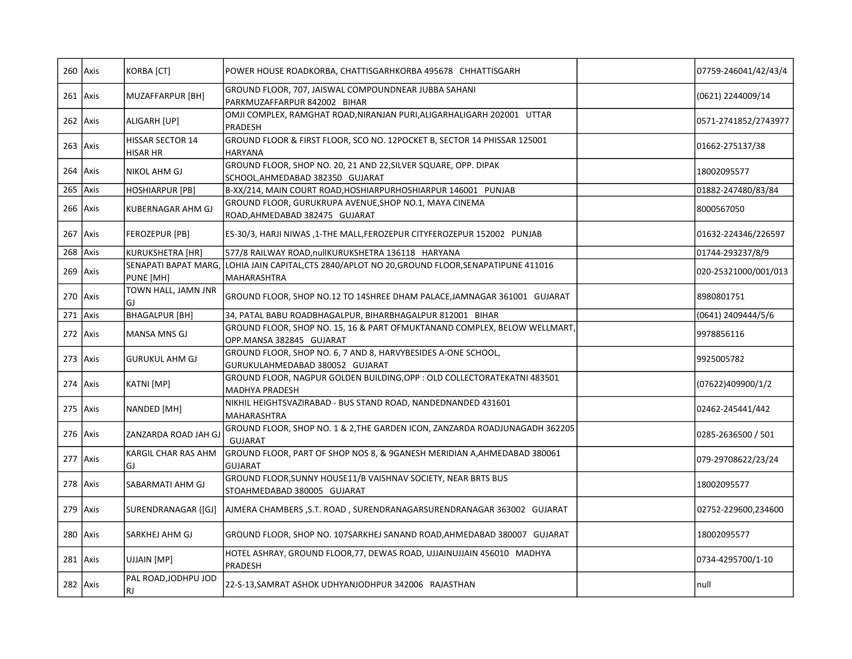|              | $260$ Axis | KORBA [CT]                                 | POWER HOUSE ROADKORBA, CHATTISGARHKORBA 495678 CHHATTISGARH                                                            | 07759-246041/42/43/4 |
|--------------|------------|--------------------------------------------|------------------------------------------------------------------------------------------------------------------------|----------------------|
| $261$ Axis   |            | MUZAFFARPUR [BH]                           | GROUND FLOOR, 707, JAISWAL COMPOUNDNEAR JUBBA SAHANI<br>PARKMUZAFFARPUR 842002 BIHAR                                   | (0621) 2244009/14    |
| $262$ Axis   |            | ALIGARH [UP]                               | OMJI COMPLEX, RAMGHAT ROAD, NIRANJAN PURI, ALIGARHALIGARH 202001 UTTAR<br>PRADESH                                      | 0571-2741852/2743977 |
| $263$ Axis   |            | <b>HISSAR SECTOR 14</b><br><b>HISAR HR</b> | GROUND FLOOR & FIRST FLOOR, SCO NO. 12POCKET B, SECTOR 14 PHISSAR 125001<br><b>HARYANA</b>                             | 01662-275137/38      |
| $264$ Axis   |            | NIKOL AHM GJ                               | GROUND FLOOR, SHOP NO. 20, 21 AND 22, SILVER SQUARE, OPP. DIPAK<br>SCHOOL, AHMEDABAD 382350 GUJARAT                    | 18002095577          |
| $265$ Axis   |            | HOSHIARPUR [PB]                            | B-XX/214, MAIN COURT ROAD, HOSHIARPURHOSHIARPUR 146001 PUNJAB                                                          | 01882-247480/83/84   |
| $266$   Axis |            | <b>KUBERNAGAR AHM GJ</b>                   | GROUND FLOOR, GURUKRUPA AVENUE, SHOP NO.1, MAYA CINEMA<br>ROAD, AHMEDABAD 382475 GUJARAT                               | 8000567050           |
|              | $267$ Axis | FEROZEPUR [PB]                             | ES-30/3, HARJI NIWAS ,1-THE MALL,FEROZEPUR CITYFEROZEPUR 152002 PUNJAB                                                 | 01632-224346/226597  |
| $268$ Axis   |            | <b>KURUKSHETRA [HR]</b>                    | 577/8 RAILWAY ROAD, nullKURUKSHETRA 136118 HARYANA                                                                     | 01744-293237/8/9     |
| 269 Axis     |            | PUNE [MH]                                  | SENAPATI BAPAT MARG, LOHIA JAIN CAPITAL, CTS 2840/APLOT NO 20, GROUND FLOOR, SENAPATIPUNE 411016<br><b>MAHARASHTRA</b> | 020-25321000/001/013 |
| 270 Axis     |            | TOWN HALL, JAMN JNR<br>GJ                  | GROUND FLOOR, SHOP NO.12 TO 14SHREE DHAM PALACE, JAMNAGAR 361001 GUJARAT                                               | 8980801751           |
| 271 Axis     |            | <b>BHAGALPUR [BH]</b>                      | 34, PATAL BABU ROADBHAGALPUR, BIHARBHAGALPUR 812001 BIHAR                                                              | (0641) 2409444/5/6   |
| $272$ Axis   |            | <b>MANSA MNS GJ</b>                        | GROUND FLOOR, SHOP NO. 15, 16 & PART OFMUKTANAND COMPLEX, BELOW WELLMART,<br>OPP.MANSA 382845 GUJARAT                  | 9978856116           |
| $273$ Axis   |            | <b>GURUKUL AHM GJ</b>                      | GROUND FLOOR, SHOP NO. 6, 7 AND 8, HARVYBESIDES A-ONE SCHOOL,<br>GURUKULAHMEDABAD 380052 GUJARAT                       | 9925005782           |
| $274$ Axis   |            | KATNI [MP]                                 | GROUND FLOOR, NAGPUR GOLDEN BUILDING, OPP : OLD COLLECTORATEKATNI 483501<br>MADHYA PRADESH                             | (07622)409900/1/2    |
| $275$ Axis   |            | NANDED [MH]                                | NIKHIL HEIGHTSVAZIRABAD - BUS STAND ROAD, NANDEDNANDED 431601<br>MAHARASHTRA                                           | 02462-245441/442     |
| 276 Axis     |            | ZANZARDA ROAD JAH GJ                       | GROUND FLOOR, SHOP NO. 1 & 2, THE GARDEN ICON, ZANZARDA ROADJUNAGADH 362205<br><b>GUJARAT</b>                          | 0285-2636500 / 501   |
| 277 Axis     |            | KARGIL CHAR RAS AHM<br>GJ                  | GROUND FLOOR, PART OF SHOP NOS 8, & 9GANESH MERIDIAN A, AHMEDABAD 380061<br><b>GUJARAT</b>                             | 079-29708622/23/24   |
| 278 Axis     |            | SABARMATI AHM GJ                           | GROUND FLOOR, SUNNY HOUSE11/B VAISHNAV SOCIETY, NEAR BRTS BUS<br>STOAHMEDABAD 380005 GUJARAT                           | 18002095577          |
| 279 Axis     |            | SURENDRANAGAR ([GJ]                        | AJMERA CHAMBERS, S.T. ROAD, SURENDRANAGARSURENDRANAGAR 363002 GUJARAT                                                  | 02752-229600,234600  |
|              | $280$ Axis | SARKHEJ AHM GJ                             | GROUND FLOOR, SHOP NO. 107SARKHEJ SANAND ROAD, AHMEDABAD 380007 GUJARAT                                                | 18002095577          |
| $281$ Axis   |            | UJJAIN [MP]                                | HOTEL ASHRAY, GROUND FLOOR, 77, DEWAS ROAD, UJJAINUJJAIN 456010 MADHYA<br>PRADESH                                      | 0734-4295700/1-10    |
|              | 282 Axis   | PAL ROAD, JODHPU JOD<br>RJ.                | 22-S-13, SAMRAT ASHOK UDHYANJODHPUR 342006 RAJASTHAN                                                                   | null                 |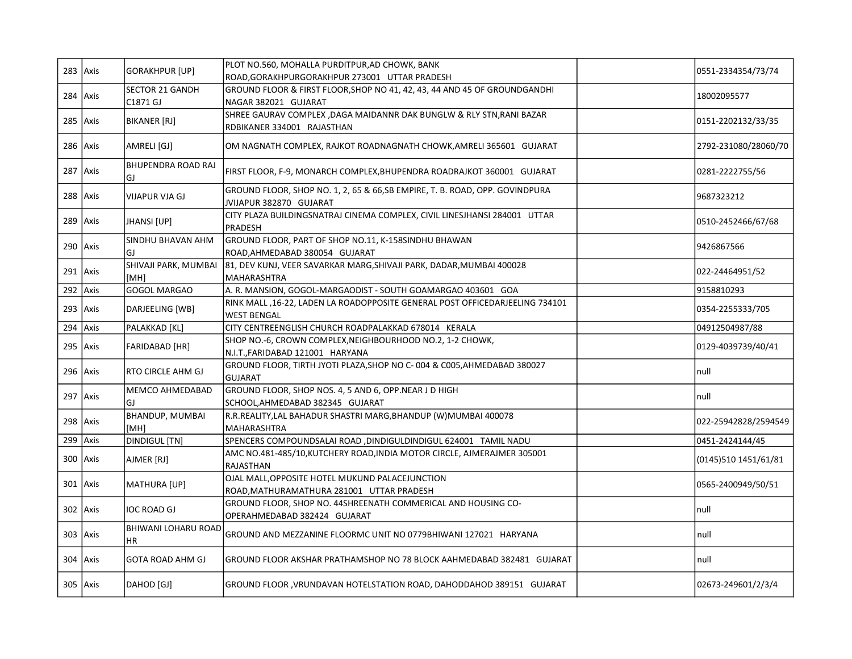| $283$ Axis  | <b>GORAKHPUR [UP]</b>              | PLOT NO.560, MOHALLA PURDITPUR,AD CHOWK, BANK<br>ROAD, GORAKHPURGORAKHPUR 273001 UTTAR PRADESH          | 0551-2334354/73/74   |
|-------------|------------------------------------|---------------------------------------------------------------------------------------------------------|----------------------|
| $284$ Axis  | <b>SECTOR 21 GANDH</b><br>C1871 GJ | GROUND FLOOR & FIRST FLOOR, SHOP NO 41, 42, 43, 44 AND 45 OF GROUNDGANDHI<br>NAGAR 382021 GUJARAT       | 18002095577          |
| $285$ Axis  | <b>BIKANER [RJ]</b>                | SHREE GAURAV COMPLEX , DAGA MAIDANNR DAK BUNGLW & RLY STN, RANI BAZAR<br>RDBIKANER 334001 RAJASTHAN     | 0151-2202132/33/35   |
| $286$ Axis  | AMRELI [GJ]                        | OM NAGNATH COMPLEX, RAJKOT ROADNAGNATH CHOWK, AMRELI 365601 GUJARAT                                     | 2792-231080/28060/70 |
| $287$ Axis  | <b>BHUPENDRA ROAD RAJ</b><br>GJ.   | FIRST FLOOR, F-9, MONARCH COMPLEX, BHUPENDRA ROADRAJKOT 360001 GUJARAT                                  | 0281-2222755/56      |
| $288$ Axis  | VIJAPUR VJA GJ                     | GROUND FLOOR, SHOP NO. 1, 2, 65 & 66, SB EMPIRE, T. B. ROAD, OPP. GOVINDPURA<br>JVIJAPUR 382870 GUJARAT | 9687323212           |
| 289 $Axis$  | JHANSI [UP]                        | CITY PLAZA BUILDINGSNATRAJ CINEMA COMPLEX, CIVIL LINESJHANSI 284001 UTTAR<br>PRADESH                    | 0510-2452466/67/68   |
| $290$ Axis  | SINDHU BHAVAN AHM<br>GJ.           | GROUND FLOOR, PART OF SHOP NO.11, K-158SINDHU BHAWAN<br>ROAD, AHMEDABAD 380054 GUJARAT                  | 9426867566           |
| $291$ Axis  | SHIVAJI PARK, MUMBAI<br>[MH]       | 81, DEV KUNJ, VEER SAVARKAR MARG, SHIVAJI PARK, DADAR, MUMBAI 400028<br>MAHARASHTRA                     | 022-24464951/52      |
| $292$ Axis  | <b>GOGOL MARGAO</b>                | A. R. MANSION, GOGOL-MARGAODIST - SOUTH GOAMARGAO 403601 GOA                                            | 9158810293           |
| $293$ Axis  | DARJEELING [WB]                    | RINK MALL ,16-22, LADEN LA ROADOPPOSITE GENERAL POST OFFICEDARJEELING 734101<br><b>WEST BENGAL</b>      | 0354-2255333/705     |
| 294 $Axis$  | PALAKKAD [KL]                      | CITY CENTREENGLISH CHURCH ROADPALAKKAD 678014 KERALA                                                    | 04912504987/88       |
| $295$ Axis  | FARIDABAD [HR]                     | SHOP NO.-6, CROWN COMPLEX, NEIGHBOURHOOD NO.2, 1-2 CHOWK,<br>N.I.T., FARIDABAD 121001 HARYANA           | 0129-4039739/40/41   |
| 296 Axis    | <b>RTO CIRCLE AHM GJ</b>           | GROUND FLOOR, TIRTH JYOTI PLAZA, SHOP NO C-004 & C005, AHMEDABAD 380027<br><b>GUJARAT</b>               | null                 |
| $297$ Axis  | MEMCO AHMEDABAD<br>GJ              | GROUND FLOOR, SHOP NOS. 4, 5 AND 6, OPP.NEAR J D HIGH<br>SCHOOL, AHMEDABAD 382345 GUJARAT               | null                 |
| $298$ Axis  | <b>BHANDUP, MUMBAI</b><br>[MH]     | R.R.REALITY, LAL BAHADUR SHASTRI MARG, BHANDUP (W) MUMBAI 400078<br><b>MAHARASHTRA</b>                  | 022-25942828/2594549 |
| $299$ Axis  | DINDIGUL [TN]                      | SPENCERS COMPOUNDSALAI ROAD , DINDIGULDINDIGUL 624001 TAMIL NADU                                        | 0451-2424144/45      |
| $300$ Axis  | AJMER [RJ]                         | AMC NO.481-485/10, KUTCHERY ROAD, INDIA MOTOR CIRCLE, AJMERAJMER 305001<br>RAJASTHAN                    | (0145)510 1451/61/81 |
| $301$ Axis  | <b>MATHURA [UP]</b>                | OJAL MALL, OPPOSITE HOTEL MUKUND PALACEJUNCTION<br>ROAD, MATHURAMATHURA 281001 UTTAR PRADESH            | 0565-2400949/50/51   |
| $302$ Axis  | <b>IOC ROAD GJ</b>                 | GROUND FLOOR, SHOP NO. 44SHREENATH COMMERICAL AND HOUSING CO-<br>OPERAHMEDABAD 382424 GUJARAT           | null                 |
| $303$ Axis  | BHIWANI LOHARU ROAD<br>HR          | GROUND AND MEZZANINE FLOORMC UNIT NO 0779BHIWANI 127021 HARYANA                                         | null                 |
| $304$ Axis  | <b>GOTA ROAD AHM GJ</b>            | GROUND FLOOR AKSHAR PRATHAMSHOP NO 78 BLOCK AAHMEDABAD 382481 GUJARAT                                   | null                 |
| $305$  Axis | DAHOD [GJ]                         | GROUND FLOOR , VRUNDAVAN HOTELSTATION ROAD, DAHODDAHOD 389151 GUJARAT                                   | 02673-249601/2/3/4   |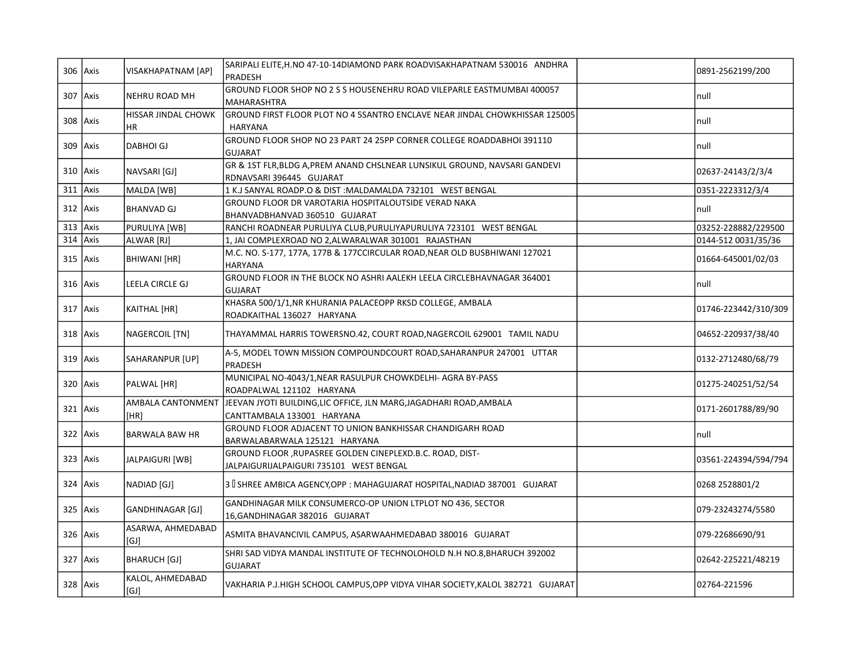|            | $306$ Axis   | VISAKHAPATNAM [AP]         | SARIPALI ELITE, H.NO 47-10-14DIAMOND PARK ROADVISAKHAPATNAM 530016 ANDHRA<br>PRADESH                   | 0891-2562199/200     |
|------------|--------------|----------------------------|--------------------------------------------------------------------------------------------------------|----------------------|
|            | 307 Axis     | NEHRU ROAD MH              | GROUND FLOOR SHOP NO 2 S S HOUSENEHRU ROAD VILEPARLE EASTMUMBAI 400057<br>MAHARASHTRA                  | null                 |
|            | 308 Axis     | HISSAR JINDAL CHOWK<br>HR. | GROUND FIRST FLOOR PLOT NO 4 5SANTRO ENCLAVE NEAR JINDAL CHOWKHISSAR 125005<br><b>HARYANA</b>          | Inull                |
|            | $309$ Axis   | DABHOI GJ                  | GROUND FLOOR SHOP NO 23 PART 24 25PP CORNER COLLEGE ROADDABHOI 391110<br><b>GUJARAT</b>                | null                 |
|            | $310$ Axis   | NAVSARI [GJ]               | GR & 1ST FLR, BLDG A, PREM ANAND CHSLNEAR LUNSIKUL GROUND, NAVSARI GANDEVI<br>RDNAVSARI 396445 GUJARAT | 02637-24143/2/3/4    |
|            | $311$ Axis   | MALDA [WB]                 | 1 K.J SANYAL ROADP.O & DIST: MALDAMALDA 732101 WEST BENGAL                                             | 0351-2223312/3/4     |
|            | $312$   Axis | <b>BHANVAD GJ</b>          | GROUND FLOOR DR VAROTARIA HOSPITALOUTSIDE VERAD NAKA<br>BHANVADBHANVAD 360510 GUJARAT                  | Inull                |
| $313$ Axis |              | PURULIYA [WB]              | RANCHI ROADNEAR PURULIYA CLUB, PURULIYAPURULIYA 723101 WEST BENGAL                                     | 03252-228882/229500  |
|            | $314$ Axis   | ALWAR [RJ]                 | 1, JAI COMPLEXROAD NO 2, ALWARALWAR 301001 RAJASTHAN                                                   | 0144-512 0031/35/36  |
|            | $315$ Axis   | BHIWANI [HR]               | M.C. NO. S-177, 177A, 177B & 177CCIRCULAR ROAD, NEAR OLD BUSBHIWANI 127021<br><b>HARYANA</b>           | 01664-645001/02/03   |
|            | $316$ Axis   | LEELA CIRCLE GJ            | GROUND FLOOR IN THE BLOCK NO ASHRI AALEKH LEELA CIRCLEBHAVNAGAR 364001<br><b>GUJARAT</b>               | null                 |
|            | $317$ Axis   | KAITHAL [HR]               | KHASRA 500/1/1, NR KHURANIA PALACEOPP RKSD COLLEGE, AMBALA<br>ROADKAITHAL 136027 HARYANA               | 01746-223442/310/309 |
|            | $318$ Axis   | NAGERCOIL [TN]             | THAYAMMAL HARRIS TOWERSNO.42, COURT ROAD, NAGERCOIL 629001 TAMIL NADU                                  | 04652-220937/38/40   |
|            | $319$ Axis   | SAHARANPUR [UP]            | A-5, MODEL TOWN MISSION COMPOUNDCOURT ROAD, SAHARANPUR 247001 UTTAR<br>PRADESH                         | 0132-2712480/68/79   |
|            | $320$ Axis   | PALWAL [HR]                | MUNICIPAL NO-4043/1, NEAR RASULPUR CHOWKDELHI- AGRA BY-PASS<br>ROADPALWAL 121102 HARYANA               | 01275-240251/52/54   |
|            | $321$ Axis   | AMBALA CANTONMENT<br>[HR]  | JEEVAN JYOTI BUILDING,LIC OFFICE, JLN MARG,JAGADHARI ROAD,AMBALA<br>CANTTAMBALA 133001 HARYANA         | 0171-2601788/89/90   |
|            | $322$ Axis   | BARWALA BAW HR             | GROUND FLOOR ADJACENT TO UNION BANKHISSAR CHANDIGARH ROAD<br>BARWALABARWALA 125121 HARYANA             | Inull                |
|            | $323$ Axis   | JALPAIGURI [WB]            | GROUND FLOOR , RUPASREE GOLDEN CINEPLEXD.B.C. ROAD, DIST-<br>JALPAIGURIJALPAIGURI 735101 WEST BENGAL   | 03561-224394/594/794 |
|            | $324$ Axis   | NADIAD [GJ]                | 3 SHREE AMBICA AGENCY, OPP: MAHAGUJARAT HOSPITAL, NADIAD 387001 GUJARAT                                | 0268 2528801/2       |
|            | 325 Axis     | GANDHINAGAR [GJ]           | GANDHINAGAR MILK CONSUMERCO-OP UNION LTPLOT NO 436, SECTOR<br>16, GANDHINAGAR 382016 GUJARAT           | 079-23243274/5580    |
|            | $326$ Axis   | ASARWA, AHMEDABAD<br>[GJ]  | ASMITA BHAVANCIVIL CAMPUS, ASARWAAHMEDABAD 380016 GUJARAT                                              | 079-22686690/91      |
|            | 327 Axis     | BHARUCH [GJ]               | SHRI SAD VIDYA MANDAL INSTITUTE OF TECHNOLOHOLD N.H NO.8, BHARUCH 392002<br><b>GUJARAT</b>             | 02642-225221/48219   |
|            | 328 Axis     | KALOL, AHMEDABAD<br>[GJ]   | VAKHARIA P.J.HIGH SCHOOL CAMPUS,OPP VIDYA VIHAR SOCIETY, KALOL 382721 GUJARAT                          | 02764-221596         |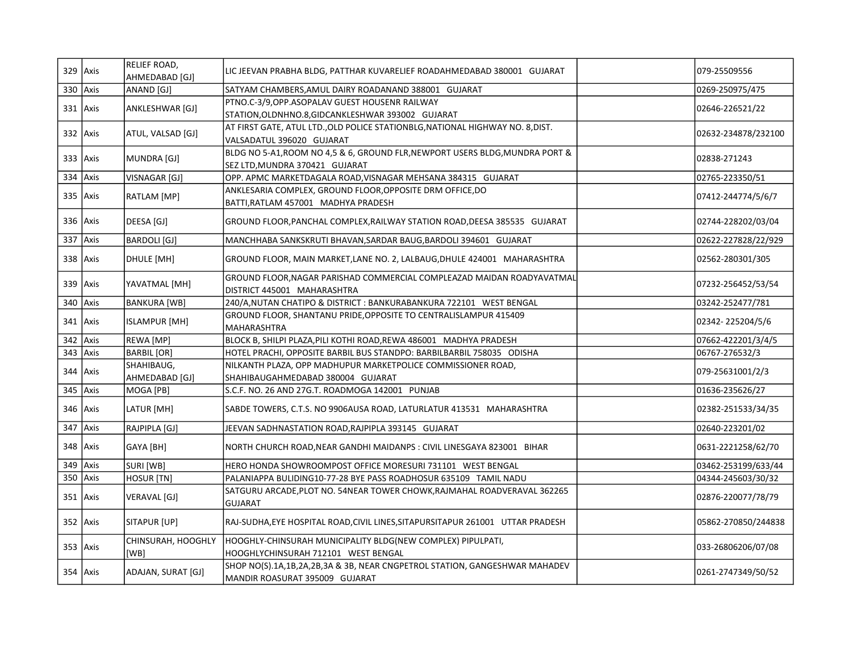|            | $329$ Axis | <b>RELIEF ROAD,</b><br>AHMEDABAD [GJ] | LIC JEEVAN PRABHA BLDG, PATTHAR KUVARELIEF ROADAHMEDABAD 380001 GUJARAT                                        | 079-25509556        |
|------------|------------|---------------------------------------|----------------------------------------------------------------------------------------------------------------|---------------------|
|            | 330 Axis   | ANAND [GJ]                            | SATYAM CHAMBERS, AMUL DAIRY ROADANAND 388001 GUJARAT                                                           | 0269-250975/475     |
|            | 331 Axis   | ANKLESHWAR [GJ]                       | PTNO.C-3/9, OPP.ASOPALAV GUEST HOUSENR RAILWAY<br>STATION, OLDNHNO.8, GIDCANKLESHWAR 393002 GUJARAT            | 02646-226521/22     |
|            | $332$ Axis | ATUL, VALSAD [GJ]                     | AT FIRST GATE, ATUL LTD., OLD POLICE STATIONBLG, NATIONAL HIGHWAY NO. 8, DIST.<br>VALSADATUL 396020 GUJARAT    | 02632-234878/232100 |
|            | $333$ Axis | MUNDRA [GJ]                           | BLDG NO 5-A1, ROOM NO 4,5 & 6, GROUND FLR, NEWPORT USERS BLDG, MUNDRA PORT &<br>SEZ LTD, MUNDRA 370421 GUJARAT | 02838-271243        |
| 334 Axis   |            | VISNAGAR [GJ]                         | OPP. APMC MARKETDAGALA ROAD, VISNAGAR MEHSANA 384315 GUJARAT                                                   | 02765-223350/51     |
|            | $335$ Axis | <b>RATLAM</b> [MP]                    | ANKLESARIA COMPLEX, GROUND FLOOR, OPPOSITE DRM OFFICE, DO<br>BATTI, RATLAM 457001 MADHYA PRADESH               | 07412-244774/5/6/7  |
|            | 336 Axis   | DEESA [GJ]                            | GROUND FLOOR, PANCHAL COMPLEX, RAILWAY STATION ROAD, DEESA 385535 GUJARAT                                      | 02744-228202/03/04  |
| 337 Axis   |            | BARDOLI [GJ]                          | MANCHHABA SANKSKRUTI BHAVAN, SARDAR BAUG, BARDOLI 394601 GUJARAT                                               | 02622-227828/22/929 |
|            | $338$ Axis | DHULE [MH]                            | GROUND FLOOR, MAIN MARKET,LANE NO. 2, LALBAUG,DHULE 424001 MAHARASHTRA                                         | 02562-280301/305    |
|            | $339$ Axis | YAVATMAL [MH]                         | GROUND FLOOR, NAGAR PARISHAD COMMERCIAL COMPLEAZAD MAIDAN ROADYAVATMAL<br>DISTRICT 445001 MAHARASHTRA          | 07232-256452/53/54  |
| 340 Axis   |            | <b>BANKURA [WB]</b>                   | 240/A, NUTAN CHATIPO & DISTRICT : BANKURABANKURA 722101 WEST BENGAL                                            | 03242-252477/781    |
|            | $341$ Axis | <b>ISLAMPUR [MH]</b>                  | GROUND FLOOR, SHANTANU PRIDE, OPPOSITE TO CENTRALISLAMPUR 415409<br>MAHARASHTRA                                | 02342-225204/5/6    |
|            | $342$ Axis | REWA [MP]                             | BLOCK B, SHILPI PLAZA, PILI KOTHI ROAD, REWA 486001 MADHYA PRADESH                                             | 07662-422201/3/4/5  |
|            | $343$ Axis | <b>BARBIL</b> [OR]                    | HOTEL PRACHI, OPPOSITE BARBIL BUS STANDPO: BARBILBARBIL 758035 ODISHA                                          | 06767-276532/3      |
|            | 344 Axis   | SHAHIBAUG,<br>AHMEDABAD [GJ]          | NILKANTH PLAZA, OPP MADHUPUR MARKETPOLICE COMMISSIONER ROAD,<br>SHAHIBAUGAHMEDABAD 380004 GUJARAT              | 079-25631001/2/3    |
|            | $345$ Axis | MOGA [PB]                             | S.C.F. NO. 26 AND 27G.T. ROADMOGA 142001 PUNJAB                                                                | 01636-235626/27     |
|            | $346$ Axis | LATUR [MH]                            | SABDE TOWERS, C.T.S. NO 9906AUSA ROAD, LATURLATUR 413531 MAHARASHTRA                                           | 02382-251533/34/35  |
| 347        | Axis       | RAJPIPLA [GJ]                         | JEEVAN SADHNASTATION ROAD, RAJPIPLA 393145 GUJARAT                                                             | 02640-223201/02     |
|            | $348$ Axis | GAYA [BH]                             | NORTH CHURCH ROAD, NEAR GANDHI MAIDANPS: CIVIL LINESGAYA 823001 BIHAR                                          | 0631-2221258/62/70  |
| $349$ Axis |            | <b>SURI [WB]</b>                      | HERO HONDA SHOWROOMPOST OFFICE MORESURI 731101 WEST BENGAL                                                     | 03462-253199/633/44 |
| 350 Axis   |            | <b>HOSUR [TN]</b>                     | PALANIAPPA BULIDING10-77-28 BYE PASS ROADHOSUR 635109 TAMIL NADU                                               | 04344-245603/30/32  |
|            | $351$ Axis | VERAVAL [GJ]                          | SATGURU ARCADE,PLOT NO. 54NEAR TOWER CHOWK,RAJMAHAL ROADVERAVAL 362265<br><b>GUJARAT</b>                       | 02876-220077/78/79  |
|            | $352$ Axis | SITAPUR [UP]                          | RAJ-SUDHA, EYE HOSPITAL ROAD, CIVIL LINES, SITAPURSITAPUR 261001 UTTAR PRADESH                                 | 05862-270850/244838 |
|            | $353$ Axis | CHINSURAH, HOOGHLY<br>[WB]            | HOOGHLY-CHINSURAH MUNICIPALITY BLDG(NEW COMPLEX) PIPULPATI,<br>HOOGHLYCHINSURAH 712101 WEST BENGAL             | 033-26806206/07/08  |
|            | $354$ Axis | ADAJAN, SURAT [GJ]                    | SHOP NO(S).1A,1B,2A,2B,3A & 3B, NEAR CNGPETROL STATION, GANGESHWAR MAHADEV<br>MANDIR ROASURAT 395009 GUJARAT   | 0261-2747349/50/52  |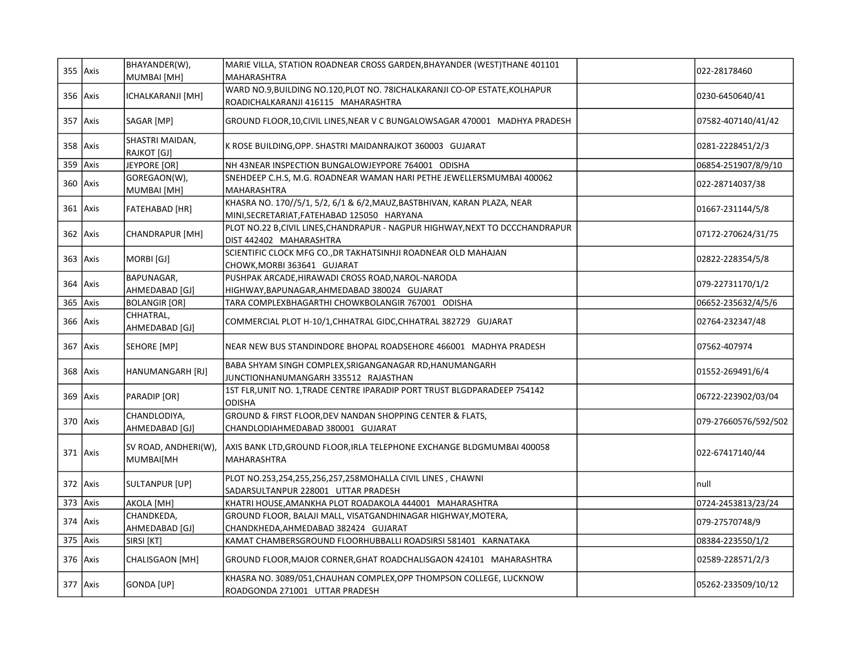|            | $355$ Axis | BHAYANDER(W),<br>MUMBAI [MH]      | MARIE VILLA, STATION ROADNEAR CROSS GARDEN, BHAYANDER (WEST)THANE 401101<br>MAHARASHTRA                                 | 022-28178460         |
|------------|------------|-----------------------------------|-------------------------------------------------------------------------------------------------------------------------|----------------------|
|            | 356 Axis   | ICHALKARANJI [MH]                 | WARD NO.9, BUILDING NO.120, PLOT NO. 78ICHALKARANJI CO-OP ESTATE, KOLHAPUR<br>ROADICHALKARANJI 416115 MAHARASHTRA       | 0230-6450640/41      |
|            | 357 Axis   | SAGAR [MP]                        | GROUND FLOOR, 10, CIVIL LINES, NEAR V C BUNGALOWSAGAR 470001 MADHYA PRADESH                                             | 07582-407140/41/42   |
|            | 358 Axis   | SHASTRI MAIDAN,<br>RAJKOT [GJ]    | K ROSE BUILDING, OPP. SHASTRI MAIDANRAJKOT 360003 GUJARAT                                                               | 0281-2228451/2/3     |
| 359 $Axis$ |            | JEYPORE [OR]                      | NH 43NEAR INSPECTION BUNGALOWJEYPORE 764001 ODISHA                                                                      | 06854-251907/8/9/10  |
|            | $360$ Axis | GOREGAON(W),<br>MUMBAI [MH]       | SNEHDEEP C.H.S, M.G. ROADNEAR WAMAN HARI PETHE JEWELLERSMUMBAI 400062<br><b>MAHARASHTRA</b>                             | 022-28714037/38      |
|            | $361$ Axis | FATEHABAD [HR]                    | KHASRA NO. 170//5/1, 5/2, 6/1 & 6/2, MAUZ, BASTBHIVAN, KARAN PLAZA, NEAR<br>MINI, SECRETARIAT, FATEHABAD 125050 HARYANA | 01667-231144/5/8     |
|            | $362$ Axis | CHANDRAPUR [MH]                   | PLOT NO.22 B,CIVIL LINES, CHANDRAPUR - NAGPUR HIGHWAY, NEXT TO DCCCHANDRAPUR<br>DIST 442402 MAHARASHTRA                 | 07172-270624/31/75   |
|            | $363$ Axis | MORBI [GJ]                        | SCIENTIFIC CLOCK MFG CO., DR TAKHATSINHJI ROADNEAR OLD MAHAJAN<br>CHOWK, MORBI 363641 GUJARAT                           | 02822-228354/5/8     |
|            | $364$ Axis | BAPUNAGAR,<br>AHMEDABAD [GJ]      | PUSHPAK ARCADE, HIRAWADI CROSS ROAD, NAROL-NARODA<br>HIGHWAY, BAPUNAGAR, AHMEDABAD 380024 GUJARAT                       | 079-22731170/1/2     |
| 365 $Axis$ |            | <b>BOLANGIR [OR]</b>              | TARA COMPLEXBHAGARTHI CHOWKBOLANGIR 767001 ODISHA                                                                       | 06652-235632/4/5/6   |
|            | 366 Axis   | CHHATRAL,<br>AHMEDABAD [GJ]       | COMMERCIAL PLOT H-10/1, CHHATRAL GIDC, CHHATRAL 382729 GUJARAT                                                          | 02764-232347/48      |
|            | 367 Axis   | SEHORE [MP]                       | NEAR NEW BUS STANDINDORE BHOPAL ROADSEHORE 466001 MADHYA PRADESH                                                        | 07562-407974         |
|            | $368$ Axis | HANUMANGARH [RJ]                  | BABA SHYAM SINGH COMPLEX, SRIGANGANAGAR RD, HANUMANGARH<br>JUNCTIONHANUMANGARH 335512 RAJASTHAN                         | 01552-269491/6/4     |
|            | $369$ Axis | PARADIP [OR]                      | 1ST FLR, UNIT NO. 1, TRADE CENTRE IPARADIP PORT TRUST BLGDPARADEEP 754142<br><b>ODISHA</b>                              | 06722-223902/03/04   |
|            | 370 Axis   | CHANDLODIYA,<br>AHMEDABAD [GJ]    | GROUND & FIRST FLOOR, DEV NANDAN SHOPPING CENTER & FLATS,<br>CHANDLODIAHMEDABAD 380001 GUJARAT                          | 079-27660576/592/502 |
|            | $371$ Axis | SV ROAD, ANDHERI(W),<br>MUMBAI[MH | AXIS BANK LTD,GROUND FLOOR, IRLA TELEPHONE EXCHANGE BLDGMUMBAI 400058<br><b>MAHARASHTRA</b>                             | 022-67417140/44      |
|            | $372$ Axis | SULTANPUR [UP]                    | PLOT NO.253,254,255,256,257,258MOHALLA CIVIL LINES, CHAWNI<br>SADARSULTANPUR 228001 UTTAR PRADESH                       | Inull                |
| 373 $Axis$ |            | AKOLA [MH]                        | KHATRI HOUSE, AMANKHA PLOT ROADAKOLA 444001 MAHARASHTRA                                                                 | 0724-2453813/23/24   |
|            | $374$ Axis | CHANDKEDA,<br>AHMEDABAD [GJ]      | GROUND FLOOR, BALAJI MALL, VISATGANDHINAGAR HIGHWAY, MOTERA,<br>CHANDKHEDA, AHMEDABAD 382424 GUJARAT                    | 079-27570748/9       |
| $375$ Axis |            | SIRSI [KT]                        | KAMAT CHAMBERSGROUND FLOORHUBBALLI ROADSIRSI 581401 KARNATAKA                                                           | 08384-223550/1/2     |
|            | $376$ Axis | CHALISGAON [MH]                   | GROUND FLOOR, MAJOR CORNER, GHAT ROADCHALISGAON 424101 MAHARASHTRA                                                      | 02589-228571/2/3     |
|            | 377 Axis   | GONDA [UP]                        | KHASRA NO. 3089/051, CHAUHAN COMPLEX, OPP THOMPSON COLLEGE, LUCKNOW<br>ROADGONDA 271001 UTTAR PRADESH                   | 05262-233509/10/12   |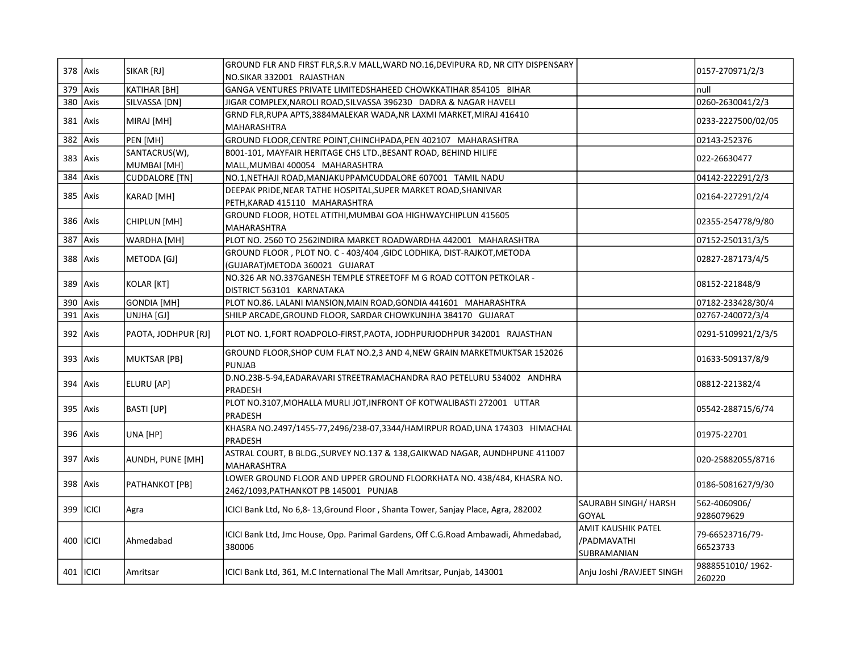|          | 378 Axis    | SIKAR [RJ]            | GROUND FLR AND FIRST FLR, S.R.V MALL, WARD NO.16, DEVIPURA RD, NR CITY DISPENSARY         |                            | 0157-270971/2/3            |
|----------|-------------|-----------------------|-------------------------------------------------------------------------------------------|----------------------------|----------------------------|
|          |             |                       | NO.SIKAR 332001 RAJASTHAN                                                                 |                            |                            |
| 379      | Axis        | KATIHAR [BH]          | GANGA VENTURES PRIVATE LIMITEDSHAHEED CHOWKKATIHAR 854105 BIHAR                           |                            | null                       |
| 380 Axis |             | SILVASSA [DN]         | JIGAR COMPLEX, NAROLI ROAD, SILVASSA 396230 DADRA & NAGAR HAVELI                          |                            | 0260-2630041/2/3           |
|          | 381 Axis    | MIRAJ [MH]            | GRND FLR, RUPA APTS, 3884 MALEKAR WADA, NR LAXMI MARKET, MIRAJ 416410                     |                            | 0233-2227500/02/05         |
|          |             |                       | MAHARASHTRA                                                                               |                            |                            |
| 382 Axis |             | PEN [MH]              | GROUND FLOOR, CENTRE POINT, CHINCHPADA, PEN 402107 MAHARASHTRA                            |                            | 02143-252376               |
|          | $383$ Axis  | SANTACRUS(W),         | B001-101, MAYFAIR HERITAGE CHS LTD., BESANT ROAD, BEHIND HILIFE                           |                            | 022-26630477               |
|          |             | MUMBAI [MH]           | MALL, MUMBAI 400054 MAHARASHTRA                                                           |                            |                            |
| 384 Axis |             | <b>CUDDALORE [TN]</b> | NO.1, NETHAJI ROAD, MANJAKUPPAMCUDDALORE 607001 TAMIL NADU                                |                            | 04142-222291/2/3           |
|          | $385$ Axis  | KARAD [MH]            | DEEPAK PRIDE, NEAR TATHE HOSPITAL, SUPER MARKET ROAD, SHANIVAR                            |                            | 02164-227291/2/4           |
|          |             |                       | PETH, KARAD 415110 MAHARASHTRA                                                            |                            |                            |
|          | 386   Axis  | CHIPLUN [MH]          | GROUND FLOOR, HOTEL ATITHI, MUMBAI GOA HIGHWAYCHIPLUN 415605                              |                            | 02355-254778/9/80          |
|          |             |                       | MAHARASHTRA                                                                               |                            |                            |
| 387 Axis |             | WARDHA [MH]           | PLOT NO. 2560 TO 2562INDIRA MARKET ROADWARDHA 442001 MAHARASHTRA                          |                            | 07152-250131/3/5           |
|          | $388$ Axis  | METODA [GJ]           | GROUND FLOOR, PLOT NO. C - 403/404, GIDC LODHIKA, DIST-RAJKOT, METODA                     |                            | 02827-287173/4/5           |
|          |             |                       | (GUJARAT) METODA 360021 GUJARAT                                                           |                            |                            |
|          | $389$ Axis  | KOLAR [KT]            | NO.326 AR NO.337GANESH TEMPLE STREETOFF M G ROAD COTTON PETKOLAR -                        |                            | 08152-221848/9             |
|          |             |                       | DISTRICT 563101 KARNATAKA                                                                 |                            |                            |
| 390 Axis |             | GONDIA [MH]           | PLOT NO.86. LALANI MANSION, MAIN ROAD, GONDIA 441601 MAHARASHTRA                          |                            | 07182-233428/30/4          |
|          | $391$ Axis  | UNJHA [GJ]            | SHILP ARCADE, GROUND FLOOR, SARDAR CHOWKUNJHA 384170 GUJARAT                              |                            | 02767-240072/3/4           |
| 392 Axis |             | PAOTA, JODHPUR [RJ]   | PLOT NO. 1, FORT ROADPOLO-FIRST, PAOTA, JODHPURJODHPUR 342001 RAJASTHAN                   |                            | 0291-5109921/2/3/5         |
|          | $393$ Axis  | <b>MUKTSAR [PB]</b>   | GROUND FLOOR, SHOP CUM FLAT NO.2,3 AND 4, NEW GRAIN MARKETMUKTSAR 152026<br><b>PUNJAB</b> |                            | 01633-509137/8/9           |
|          |             |                       | D.NO.23B-5-94, EADARAVARI STREETRAMACHANDRA RAO PETELURU 534002 ANDHRA                    |                            |                            |
|          | 394   Axis  | ELURU [AP]            | PRADESH                                                                                   |                            | 08812-221382/4             |
|          |             |                       | PLOT NO.3107, MOHALLA MURLI JOT, INFRONT OF KOTWALIBASTI 272001 UTTAR                     |                            |                            |
|          | 395 Axis    | BASTI [UP]            | PRADESH                                                                                   |                            | 05542-288715/6/74          |
|          |             |                       | KHASRA NO.2497/1455-77,2496/238-07,3344/HAMIRPUR ROAD,UNA 174303 HIMACHAL                 |                            |                            |
|          | 396 Axis    | UNA [HP]              | PRADESH                                                                                   |                            | 01975-22701                |
|          |             |                       | ASTRAL COURT, B BLDG., SURVEY NO.137 & 138, GAIKWAD NAGAR, AUNDHPUNE 411007               |                            |                            |
|          | 397   Axis  | AUNDH, PUNE [MH]      | MAHARASHTRA                                                                               |                            | 020-25882055/8716          |
|          |             |                       | LOWER GROUND FLOOR AND UPPER GROUND FLOORKHATA NO. 438/484, KHASRA NO.                    |                            |                            |
|          | 398 Axis    | PATHANKOT [PB]        | 2462/1093, PATHANKOT PB 145001 PUNJAB                                                     |                            | 0186-5081627/9/30          |
|          |             |                       |                                                                                           | SAURABH SINGH/ HARSH       | 562-4060906/               |
|          | 399   ICICI | Agra                  | ICICI Bank Ltd, No 6,8-13, Ground Floor, Shanta Tower, Sanjay Place, Agra, 282002         | <b>GOYAL</b>               | 9286079629                 |
|          |             |                       |                                                                                           | <b>AMIT KAUSHIK PATEL</b>  |                            |
|          | 400   ICICI | Ahmedabad             | ICICI Bank Ltd, Jmc House, Opp. Parimal Gardens, Off C.G.Road Ambawadi, Ahmedabad,        | /PADMAVATHI                | 79-66523716/79-            |
|          |             |                       | 380006                                                                                    | SUBRAMANIAN                | 66523733                   |
|          | 401   ICICI | Amritsar              | ICICI Bank Ltd, 361, M.C International The Mall Amritsar, Punjab, 143001                  | Anju Joshi / RAVJEET SINGH | 9888551010/1962-<br>260220 |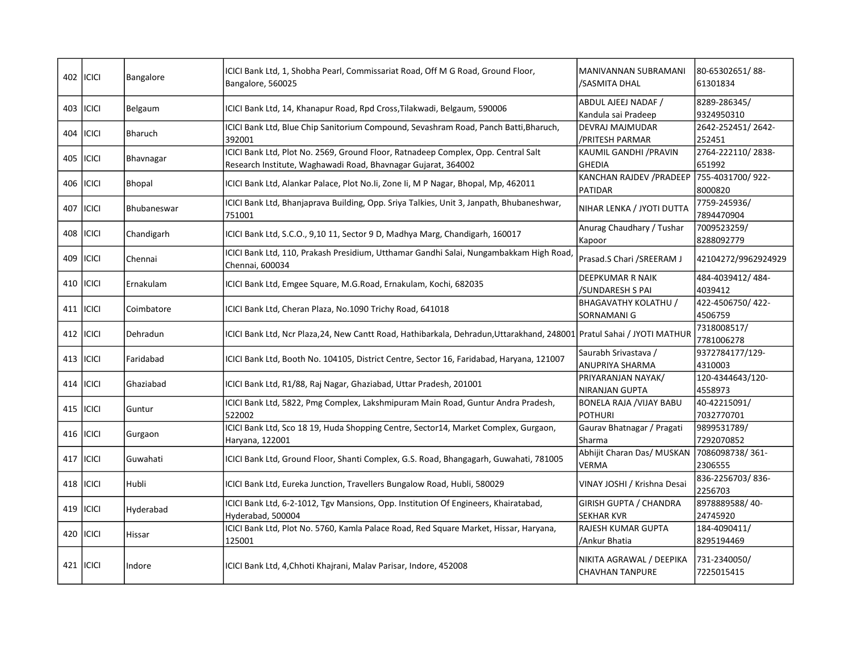|       | 402 ICICI    | Bangalore     | ICICI Bank Ltd, 1, Shobha Pearl, Commissariat Road, Off M G Road, Ground Floor,<br>Bangalore, 560025                                               | MANIVANNAN SUBRAMANI<br>/SASMITA DHAL              | 80-65302651/88-<br>61301834 |
|-------|--------------|---------------|----------------------------------------------------------------------------------------------------------------------------------------------------|----------------------------------------------------|-----------------------------|
|       | 403   ICICI  | Belgaum       | ICICI Bank Ltd, 14, Khanapur Road, Rpd Cross, Tilakwadi, Belgaum, 590006                                                                           | ABDUL AJEEJ NADAF /<br>Kandula sai Pradeep         | 8289-286345/<br>9324950310  |
|       | 404   ICICI  | Bharuch       | ICICI Bank Ltd, Blue Chip Sanitorium Compound, Sevashram Road, Panch Batti, Bharuch,<br>392001                                                     | <b>DEVRAJ MAJMUDAR</b><br>/PRITESH PARMAR          | 2642-252451/2642-<br>252451 |
| 405   | <b>ICICI</b> | Bhavnagar     | ICICI Bank Ltd, Plot No. 2569, Ground Floor, Ratnadeep Complex, Opp. Central Salt<br>Research Institute, Waghawadi Road, Bhavnagar Gujarat, 364002 | KAUMIL GANDHI / PRAVIN<br><b>GHEDIA</b>            | 2764-222110/2838-<br>651992 |
| 406   | <b>ICICI</b> | <b>Bhopal</b> | ICICI Bank Ltd, Alankar Palace, Plot No. Ii, Zone Ii, M P Nagar, Bhopal, Mp, 462011                                                                | KANCHAN RAJDEV / PRADEEP<br><b>PATIDAR</b>         | 755-4031700/922-<br>8000820 |
| 407   | <b>ICICI</b> | Bhubaneswar   | ICICI Bank Ltd, Bhanjaprava Building, Opp. Sriya Talkies, Unit 3, Janpath, Bhubaneshwar,<br>751001                                                 | NIHAR LENKA / JYOTI DUTTA                          | 7759-245936/<br>7894470904  |
|       | 408 ICICI    | Chandigarh    | ICICI Bank Ltd, S.C.O., 9,10 11, Sector 9 D, Madhya Marg, Chandigarh, 160017                                                                       | Anurag Chaudhary / Tushar<br>Kapoor                | 7009523259/<br>8288092779   |
| 409   | ICICI        | Chennai       | ICICI Bank Ltd, 110, Prakash Presidium, Utthamar Gandhi Salai, Nungambakkam High Road<br>Chennai, 600034                                           | Prasad.S Chari / SREERAM J                         | 42104272/9962924929         |
| 410 l | ICICI        | Ernakulam     | ICICI Bank Ltd, Emgee Square, M.G.Road, Ernakulam, Kochi, 682035                                                                                   | <b>DEEPKUMAR R NAIK</b><br>/SUNDARESH S PAI        | 484-4039412/484-<br>4039412 |
|       | 411 ICICI    | Coimbatore    | ICICI Bank Ltd, Cheran Plaza, No.1090 Trichy Road, 641018                                                                                          | <b>BHAGAVATHY KOLATHU /</b><br>SORNAMANI G         | 422-4506750/422-<br>4506759 |
|       | 412 ICICI    | Dehradun      | ICICI Bank Ltd, Ncr Plaza,24, New Cantt Road, Hathibarkala, Dehradun,Uttarakhand, 248001 Pratul Sahai / JYOTI MATHUR                               |                                                    | 7318008517/<br>7781006278   |
|       | 413   ICICI  | Faridabad     | ICICI Bank Ltd, Booth No. 104105, District Centre, Sector 16, Faridabad, Haryana, 121007                                                           | Saurabh Srivastava /<br>ANUPRIYA SHARMA            | 9372784177/129-<br>4310003  |
|       | 414   ICICI  | Ghaziabad     | ICICI Bank Ltd, R1/88, Raj Nagar, Ghaziabad, Uttar Pradesh, 201001                                                                                 | PRIYARANJAN NAYAK/<br>NIRANJAN GUPTA               | 120-4344643/120-<br>4558973 |
|       | 415 ICICI    | Guntur        | ICICI Bank Ltd, 5822, Pmg Complex, Lakshmipuram Main Road, Guntur Andra Pradesh,<br>522002                                                         | <b>BONELA RAJA / VIJAY BABU</b><br><b>POTHURI</b>  | 40-42215091/<br>7032770701  |
| 416 l | <b>ICICI</b> | Gurgaon       | ICICI Bank Ltd, Sco 18 19, Huda Shopping Centre, Sector14, Market Complex, Gurgaon,<br>Haryana, 122001                                             | Gaurav Bhatnagar / Pragati<br>Sharma               | 9899531789/<br>7292070852   |
|       | 417 ICICI    | Guwahati      | ICICI Bank Ltd, Ground Floor, Shanti Complex, G.S. Road, Bhangagarh, Guwahati, 781005                                                              | Abhijit Charan Das/ MUSKAN<br><b>VERMA</b>         | 7086098738/361-<br>2306555  |
|       | 418 ICICI    | lHubli        | ICICI Bank Ltd, Eureka Junction, Travellers Bungalow Road, Hubli, 580029                                                                           | VINAY JOSHI / Krishna Desai                        | 836-2256703/836-<br>2256703 |
| 419 l | <b>ICICI</b> | Hyderabad     | ICICI Bank Ltd, 6-2-1012, Tgv Mansions, Opp. Institution Of Engineers, Khairatabad,<br>Hyderabad, 500004                                           | <b>GIRISH GUPTA / CHANDRA</b><br><b>SEKHAR KVR</b> | 8978889588/40-<br>24745920  |
| 420   | <b>ICICI</b> | Hissar        | ICICI Bank Ltd, Plot No. 5760, Kamla Palace Road, Red Square Market, Hissar, Haryana,<br>125001                                                    | RAJESH KUMAR GUPTA<br>/Ankur Bhatia                | 184-4090411/<br>8295194469  |
|       | 421   ICICI  | Indore        | ICICI Bank Ltd, 4, Chhoti Khajrani, Malav Parisar, Indore, 452008                                                                                  | NIKITA AGRAWAL / DEEPIKA<br><b>CHAVHAN TANPURE</b> | 731-2340050/<br>7225015415  |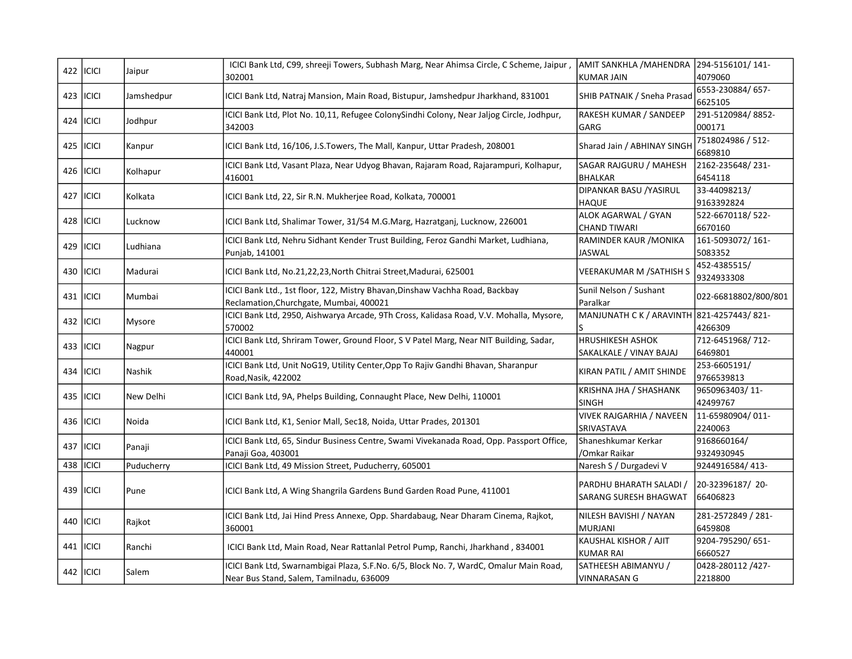|     | 422   ICICI      | Jaipur     | ICICI Bank Ltd, C99, shreeji Towers, Subhash Marg, Near Ahimsa Circle, C Scheme, Jaipur,  | AMIT SANKHLA / MAHENDRA 294-5156101/141-  |                      |
|-----|------------------|------------|-------------------------------------------------------------------------------------------|-------------------------------------------|----------------------|
|     |                  |            | 302001                                                                                    | <b>KUMAR JAIN</b>                         | 4079060              |
|     | 423   ICICI      | Jamshedpur | ICICI Bank Ltd, Natraj Mansion, Main Road, Bistupur, Jamshedpur Jharkhand, 831001         | SHIB PATNAIK / Sneha Prasad               | 6553-230884/657-     |
|     |                  |            |                                                                                           |                                           | 6625105              |
|     |                  |            | ICICI Bank Ltd, Plot No. 10,11, Refugee ColonySindhi Colony, Near Jaljog Circle, Jodhpur, | RAKESH KUMAR / SANDEEP                    | 291-5120984/8852-    |
|     | 424   ICICI      | Jodhpur    | 342003                                                                                    | GARG                                      | 000171               |
|     | 425   ICICI      |            |                                                                                           | Sharad Jain / ABHINAY SINGH               | 7518024986 / 512-    |
|     |                  | Kanpur     | ICICI Bank Ltd, 16/106, J.S.Towers, The Mall, Kanpur, Uttar Pradesh, 208001               |                                           | 6689810              |
|     | 426 <b>ICICI</b> |            | ICICI Bank Ltd, Vasant Plaza, Near Udyog Bhavan, Rajaram Road, Rajarampuri, Kolhapur,     | SAGAR RAJGURU / MAHESH                    | 2162-235648/231-     |
|     |                  | Kolhapur   | 416001                                                                                    | <b>BHALKAR</b>                            | 6454118              |
|     |                  |            |                                                                                           | DIPANKAR BASU / YASIRUL                   | 33-44098213/         |
| 427 | <b>ICICI</b>     | Kolkata    | ICICI Bank Ltd, 22, Sir R.N. Mukherjee Road, Kolkata, 700001                              | <b>HAQUE</b>                              | 9163392824           |
|     |                  |            |                                                                                           | ALOK AGARWAL / GYAN                       | 522-6670118/522-     |
|     | 428   ICICI      | Lucknow    | ICICI Bank Ltd, Shalimar Tower, 31/54 M.G.Marg, Hazratganj, Lucknow, 226001               | <b>CHAND TIWARI</b>                       | 6670160              |
|     |                  |            | ICICI Bank Ltd, Nehru Sidhant Kender Trust Building, Feroz Gandhi Market, Ludhiana,       | RAMINDER KAUR / MONIKA                    | 161-5093072/161-     |
|     | 429   ICICI      | Ludhiana   | Punjab, 141001                                                                            | <b>JASWAL</b>                             | 5083352              |
|     | 430   ICICI      |            |                                                                                           |                                           | 452-4385515/         |
|     |                  | Madurai    | ICICI Bank Ltd, No.21,22,23, North Chitrai Street, Madurai, 625001                        | VEERAKUMAR M / SATHISH S                  | 9324933308           |
|     |                  |            | ICICI Bank Ltd., 1st floor, 122, Mistry Bhavan, Dinshaw Vachha Road, Backbay              | Sunil Nelson / Sushant                    |                      |
|     | 431   ICICI      | Mumbai     | Reclamation, Churchgate, Mumbai, 400021                                                   | Paralkar                                  | 022-66818802/800/801 |
|     |                  |            | ICICI Bank Ltd, 2950, Aishwarya Arcade, 9Th Cross, Kalidasa Road, V.V. Mohalla, Mysore,   | MANJUNATH C K / ARAVINTH 821-4257443/821- |                      |
|     | 432   ICICI      | Mysore     | 570002                                                                                    | S                                         | 4266309              |
|     |                  |            | ICICI Bank Ltd, Shriram Tower, Ground Floor, S V Patel Marg, Near NIT Building, Sadar,    | <b>HRUSHIKESH ASHOK</b>                   | 712-6451968/712-     |
|     | 433   ICICI      | Nagpur     | 440001                                                                                    | SAKALKALE / VINAY BAJAJ                   | 6469801              |
|     |                  |            | ICICI Bank Ltd, Unit NoG19, Utility Center, Opp To Rajiv Gandhi Bhavan, Sharanpur         |                                           | 253-6605191/         |
|     | 434   ICICI      | l Nashik   | Road, Nasik, 422002                                                                       | KIRAN PATIL / AMIT SHINDE                 | 9766539813           |
|     |                  |            |                                                                                           | KRISHNA JHA / SHASHANK                    | 9650963403/11-       |
|     | 435   ICICI      | New Delhi  | ICICI Bank Ltd, 9A, Phelps Building, Connaught Place, New Delhi, 110001                   | <b>SINGH</b>                              | 42499767             |
|     |                  |            |                                                                                           | <b>VIVEK RAJGARHIA / NAVEEN</b>           | 11-65980904/011-     |
|     | 436   ICICI      | Noida      | ICICI Bank Ltd, K1, Senior Mall, Sec18, Noida, Uttar Prades, 201301                       | SRIVASTAVA                                | 2240063              |
|     |                  |            | ICICI Bank Ltd, 65, Sindur Business Centre, Swami Vivekanada Road, Opp. Passport Office,  | Shaneshkumar Kerkar                       | 9168660164/          |
|     | 437   ICICI      | Panaji     | Panaji Goa, 403001                                                                        | /Omkar Raikar                             | 9324930945           |
| 438 | ICICI            | Puducherry | ICICI Bank Ltd, 49 Mission Street, Puducherry, 605001                                     | Naresh S / Durgadevi V                    | 9244916584/413-      |
|     |                  |            |                                                                                           |                                           |                      |
|     | 439   ICICI      | Pune       | ICICI Bank Ltd, A Wing Shangrila Gardens Bund Garden Road Pune, 411001                    | PARDHU BHARATH SALADI /                   | 20-32396187/20-      |
|     |                  |            |                                                                                           | SARANG SURESH BHAGWAT                     | 66406823             |
|     |                  |            | ICICI Bank Ltd, Jai Hind Press Annexe, Opp. Shardabaug, Near Dharam Cinema, Rajkot,       | NILESH BAVISHI / NAYAN                    | 281-2572849 / 281-   |
|     | 440   ICICI      | Rajkot     | 360001                                                                                    | MURJANI                                   | 6459808              |
|     |                  |            |                                                                                           | KAUSHAL KISHOR / AJIT                     | 9204-795290/651-     |
|     | 441   ICICI      | Ranchi     | ICICI Bank Ltd, Main Road, Near Rattanlal Petrol Pump, Ranchi, Jharkhand, 834001          | <b>KUMAR RAI</b>                          | 6660527              |
|     |                  |            |                                                                                           |                                           |                      |
|     | 442   ICICI      | Salem      | ICICI Bank Ltd, Swarnambigai Plaza, S.F.No. 6/5, Block No. 7, WardC, Omalur Main Road,    | SATHEESH ABIMANYU /                       | 0428-280112 /427-    |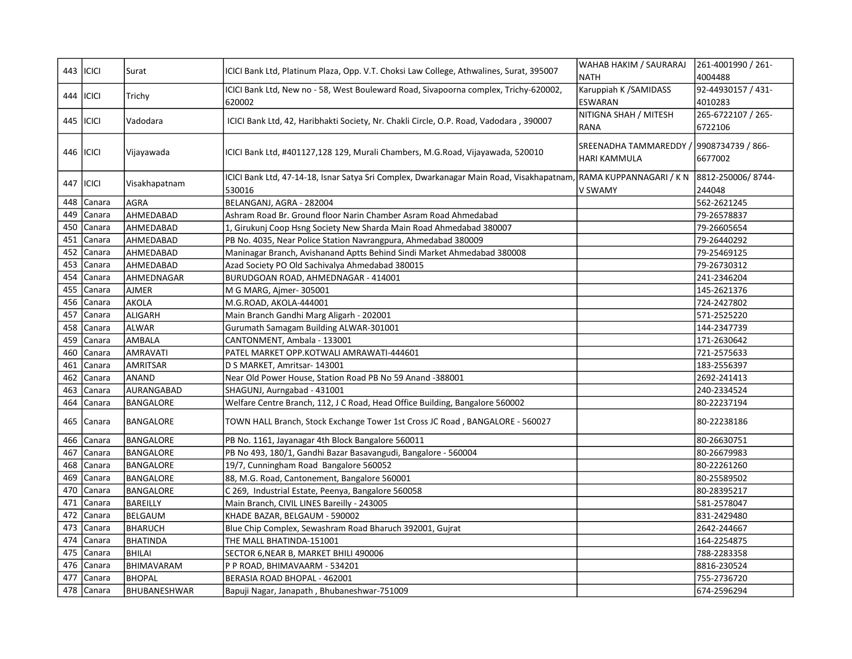|     | 443   ICICI | Surat               | ICICI Bank Ltd, Platinum Plaza, Opp. V.T. Choksi Law College, Athwalines, Surat, 395007  | WAHAB HAKIM / SAURARAJ                   | 261-4001990 / 261- |
|-----|-------------|---------------------|------------------------------------------------------------------------------------------|------------------------------------------|--------------------|
|     |             |                     |                                                                                          | <b>NATH</b>                              | 4004488            |
| 444 | ICICI       | Trichy              | ICICI Bank Ltd, New no - 58, West Bouleward Road, Sivapoorna complex, Trichy-620002,     | Karuppiah K / SAMIDASS                   | 92-44930157 / 431- |
|     |             |                     | 620002                                                                                   | <b>ESWARAN</b>                           | 4010283            |
|     | 445   ICICI | Vadodara            | ICICI Bank Ltd, 42, Haribhakti Society, Nr. Chakli Circle, O.P. Road, Vadodara, 390007   | NITIGNA SHAH / MITESH                    | 265-6722107 / 265- |
|     |             |                     |                                                                                          | RANA                                     | 6722106            |
|     |             |                     |                                                                                          | SREENADHA TAMMAREDDY / 9908734739 / 866- |                    |
|     | 446   ICICI | Vijayawada          | ICICI Bank Ltd, #401127,128 129, Murali Chambers, M.G.Road, Vijayawada, 520010           | HARI KAMMULA                             | 6677002            |
|     |             |                     |                                                                                          |                                          |                    |
|     | 447   ICICI | Visakhapatnam       | ICICI Bank Ltd, 47-14-18, Isnar Satya Sri Complex, Dwarkanagar Main Road, Visakhapatnam, | RAMA KUPPANNAGARI / K N                  | 8812-250006/8744-  |
|     |             |                     | 530016                                                                                   | V SWAMY                                  | 244048             |
| 448 | Canara      | <b>AGRA</b>         | BELANGANJ, AGRA - 282004                                                                 |                                          | 562-2621245        |
| 449 | Canara      | AHMEDABAD           | Ashram Road Br. Ground floor Narin Chamber Asram Road Ahmedabad                          |                                          | 79-26578837        |
| 450 | Canara      | AHMEDABAD           | 1, Girukunj Coop Hsng Society New Sharda Main Road Ahmedabad 380007                      |                                          | 79-26605654        |
| 451 | Canara      | AHMEDABAD           | PB No. 4035, Near Police Station Navrangpura, Ahmedabad 380009                           |                                          | 79-26440292        |
| 452 | Canara      | AHMEDABAD           | Maninagar Branch, Avishanand Aptts Behind Sindi Market Ahmedabad 380008                  |                                          | 79-25469125        |
| 453 | Canara      | AHMEDABAD           | Azad Society PO Old Sachivalya Ahmedabad 380015                                          |                                          | 79-26730312        |
| 454 | Canara      | AHMEDNAGAR          | BURUDGOAN ROAD, AHMEDNAGAR - 414001                                                      |                                          | 241-2346204        |
| 455 | Canara      | <b>AJMER</b>        | M G MARG, Ajmer-305001                                                                   |                                          | 145-2621376        |
| 456 | Canara      | <b>AKOLA</b>        | M.G.ROAD, AKOLA-444001                                                                   |                                          | 724-2427802        |
| 457 | Canara      | ALIGARH             | Main Branch Gandhi Marg Aligarh - 202001                                                 |                                          | 571-2525220        |
| 458 | Canara      | ALWAR               | Gurumath Samagam Building ALWAR-301001                                                   |                                          | 144-2347739        |
| 459 | Canara      | AMBALA              | CANTONMENT, Ambala - 133001                                                              |                                          | 171-2630642        |
| 460 | Canara      | AMRAVATI            | PATEL MARKET OPP.KOTWALI AMRAWATI-444601                                                 |                                          | 721-2575633        |
| 461 | Canara      | AMRITSAR            | D S MARKET, Amritsar- 143001                                                             |                                          | 183-2556397        |
| 462 | Canara      | ANAND               | Near Old Power House, Station Road PB No 59 Anand -388001                                |                                          | 2692-241413        |
| 463 | Canara      | AURANGABAD          | SHAGUNJ, Aurngabad - 431001                                                              |                                          | 240-2334524        |
| 464 | Canara      | <b>BANGALORE</b>    | Welfare Centre Branch, 112, J C Road, Head Office Building, Bangalore 560002             |                                          | 80-22237194        |
| 465 | Canara      | <b>BANGALORE</b>    | TOWN HALL Branch, Stock Exchange Tower 1st Cross JC Road, BANGALORE - 560027             |                                          | 80-22238186        |
| 466 | Canara      | BANGALORE           | PB No. 1161, Jayanagar 4th Block Bangalore 560011                                        |                                          | 80-26630751        |
| 467 | Canara      | BANGALORE           | PB No 493, 180/1, Gandhi Bazar Basavangudi, Bangalore - 560004                           |                                          | 80-26679983        |
| 468 | Canara      | <b>BANGALORE</b>    | 19/7, Cunningham Road Bangalore 560052                                                   |                                          | 80-22261260        |
| 469 | Canara      | BANGALORE           | 88, M.G. Road, Cantonement, Bangalore 560001                                             |                                          | 80-25589502        |
| 470 | Canara      | BANGALORE           | C 269, Industrial Estate, Peenya, Bangalore 560058                                       |                                          | 80-28395217        |
| 471 | Canara      | <b>BAREILLY</b>     | Main Branch, CIVIL LINES Bareilly - 243005                                               |                                          | 581-2578047        |
| 472 | Canara      | <b>BELGAUM</b>      | KHADE BAZAR, BELGAUM - 590002                                                            |                                          | 831-2429480        |
| 473 | Canara      | <b>BHARUCH</b>      | Blue Chip Complex, Sewashram Road Bharuch 392001, Gujrat                                 |                                          | 2642-244667        |
| 474 | Canara      | <b>BHATINDA</b>     | THE MALL BHATINDA-151001                                                                 |                                          | 164-2254875        |
| 475 | Canara      | <b>BHILAI</b>       | SECTOR 6, NEAR B, MARKET BHILI 490006                                                    |                                          | 788-2283358        |
| 476 | Canara      | BHIMAVARAM          | P P ROAD, BHIMAVAARM - 534201                                                            |                                          | 8816-230524        |
| 477 | Canara      | <b>BHOPAL</b>       | BERASIA ROAD BHOPAL - 462001                                                             |                                          | 755-2736720        |
| 478 | Canara      | <b>BHUBANESHWAR</b> | Bapuji Nagar, Janapath, Bhubaneshwar-751009                                              |                                          | 674-2596294        |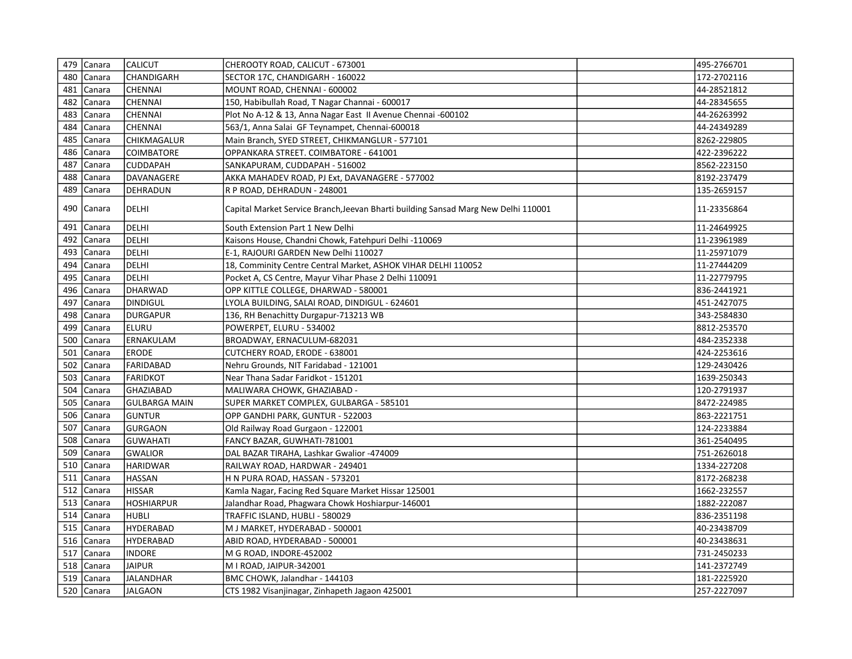|     | 479 Canara | <b>CALICUT</b>       | CHEROOTY ROAD, CALICUT - 673001                                                    | 495-2766701 |
|-----|------------|----------------------|------------------------------------------------------------------------------------|-------------|
|     | 480 Canara | <b>CHANDIGARH</b>    | SECTOR 17C, CHANDIGARH - 160022                                                    | 172-2702116 |
| 481 | Canara     | <b>CHENNAI</b>       | MOUNT ROAD, CHENNAI - 600002                                                       | 44-28521812 |
| 482 | Canara     | <b>CHENNAI</b>       | 150, Habibullah Road, T Nagar Channai - 600017                                     | 44-28345655 |
| 483 | Canara     | <b>CHENNAI</b>       | Plot No A-12 & 13, Anna Nagar East II Avenue Chennai -600102                       | 44-26263992 |
| 484 | Canara     | <b>CHENNAI</b>       | 563/1, Anna Salai GF Teynampet, Chennai-600018                                     | 44-24349289 |
| 485 | Canara     | CHIKMAGALUR          | Main Branch, SYED STREET, CHIKMANGLUR - 577101                                     | 8262-229805 |
| 486 | Canara     | <b>COIMBATORE</b>    | OPPANKARA STREET. COIMBATORE - 641001                                              | 422-2396222 |
| 487 | Canara     | <b>CUDDAPAH</b>      | SANKAPURAM, CUDDAPAH - 516002                                                      | 8562-223150 |
| 488 | Canara     | DAVANAGERE           | AKKA MAHADEV ROAD, PJ Ext, DAVANAGERE - 577002                                     | 8192-237479 |
| 489 | Canara     | <b>DEHRADUN</b>      | R P ROAD, DEHRADUN - 248001                                                        | 135-2659157 |
|     | 490 Canara | DELHI                | Capital Market Service Branch, Jeevan Bharti building Sansad Marg New Delhi 110001 | 11-23356864 |
| 491 | Canara     | DELHI                | South Extension Part 1 New Delhi                                                   | 11-24649925 |
|     | 492 Canara | DELHI                | Kaisons House, Chandni Chowk, Fatehpuri Delhi -110069                              | 11-23961989 |
|     | 493 Canara | DELHI                | E-1, RAJOURI GARDEN New Delhi 110027                                               | 11-25971079 |
| 494 | Canara     | DELHI                | 18, Comminity Centre Central Market, ASHOK VIHAR DELHI 110052                      | 11-27444209 |
| 495 | Canara     | DELHI                | Pocket A, CS Centre, Mayur Vihar Phase 2 Delhi 110091                              | 11-22779795 |
|     | 496 Canara | DHARWAD              | OPP KITTLE COLLEGE, DHARWAD - 580001                                               | 836-2441921 |
| 497 | Canara     | DINDIGUL             | LYOLA BUILDING, SALAI ROAD, DINDIGUL - 624601                                      | 451-2427075 |
|     | 498 Canara | DURGAPUR             | 136, RH Benachitty Durgapur-713213 WB                                              | 343-2584830 |
| 499 | Canara     | ELURU                | POWERPET, ELURU - 534002                                                           | 8812-253570 |
|     | 500 Canara | ERNAKULAM            | BROADWAY, ERNACULUM-682031                                                         | 484-2352338 |
| 501 | Canara     | <b>ERODE</b>         | CUTCHERY ROAD, ERODE - 638001                                                      | 424-2253616 |
| 502 | Canara     | FARIDABAD            | Nehru Grounds, NIT Faridabad - 121001                                              | 129-2430426 |
| 503 | Canara     | FARIDKOT             | Near Thana Sadar Faridkot - 151201                                                 | 1639-250343 |
|     | 504 Canara | GHAZIABAD            | MALIWARA CHOWK, GHAZIABAD -                                                        | 120-2791937 |
| 505 | Canara     | <b>GULBARGA MAIN</b> | SUPER MARKET COMPLEX, GULBARGA - 585101                                            | 8472-224985 |
|     | 506 Canara | <b>GUNTUR</b>        | OPP GANDHI PARK, GUNTUR - 522003                                                   | 863-2221751 |
| 507 | Canara     | GURGAON              | Old Railway Road Gurgaon - 122001                                                  | 124-2233884 |
|     | 508 Canara | GUWAHATI             | FANCY BAZAR, GUWHATI-781001                                                        | 361-2540495 |
| 509 | Canara     | GWALIOR              | DAL BAZAR TIRAHA, Lashkar Gwalior -474009                                          | 751-2626018 |
| 510 | Canara     | <b>HARIDWAR</b>      | RAILWAY ROAD, HARDWAR - 249401                                                     | 1334-227208 |
| 511 | Canara     | <b>HASSAN</b>        | H N PURA ROAD, HASSAN - 573201                                                     | 8172-268238 |
| 512 | Canara     | <b>HISSAR</b>        | Kamla Nagar, Facing Red Square Market Hissar 125001                                | 1662-232557 |
| 513 | Canara     | HOSHIARPUR           | Jalandhar Road, Phagwara Chowk Hoshiarpur-146001                                   | 1882-222087 |
| 514 | Canara     | <b>HUBLI</b>         | TRAFFIC ISLAND, HUBLI - 580029                                                     | 836-2351198 |
| 515 | Canara     | <b>HYDERABAD</b>     | M J MARKET, HYDERABAD - 500001                                                     | 40-23438709 |
|     | 516 Canara | <b>HYDERABAD</b>     | ABID ROAD, HYDERABAD - 500001                                                      | 40-23438631 |
| 517 | Canara     | <b>INDORE</b>        | M G ROAD, INDORE-452002                                                            | 731-2450233 |
| 518 | Canara     | <b>JAIPUR</b>        | M I ROAD, JAIPUR-342001                                                            | 141-2372749 |
| 519 | Canara     | JALANDHAR            | BMC CHOWK, Jalandhar - 144103                                                      | 181-2225920 |
|     | 520 Canara | <b>JALGAON</b>       | CTS 1982 Visanjinagar, Zinhapeth Jagaon 425001                                     | 257-2227097 |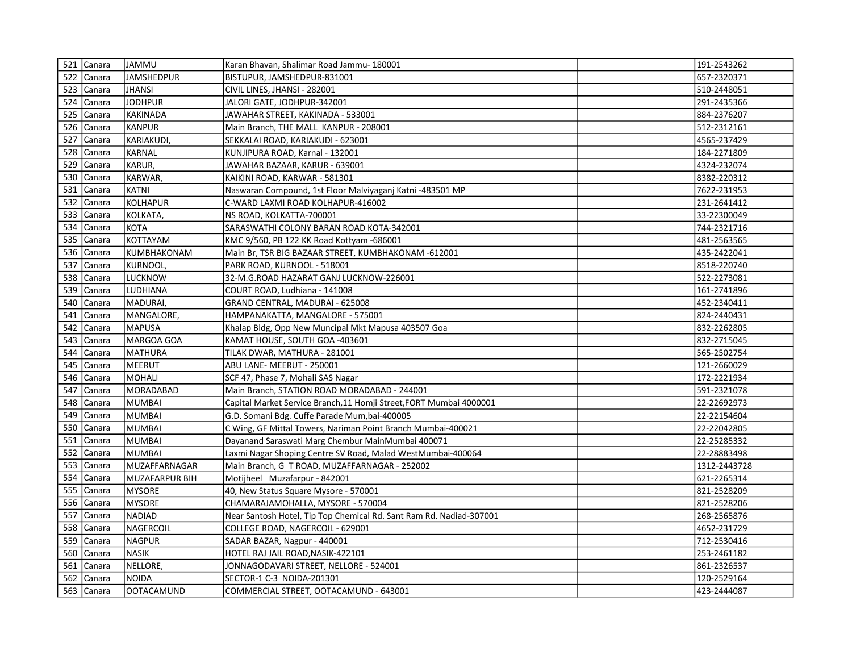|     | 521 Canara | <b>JAMMU</b>   | Karan Bhavan, Shalimar Road Jammu- 180001                           | 191-2543262  |
|-----|------------|----------------|---------------------------------------------------------------------|--------------|
|     | 522 Canara | JAMSHEDPUR     | BISTUPUR, JAMSHEDPUR-831001                                         | 657-2320371  |
|     | 523 Canara | JHANSI         | CIVIL LINES, JHANSI - 282001                                        | 510-2448051  |
|     | 524 Canara | <b>JODHPUR</b> | JALORI GATE, JODHPUR-342001                                         | 291-2435366  |
|     | 525 Canara | KAKINADA       | JAWAHAR STREET, KAKINADA - 533001                                   | 884-2376207  |
| 526 | Canara     | <b>KANPUR</b>  | Main Branch, THE MALL KANPUR - 208001                               | 512-2312161  |
|     | 527 Canara | KARIAKUDI,     | SEKKALAI ROAD, KARIAKUDI - 623001                                   | 4565-237429  |
| 528 | Canara     | KARNAL         | KUNJIPURA ROAD, Karnal - 132001                                     | 184-2271809  |
| 529 | Canara     | KARUR,         | JAWAHAR BAZAAR, KARUR - 639001                                      | 4324-232074  |
| 530 | Canara     | KARWAR,        | KAIKINI ROAD, KARWAR - 581301                                       | 8382-220312  |
|     | 531 Canara | KATNI          | Naswaran Compound, 1st Floor Malviyaganj Katni -483501 MP           | 7622-231953  |
|     | 532 Canara | KOLHAPUR       | C-WARD LAXMI ROAD KOLHAPUR-416002                                   | 231-2641412  |
|     | 533 Canara | KOLKATA,       | NS ROAD, KOLKATTA-700001                                            | 33-22300049  |
| 534 | Canara     | KOTA           | SARASWATHI COLONY BARAN ROAD KOTA-342001                            | 744-2321716  |
|     | 535 Canara | KOTTAYAM       | KMC 9/560, PB 122 KK Road Kottyam -686001                           | 481-2563565  |
|     | 536 Canara | KUMBHAKONAM    | Main Br, TSR BIG BAZAAR STREET, KUMBHAKONAM -612001                 | 435-2422041  |
|     | 537 Canara | KURNOOL,       | PARK ROAD, KURNOOL - 518001                                         | 8518-220740  |
| 538 | Canara     | LUCKNOW        | 32-M.G.ROAD HAZARAT GANJ LUCKNOW-226001                             | 522-2273081  |
|     | 539 Canara | LUDHIANA       | COURT ROAD, Ludhiana - 141008                                       | 161-2741896  |
|     | 540 Canara | MADURAI,       | GRAND CENTRAL, MADURAI - 625008                                     | 452-2340411  |
| 541 | Canara     | MANGALORE,     | HAMPANAKATTA, MANGALORE - 575001                                    | 824-2440431  |
| 542 | Canara     | <b>MAPUSA</b>  | Khalap Bldg, Opp New Muncipal Mkt Mapusa 403507 Goa                 | 832-2262805  |
|     | 543 Canara | MARGOA GOA     | KAMAT HOUSE, SOUTH GOA -403601                                      | 832-2715045  |
| 544 | Canara     | MATHURA        | TILAK DWAR, MATHURA - 281001                                        | 565-2502754  |
| 545 | Canara     | MEERUT         | ABU LANE- MEERUT - 250001                                           | 121-2660029  |
| 546 | Canara     | MOHALI         | SCF 47, Phase 7, Mohali SAS Nagar                                   | 172-2221934  |
| 547 | Canara     | MORADABAD      | Main Branch, STATION ROAD MORADABAD - 244001                        | 591-2321078  |
|     | 548 Canara | <b>MUMBAI</b>  | Capital Market Service Branch,11 Homji Street,FORT Mumbai 4000001   | 22-22692973  |
| 549 | Canara     | MUMBAI         | G.D. Somani Bdg. Cuffe Parade Mum, bai-400005                       | 22-22154604  |
| 550 | Canara     | <b>MUMBAI</b>  | C Wing, GF Mittal Towers, Nariman Point Branch Mumbai-400021        | 22-22042805  |
| 551 | Canara     | <b>MUMBAI</b>  | Dayanand Saraswati Marg Chembur MainMumbai 400071                   | 22-25285332  |
| 552 | Canara     | <b>MUMBAI</b>  | Laxmi Nagar Shoping Centre SV Road, Malad WestMumbai-400064         | 22-28883498  |
| 553 | Canara     | MUZAFFARNAGAR  | Main Branch, G T ROAD, MUZAFFARNAGAR - 252002                       | 1312-2443728 |
|     | 554 Canara | MUZAFARPUR BIH | Motijheel Muzafarpur - 842001                                       | 621-2265314  |
| 555 | Canara     | MYSORE         | 40, New Status Square Mysore - 570001                               | 821-2528209  |
|     | 556 Canara | <b>MYSORE</b>  | CHAMARAJAMOHALLA, MYSORE - 570004                                   | 821-2528206  |
| 557 | Canara     | NADIAD         | Near Santosh Hotel, Tip Top Chemical Rd. Sant Ram Rd. Nadiad-307001 | 268-2565876  |
|     | 558 Canara | NAGERCOIL      | COLLEGE ROAD, NAGERCOIL - 629001                                    | 4652-231729  |
|     | 559 Canara | NAGPUR         | SADAR BAZAR, Nagpur - 440001                                        | 712-2530416  |
|     | 560 Canara | <b>NASIK</b>   | HOTEL RAJ JAIL ROAD, NASIK-422101                                   | 253-2461182  |
| 561 | Canara     | NELLORE,       | JONNAGODAVARI STREET, NELLORE - 524001                              | 861-2326537  |
|     | 562 Canara | NOIDA          | SECTOR-1 C-3 NOIDA-201301                                           | 120-2529164  |
|     | 563 Canara | OOTACAMUND     | COMMERCIAL STREET, OOTACAMUND - 643001                              | 423-2444087  |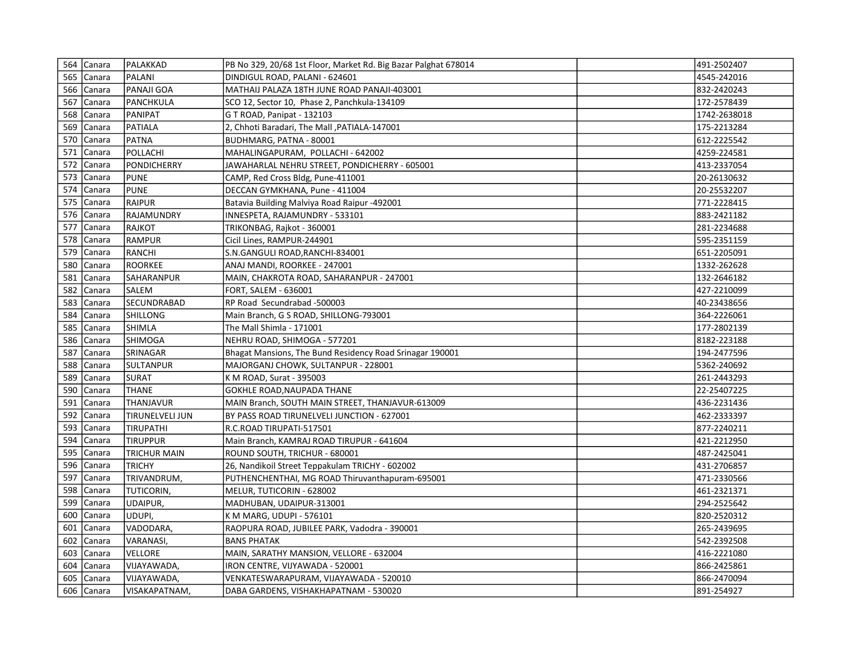|     | 564 Canara | PALAKKAD               | PB No 329, 20/68 1st Floor, Market Rd. Big Bazar Palghat 678014 | 491-2502407  |  |
|-----|------------|------------------------|-----------------------------------------------------------------|--------------|--|
|     | 565 Canara | PALANI                 | DINDIGUL ROAD, PALANI - 624601                                  | 4545-242016  |  |
|     | 566 Canara | PANAJI GOA             | MATHAIJ PALAZA 18TH JUNE ROAD PANAJI-403001                     | 832-2420243  |  |
|     | 567 Canara | PANCHKULA              | SCO 12, Sector 10, Phase 2, Panchkula-134109                    | 172-2578439  |  |
|     | 568 Canara | PANIPAT                | G T ROAD, Panipat - 132103                                      | 1742-2638018 |  |
|     | 569 Canara | PATIALA                | 2, Chhoti Baradari, The Mall , PATIALA-147001                   | 175-2213284  |  |
|     | 570 Canara | PATNA                  | BUDHMARG, PATNA - 80001                                         | 612-2225542  |  |
|     | 571 Canara | POLLACHI               | MAHALINGAPURAM, POLLACHI - 642002                               | 4259-224581  |  |
|     | 572 Canara | PONDICHERRY            | JAWAHARLAL NEHRU STREET, PONDICHERRY - 605001                   | 413-2337054  |  |
| 573 | Canara     | PUNE                   | CAMP, Red Cross Bldg, Pune-411001                               | 20-26130632  |  |
|     | 574 Canara | PUNE                   | DECCAN GYMKHANA, Pune - 411004                                  | 20-25532207  |  |
|     | 575 Canara | RAIPUR                 | Batavia Building Malviya Road Raipur -492001                    | 771-2228415  |  |
|     | 576 Canara | RAJAMUNDRY             | INNESPETA, RAJAMUNDRY - 533101                                  | 883-2421182  |  |
| 577 | Canara     | RAJKOT                 | TRIKONBAG, Rajkot - 360001                                      | 281-2234688  |  |
|     | 578 Canara | RAMPUR                 | Cicil Lines, RAMPUR-244901                                      | 595-2351159  |  |
| 579 | Canara     | RANCHI                 | S.N.GANGULI ROAD, RANCHI-834001                                 | 651-2205091  |  |
|     | 580 Canara | ROORKEE                | ANAJ MANDI, ROORKEE - 247001                                    | 1332-262628  |  |
| 581 | Canara     | <b>SAHARANPUR</b>      | MAIN, CHAKROTA ROAD, SAHARANPUR - 247001                        | 132-2646182  |  |
|     | 582 Canara | SALEM                  | FORT, SALEM - 636001                                            | 427-2210099  |  |
| 583 | Canara     | <b>SECUNDRABAD</b>     | RP Road Secundrabad -500003                                     | 40-23438656  |  |
| 584 | Canara     | <b>SHILLONG</b>        | Main Branch, G S ROAD, SHILLONG-793001                          | 364-2226061  |  |
| 585 | Canara     | <b>SHIMLA</b>          | The Mall Shimla - 171001                                        | 177-2802139  |  |
|     | 586 Canara | <b>SHIMOGA</b>         | NEHRU ROAD, SHIMOGA - 577201                                    | 8182-223188  |  |
| 587 | Canara     | SRINAGAR               | Bhagat Mansions, The Bund Residency Road Srinagar 190001        | 194-2477596  |  |
| 588 | Canara     | <b>SULTANPUR</b>       | MAJORGANJ CHOWK, SULTANPUR - 228001                             | 5362-240692  |  |
| 589 | Canara     | <b>SURAT</b>           | K M ROAD, Surat - 395003                                        | 261-2443293  |  |
|     | 590 Canara | <b>THANE</b>           | GOKHLE ROAD, NAUPADA THANE                                      | 22-25407225  |  |
| 591 | Canara     | <b>THANJAVUR</b>       | MAIN Branch, SOUTH MAIN STREET, THANJAVUR-613009                | 436-2231436  |  |
| 592 | Canara     | <b>TIRUNELVELI JUN</b> | BY PASS ROAD TIRUNELVELI JUNCTION - 627001                      | 462-2333397  |  |
| 593 | Canara     | <b>TIRUPATHI</b>       | R.C.ROAD TIRUPATI-517501                                        | 877-2240211  |  |
| 594 | Canara     | <b>TIRUPPUR</b>        | Main Branch, KAMRAJ ROAD TIRUPUR - 641604                       | 421-2212950  |  |
| 595 | Canara     | <b>TRICHUR MAIN</b>    | ROUND SOUTH, TRICHUR - 680001                                   | 487-2425041  |  |
|     | 596 Canara | TRICHY                 | 26, Nandikoil Street Teppakulam TRICHY - 602002                 | 431-2706857  |  |
| 597 | Canara     | TRIVANDRUM,            | PUTHENCHENTHAI, MG ROAD Thiruvanthapuram-695001                 | 471-2330566  |  |
| 598 | Canara     | <b>TUTICORIN,</b>      | MELUR, TUTICORIN - 628002                                       | 461-2321371  |  |
|     | 599 Canara | UDAIPUR,               | MADHUBAN, UDAIPUR-313001                                        | 294-2525642  |  |
| 600 | Canara     | UDUPI,                 | K M MARG, UDUPI - 576101                                        | 820-2520312  |  |
| 601 | Canara     | VADODARA,              | RAOPURA ROAD, JUBILEE PARK, Vadodra - 390001                    | 265-2439695  |  |
|     | 602 Canara | VARANASI,              | <b>BANS PHATAK</b>                                              | 542-2392508  |  |
|     | 603 Canara | VELLORE                | MAIN, SARATHY MANSION, VELLORE - 632004                         | 416-2221080  |  |
| 604 | Canara     | VIJAYAWADA,            | IRON CENTRE, VIJYAWADA - 520001                                 | 866-2425861  |  |
|     | 605 Canara | VIJAYAWADA,            | VENKATESWARAPURAM, VIJAYAWADA - 520010                          | 866-2470094  |  |
|     | 606 Canara | <b>VISAKAPATNAM,</b>   | DABA GARDENS, VISHAKHAPATNAM - 530020                           | 891-254927   |  |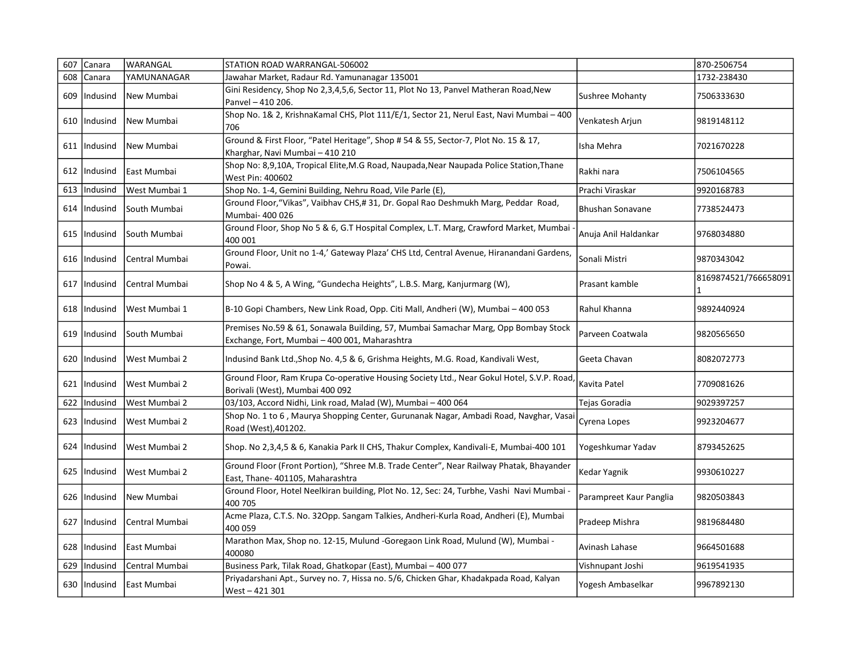| 607 | Canara         | WARANGAL       | STATION ROAD WARRANGAL-506002                                                                                                       |                         | 870-2506754          |
|-----|----------------|----------------|-------------------------------------------------------------------------------------------------------------------------------------|-------------------------|----------------------|
| 608 | Canara         | YAMUNANAGAR    | Jawahar Market, Radaur Rd. Yamunanagar 135001                                                                                       |                         | 1732-238430          |
| 609 | Indusind       | New Mumbai     | Gini Residency, Shop No 2,3,4,5,6, Sector 11, Plot No 13, Panvel Matheran Road, New<br>Panvel - 410 206.                            | <b>Sushree Mohanty</b>  | 7506333630           |
| 610 | Indusind       | New Mumbai     | Shop No. 1& 2, KrishnaKamal CHS, Plot 111/E/1, Sector 21, Nerul East, Navi Mumbai - 400<br>706                                      | Venkatesh Arjun         | 9819148112           |
| 611 | Indusind       | New Mumbai     | Ground & First Floor, "Patel Heritage", Shop # 54 & 55, Sector-7, Plot No. 15 & 17,<br>Kharghar, Navi Mumbai - 410 210              | Isha Mehra              | 7021670228           |
| 612 | Indusind       | East Mumbai    | Shop No: 8,9,10A, Tropical Elite, M.G Road, Naupada, Near Naupada Police Station, Thane<br>West Pin: 400602                         | Rakhi nara              | 7506104565           |
| 613 | Indusind       | West Mumbai 1  | Shop No. 1-4, Gemini Building, Nehru Road, Vile Parle (E),                                                                          | Prachi Viraskar         | 9920168783           |
|     | 614   Indusind | South Mumbai   | Ground Floor, "Vikas", Vaibhav CHS,# 31, Dr. Gopal Rao Deshmukh Marg, Peddar Road,<br>Mumbai- 400 026                               | <b>Bhushan Sonavane</b> | 7738524473           |
| 615 | Indusind       | South Mumbai   | Ground Floor, Shop No 5 & 6, G.T Hospital Complex, L.T. Marg, Crawford Market, Mumbai<br>400 001                                    | Anuja Anil Haldankar    | 9768034880           |
|     | 616   Indusind | Central Mumbai | Ground Floor, Unit no 1-4,' Gateway Plaza' CHS Ltd, Central Avenue, Hiranandani Gardens,<br>Powai.                                  | Sonali Mistri           | 9870343042           |
| 617 | Indusind       | Central Mumbai | Shop No 4 & 5, A Wing, "Gundecha Heights", L.B.S. Marg, Kanjurmarg (W),                                                             | Prasant kamble          | 8169874521/766658091 |
| 618 | Indusind       | West Mumbai 1  | B-10 Gopi Chambers, New Link Road, Opp. Citi Mall, Andheri (W), Mumbai - 400 053                                                    | Rahul Khanna            | 9892440924           |
| 619 | Indusind       | South Mumbai   | Premises No.59 & 61, Sonawala Building, 57, Mumbai Samachar Marg, Opp Bombay Stock<br>Exchange, Fort, Mumbai - 400 001, Maharashtra | Parveen Coatwala        | 9820565650           |
| 620 | Indusind       | West Mumbai 2  | Indusind Bank Ltd., Shop No. 4,5 & 6, Grishma Heights, M.G. Road, Kandivali West,                                                   | Geeta Chavan            | 8082072773           |
| 621 | Indusind       | West Mumbai 2  | Ground Floor, Ram Krupa Co-operative Housing Society Ltd., Near Gokul Hotel, S.V.P. Road,<br>Borivali (West), Mumbai 400 092        | Kavita Patel            | 7709081626           |
| 622 | Indusind       | West Mumbai 2  | 03/103, Accord Nidhi, Link road, Malad (W), Mumbai - 400 064                                                                        | Tejas Goradia           | 9029397257           |
| 623 | Indusind       | West Mumbai 2  | Shop No. 1 to 6, Maurya Shopping Center, Gurunanak Nagar, Ambadi Road, Navghar, Vasai<br>Road (West), 401202.                       | Cyrena Lopes            | 9923204677           |
| 624 | Indusind       | West Mumbai 2  | Shop. No 2,3,4,5 & 6, Kanakia Park II CHS, Thakur Complex, Kandivali-E, Mumbai-400 101                                              | Yogeshkumar Yadav       | 8793452625           |
| 625 | Indusind       | West Mumbai 2  | Ground Floor (Front Portion), "Shree M.B. Trade Center", Near Railway Phatak, Bhayander<br>East, Thane- 401105, Maharashtra         | Kedar Yagnik            | 9930610227           |
| 626 | Indusind       | New Mumbai     | Ground Floor, Hotel Neelkiran building, Plot No. 12, Sec: 24, Turbhe, Vashi Navi Mumbai -<br>400 705                                | Parampreet Kaur Panglia | 9820503843           |
| 627 | Indusind       | Central Mumbai | Acme Plaza, C.T.S. No. 32Opp. Sangam Talkies, Andheri-Kurla Road, Andheri (E), Mumbai<br>400 059                                    | Pradeep Mishra          | 9819684480           |
| 628 | Indusind       | lEast Mumbai   | Marathon Max, Shop no. 12-15, Mulund -Goregaon Link Road, Mulund (W), Mumbai -<br>400080                                            | Avinash Lahase          | 9664501688           |
| 629 | Indusind       | Central Mumbai | Business Park, Tilak Road, Ghatkopar (East), Mumbai - 400 077                                                                       | Vishnupant Joshi        | 9619541935           |
|     | 630   Indusind | East Mumbai    | Priyadarshani Apt., Survey no. 7, Hissa no. 5/6, Chicken Ghar, Khadakpada Road, Kalyan<br>West-421301                               | Yogesh Ambaselkar       | 9967892130           |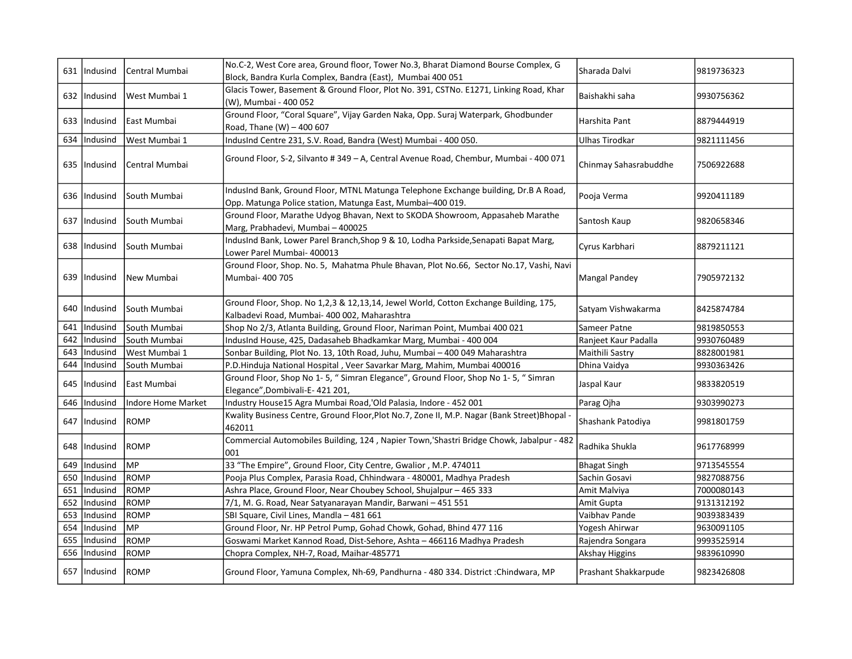|     | 631   Indusind | Central Mumbai            | No.C-2, West Core area, Ground floor, Tower No.3, Bharat Diamond Bourse Complex, G<br>Block, Bandra Kurla Complex, Bandra (East), Mumbai 400 051  | Sharada Dalvi         | 9819736323 |
|-----|----------------|---------------------------|---------------------------------------------------------------------------------------------------------------------------------------------------|-----------------------|------------|
|     | 632   Indusind | West Mumbai 1             | Glacis Tower, Basement & Ground Floor, Plot No. 391, CSTNo. E1271, Linking Road, Khar<br>(W), Mumbai - 400 052                                    | Baishakhi saha        | 9930756362 |
|     | 633   Indusind | East Mumbai               | Ground Floor, "Coral Square", Vijay Garden Naka, Opp. Suraj Waterpark, Ghodbunder<br>Road, Thane (W) - 400 607                                    | Harshita Pant         | 8879444919 |
|     | 634 Indusind   | West Mumbai 1             | IndusInd Centre 231, S.V. Road, Bandra (West) Mumbai - 400 050.                                                                                   | Ulhas Tirodkar        | 9821111456 |
|     | 635  Indusind  | Central Mumbai            | Ground Floor, S-2, Silvanto # 349 - A, Central Avenue Road, Chembur, Mumbai - 400 071                                                             | Chinmay Sahasrabuddhe | 7506922688 |
|     | 636   Indusind | South Mumbai              | IndusInd Bank, Ground Floor, MTNL Matunga Telephone Exchange building, Dr.B A Road,<br>Opp. Matunga Police station, Matunga East, Mumbai-400 019. | Pooja Verma           | 9920411189 |
|     | 637   Indusind | South Mumbai              | Ground Floor, Marathe Udyog Bhavan, Next to SKODA Showroom, Appasaheb Marathe<br>Marg, Prabhadevi, Mumbai - 400025                                | Santosh Kaup          | 9820658346 |
|     | 638   Indusind | lSouth Mumbai             | IndusInd Bank, Lower Parel Branch, Shop 9 & 10, Lodha Parkside, Senapati Bapat Marg,<br>Lower Parel Mumbai- 400013                                | Cyrus Karbhari        | 8879211121 |
|     | 639   Indusind | New Mumbai                | Ground Floor, Shop. No. 5, Mahatma Phule Bhavan, Plot No.66, Sector No.17, Vashi, Navi<br>Mumbai- 400 705                                         | Mangal Pandey         | 7905972132 |
|     | 640   Indusind | South Mumbai              | Ground Floor, Shop. No 1,2,3 & 12,13,14, Jewel World, Cotton Exchange Building, 175,<br>Kalbadevi Road, Mumbai- 400 002, Maharashtra              | Satyam Vishwakarma    | 8425874784 |
| 641 | Indusind       | South Mumbai              | Shop No 2/3, Atlanta Building, Ground Floor, Nariman Point, Mumbai 400 021                                                                        | Sameer Patne          | 9819850553 |
| 642 | Indusind       | South Mumbai              | IndusInd House, 425, Dadasaheb Bhadkamkar Marg, Mumbai - 400 004                                                                                  | Ranjeet Kaur Padalla  | 9930760489 |
| 643 | Indusind       | West Mumbai 1             | Sonbar Building, Plot No. 13, 10th Road, Juhu, Mumbai - 400 049 Maharashtra                                                                       | Maithili Sastry       | 8828001981 |
| 644 | Indusind       | South Mumbai              | P.D.Hinduja National Hospital, Veer Savarkar Marg, Mahim, Mumbai 400016                                                                           | Dhina Vaidya          | 9930363426 |
| 645 | Indusind       | East Mumbai               | Ground Floor, Shop No 1-5, "Simran Elegance", Ground Floor, Shop No 1-5, "Simran<br>Elegance", Dombivali-E-421 201,                               | Jaspal Kaur           | 9833820519 |
| 646 | Indusind       | <b>Indore Home Market</b> | Industry House15 Agra Mumbai Road,'Old Palasia, Indore - 452 001                                                                                  | Parag Ojha            | 9303990273 |
|     |                |                           |                                                                                                                                                   |                       |            |
|     | 647   Indusind | <b>ROMP</b>               | Kwality Business Centre, Ground Floor, Plot No.7, Zone II, M.P. Nagar (Bank Street) Bhopal -<br>462011                                            | Shashank Patodiya     | 9981801759 |
|     | 648   Indusind | <b>ROMP</b>               | Commercial Automobiles Building, 124, Napier Town,'Shastri Bridge Chowk, Jabalpur - 482<br>001                                                    | Radhika Shukla        | 9617768999 |
| 649 | Indusind       | <b>IMP</b>                | 33 "The Empire", Ground Floor, City Centre, Gwalior, M.P. 474011                                                                                  | <b>Bhagat Singh</b>   | 9713545554 |
| 650 | Indusind       | <b>ROMP</b>               | Pooja Plus Complex, Parasia Road, Chhindwara - 480001, Madhya Pradesh                                                                             | Sachin Gosavi         | 9827088756 |
| 651 | Indusind       | <b>ROMP</b>               | Ashra Place, Ground Floor, Near Choubey School, Shujalpur - 465 333                                                                               | Amit Malviya          | 7000080143 |
| 652 | Indusind       | ROMP                      | 7/1, M. G. Road, Near Satyanarayan Mandir, Barwani - 451 551                                                                                      | Amit Gupta            | 9131312192 |
| 653 | Indusind       | <b>ROMP</b>               | SBI Square, Civil Lines, Mandla - 481 661                                                                                                         | Vaibhav Pande         | 9039383439 |
| 654 | Indusind       | MP                        | Ground Floor, Nr. HP Petrol Pump, Gohad Chowk, Gohad, Bhind 477 116                                                                               | Yogesh Ahirwar        | 9630091105 |
| 655 | Indusind       | ROMP                      | Goswami Market Kannod Road, Dist-Sehore, Ashta - 466116 Madhya Pradesh                                                                            | Rajendra Songara      | 9993525914 |
| 656 | Indusind       | ROMP                      | Chopra Complex, NH-7, Road, Maihar-485771                                                                                                         | Akshay Higgins        | 9839610990 |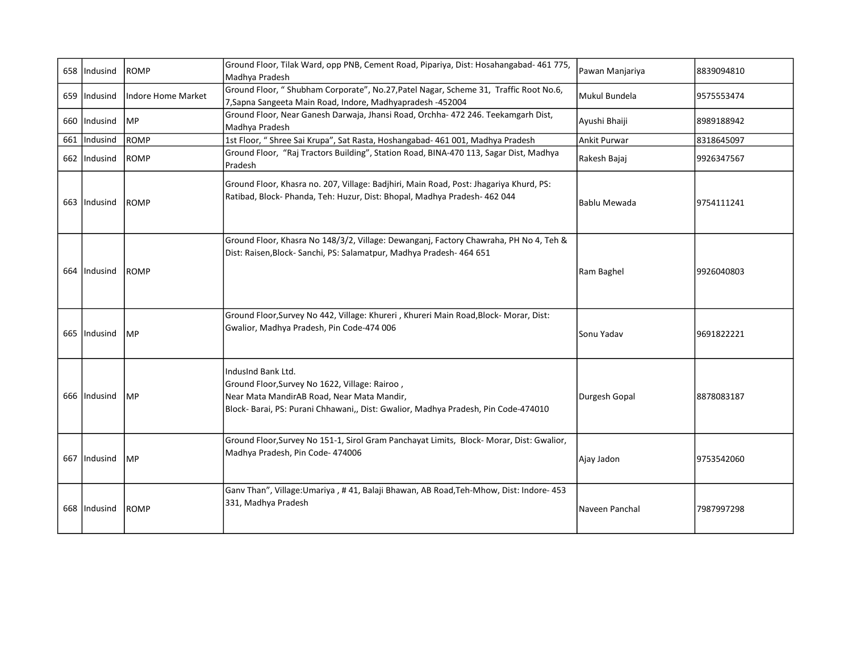| 658   Indusind | <b>ROMP</b>        | Ground Floor, Tilak Ward, opp PNB, Cement Road, Pipariya, Dist: Hosahangabad- 461 775,<br>Madhya Pradesh                                                                                                 | Pawan Manjariya     | 8839094810 |
|----------------|--------------------|----------------------------------------------------------------------------------------------------------------------------------------------------------------------------------------------------------|---------------------|------------|
| 659   Indusind | Indore Home Market | Ground Floor, " Shubham Corporate", No.27, Patel Nagar, Scheme 31, Traffic Root No.6,<br>7, Sapna Sangeeta Main Road, Indore, Madhyapradesh -452004                                                      | Mukul Bundela       | 9575553474 |
| 660   Indusind | <b>IMP</b>         | Ground Floor, Near Ganesh Darwaja, Jhansi Road, Orchha- 472 246. Teekamgarh Dist,<br>Madhya Pradesh                                                                                                      | Ayushi Bhaiji       | 8989188942 |
| 661   Indusind | ROMP               | 1st Floor, " Shree Sai Krupa", Sat Rasta, Hoshangabad- 461 001, Madhya Pradesh                                                                                                                           | <b>Ankit Purwar</b> | 8318645097 |
| 662   Indusind | <b>ROMP</b>        | Ground Floor, "Raj Tractors Building", Station Road, BINA-470 113, Sagar Dist, Madhya<br>Pradesh                                                                                                         | Rakesh Bajaj        | 9926347567 |
| 663 IIndusind  | <b>ROMP</b>        | Ground Floor, Khasra no. 207, Village: Badjhiri, Main Road, Post: Jhagariya Khurd, PS:<br>Ratibad, Block- Phanda, Teh: Huzur, Dist: Bhopal, Madhya Pradesh- 462 044                                      | Bablu Mewada        | 9754111241 |
| 664 IIndusind  | <b>ROMP</b>        | Ground Floor, Khasra No 148/3/2, Village: Dewanganj, Factory Chawraha, PH No 4, Teh &<br>Dist: Raisen, Block-Sanchi, PS: Salamatpur, Madhya Pradesh-464 651                                              | Ram Baghel          | 9926040803 |
| 665   Indusind | <b>MP</b>          | Ground Floor, Survey No 442, Village: Khureri, Khureri Main Road, Block-Morar, Dist:<br>Gwalior, Madhya Pradesh, Pin Code-474 006                                                                        | Sonu Yadav          | 9691822221 |
| 666 IIndusind  | <b>MP</b>          | IndusInd Bank Ltd.<br>Ground Floor, Survey No 1622, Village: Rairoo,<br>Near Mata MandirAB Road, Near Mata Mandir,<br>Block- Barai, PS: Purani Chhawani,, Dist: Gwalior, Madhya Pradesh, Pin Code-474010 | Durgesh Gopal       | 8878083187 |
| 667 Indusind   | <b>IMP</b>         | Ground Floor, Survey No 151-1, Sirol Gram Panchayat Limits, Block-Morar, Dist: Gwalior,<br>Madhya Pradesh, Pin Code- 474006                                                                              | Ajay Jadon          | 9753542060 |
| 668   Indusind | <b>ROMP</b>        | Ganv Than", Village:Umariya , #41, Balaji Bhawan, AB Road, Teh-Mhow, Dist: Indore-453<br>331, Madhya Pradesh                                                                                             | Naveen Panchal      | 7987997298 |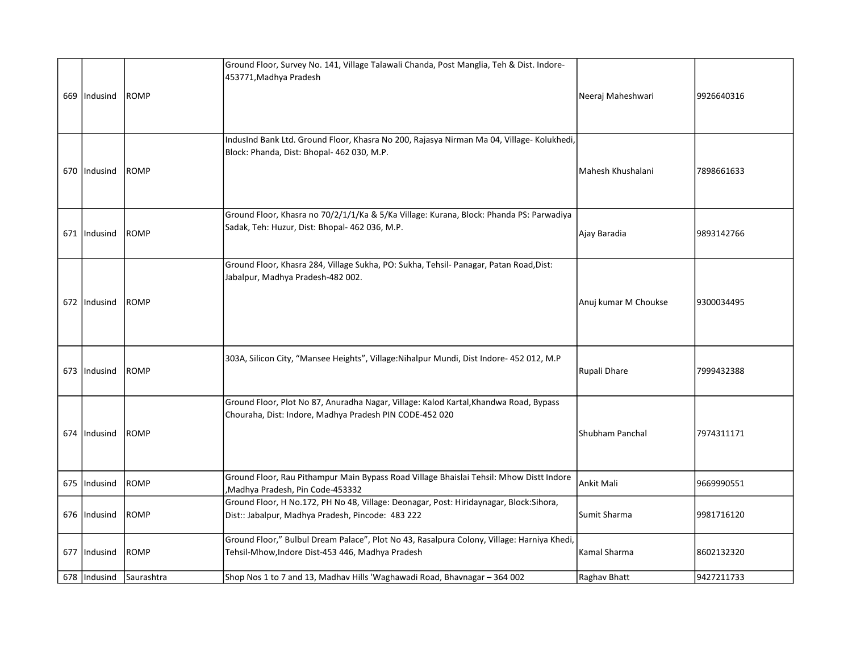| 669   Indusind | <b>ROMP</b>                 | Ground Floor, Survey No. 141, Village Talawali Chanda, Post Manglia, Teh & Dist. Indore-<br>453771, Madhya Pradesh                               | Neeraj Maheshwari    | 9926640316 |
|----------------|-----------------------------|--------------------------------------------------------------------------------------------------------------------------------------------------|----------------------|------------|
| 670   Indusind | <b>ROMP</b>                 | IndusInd Bank Ltd. Ground Floor, Khasra No 200, Rajasya Nirman Ma 04, Village- Kolukhedi,<br>Block: Phanda, Dist: Bhopal- 462 030, M.P.          | Mahesh Khushalani    | 7898661633 |
| 671 IIndusind  | <b>ROMP</b>                 | Ground Floor, Khasra no 70/2/1/1/Ka & 5/Ka Village: Kurana, Block: Phanda PS: Parwadiya<br>Sadak, Teh: Huzur, Dist: Bhopal- 462 036, M.P.        | Ajay Baradia         | 9893142766 |
| 672 Indusind   | <b>ROMP</b>                 | Ground Floor, Khasra 284, Village Sukha, PO: Sukha, Tehsil- Panagar, Patan Road, Dist:<br>Jabalpur, Madhya Pradesh-482 002.                      | Anuj kumar M Choukse | 9300034495 |
| 673   Indusind | ROMP                        | 303A, Silicon City, "Mansee Heights", Village:Nihalpur Mundi, Dist Indore- 452 012, M.P                                                          | Rupali Dhare         | 7999432388 |
| 674 IIndusind  | <b>ROMP</b>                 | Ground Floor, Plot No 87, Anuradha Nagar, Village: Kalod Kartal, Khandwa Road, Bypass<br>Chouraha, Dist: Indore, Madhya Pradesh PIN CODE-452 020 | Shubham Panchal      | 7974311171 |
| 675 Indusind   | ROMP                        | Ground Floor, Rau Pithampur Main Bypass Road Village Bhaislai Tehsil: Mhow Distt Indore<br>,Madhya Pradesh, Pin Code-453332                      | Ankit Mali           | 9669990551 |
| 676 Indusind   | <b>ROMP</b>                 | Ground Floor, H No.172, PH No 48, Village: Deonagar, Post: Hiridaynagar, Block:Sihora,<br>Dist:: Jabalpur, Madhya Pradesh, Pincode: 483 222      | Sumit Sharma         | 9981716120 |
| 677   Indusind | ROMP                        | Ground Floor," Bulbul Dream Palace", Plot No 43, Rasalpura Colony, Village: Harniya Khedi,<br>Tehsil-Mhow, Indore Dist-453 446, Madhya Pradesh   | Kamal Sharma         | 8602132320 |
|                | 678   Indusind   Saurashtra | Shop Nos 1 to 7 and 13, Madhav Hills 'Waghawadi Road, Bhavnagar - 364 002                                                                        | Raghav Bhatt         | 9427211733 |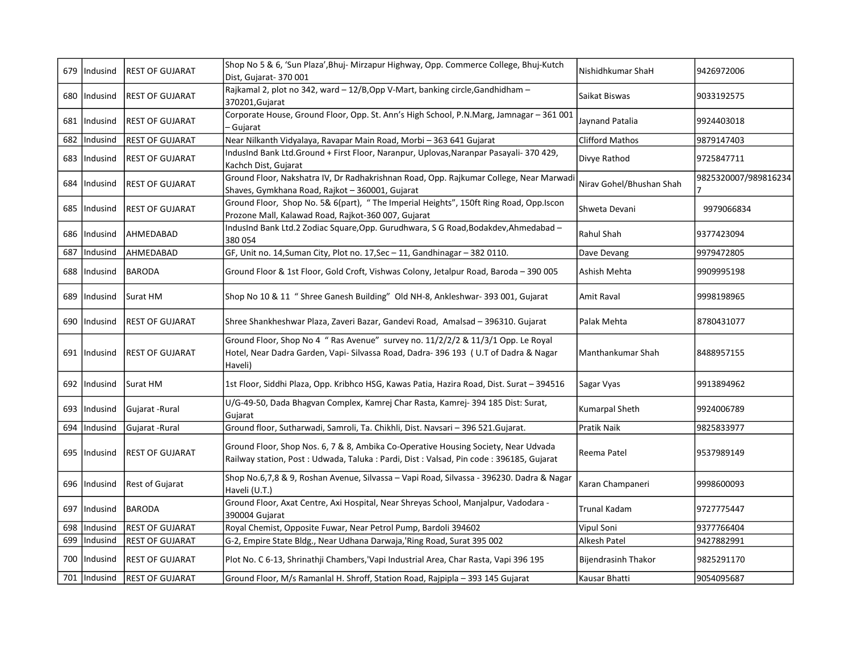|       | 679   Indusind | REST OF GUJARAT        | Shop No 5 & 6, 'Sun Plaza', Bhuj- Mirzapur Highway, Opp. Commerce College, Bhuj-Kutch<br>Dist, Gujarat- 370 001                                                                    | Nishidhkumar ShaH          | 9426972006           |
|-------|----------------|------------------------|------------------------------------------------------------------------------------------------------------------------------------------------------------------------------------|----------------------------|----------------------|
| 680   | Indusind       | <b>REST OF GUJARAT</b> | Rajkamal 2, plot no 342, ward - 12/B, Opp V-Mart, banking circle, Gandhidham -<br>370201, Gujarat                                                                                  | Saikat Biswas              | 9033192575           |
|       | 681   Indusind | REST OF GUJARAT        | Corporate House, Ground Floor, Opp. St. Ann's High School, P.N.Marg, Jamnagar - 361 001<br>- Gujarat                                                                               | Jaynand Patalia            | 9924403018           |
| 682   | Indusind       | REST OF GUJARAT        | Near Nilkanth Vidyalaya, Ravapar Main Road, Morbi - 363 641 Gujarat                                                                                                                | <b>Clifford Mathos</b>     | 9879147403           |
| 683   | Indusind       | <b>REST OF GUJARAT</b> | IndusInd Bank Ltd.Ground + First Floor, Naranpur, Uplovas, Naranpar Pasayali- 370 429,<br>Kachch Dist, Gujarat                                                                     | Divye Rathod               | 9725847711           |
| 684 I | Indusind       | <b>REST OF GUJARAT</b> | Ground Floor, Nakshatra IV, Dr Radhakrishnan Road, Opp. Rajkumar College, Near Marwadi<br>Shaves, Gymkhana Road, Rajkot - 360001, Gujarat                                          | Nirav Gohel/Bhushan Shah   | 9825320007/989816234 |
| 685   | Indusind       | <b>REST OF GUJARAT</b> | Ground Floor, Shop No. 5& 6(part), "The Imperial Heights", 150ft Ring Road, Opp.Iscon<br>Prozone Mall, Kalawad Road, Rajkot-360 007, Gujarat                                       | Shweta Devani              | 9979066834           |
|       | 686   Indusind | AHMEDABAD              | IndusInd Bank Ltd.2 Zodiac Square, Opp. Gurudhwara, S G Road, Bodakdev, Ahmedabad -<br>380 054                                                                                     | Rahul Shah                 | 9377423094           |
| 687   | Indusind       | AHMEDABAD              | GF, Unit no. 14, Suman City, Plot no. 17, Sec - 11, Gandhinagar - 382 0110.                                                                                                        | Dave Devang                | 9979472805           |
| 688   | Indusind       | <b>BARODA</b>          | Ground Floor & 1st Floor, Gold Croft, Vishwas Colony, Jetalpur Road, Baroda - 390 005                                                                                              | Ashish Mehta               | 9909995198           |
| 689   | Indusind       | Surat HM               | Shop No 10 & 11 " Shree Ganesh Building" Old NH-8, Ankleshwar- 393 001, Gujarat                                                                                                    | Amit Raval                 | 9998198965           |
| 690   | Indusind       | <b>REST OF GUJARAT</b> | Shree Shankheshwar Plaza, Zaveri Bazar, Gandevi Road, Amalsad - 396310. Gujarat                                                                                                    | Palak Mehta                | 8780431077           |
|       | 691   Indusind | <b>REST OF GUJARAT</b> | Ground Floor, Shop No 4 " Ras Avenue" survey no. 11/2/2/2 & 11/3/1 Opp. Le Royal<br>Hotel, Near Dadra Garden, Vapi- Silvassa Road, Dadra- 396 193 (U.T of Dadra & Nagar<br>Haveli) | Manthankumar Shah          | 8488957155           |
| 692   | Indusind       | Surat HM               | 1st Floor, Siddhi Plaza, Opp. Kribhco HSG, Kawas Patia, Hazira Road, Dist. Surat - 394516                                                                                          | Sagar Vyas                 | 9913894962           |
| 693   | Indusind       | Gujarat - Rural        | U/G-49-50, Dada Bhagvan Complex, Kamrej Char Rasta, Kamrej- 394 185 Dist: Surat,<br>Gujarat                                                                                        | Kumarpal Sheth             | 9924006789           |
| 694   | Indusind       | Gujarat - Rural        | Ground floor, Sutharwadi, Samroli, Ta. Chikhli, Dist. Navsari - 396 521. Gujarat.                                                                                                  | Pratik Naik                | 9825833977           |
| 695   | Indusind       | <b>REST OF GUJARAT</b> | Ground Floor, Shop Nos. 6, 7 & 8, Ambika Co-Operative Housing Society, Near Udvada<br>Railway station, Post : Udwada, Taluka : Pardi, Dist : Valsad, Pin code : 396185, Gujarat    | Reema Patel                | 9537989149           |
|       | 696   Indusind | Rest of Gujarat        | Shop No.6,7,8 & 9, Roshan Avenue, Silvassa - Vapi Road, Silvassa - 396230. Dadra & Nagar<br>Haveli (U.T.)                                                                          | Karan Champaneri           | 9998600093           |
| 697   | Indusind       | BARODA                 | Ground Floor, Axat Centre, Axi Hospital, Near Shreyas School, Manjalpur, Vadodara -<br>390004 Gujarat                                                                              | Trunal Kadam               | 9727775447           |
| 698   | Indusind       | <b>REST OF GUJARAT</b> | Royal Chemist, Opposite Fuwar, Near Petrol Pump, Bardoli 394602                                                                                                                    | Vipul Soni                 | 9377766404           |
| 699   | Indusind       | REST OF GUJARAT        | G-2, Empire State Bldg., Near Udhana Darwaja, Ring Road, Surat 395 002                                                                                                             | Alkesh Patel               | 9427882991           |
|       | 700   Indusind | <b>REST OF GUJARAT</b> | Plot No. C 6-13, Shrinathji Chambers, Vapi Industrial Area, Char Rasta, Vapi 396 195                                                                                               | <b>Bijendrasinh Thakor</b> | 9825291170           |
|       | 701   Indusind | <b>REST OF GUJARAT</b> | Ground Floor, M/s Ramanlal H. Shroff, Station Road, Rajpipla - 393 145 Gujarat                                                                                                     | Kausar Bhatti              | 9054095687           |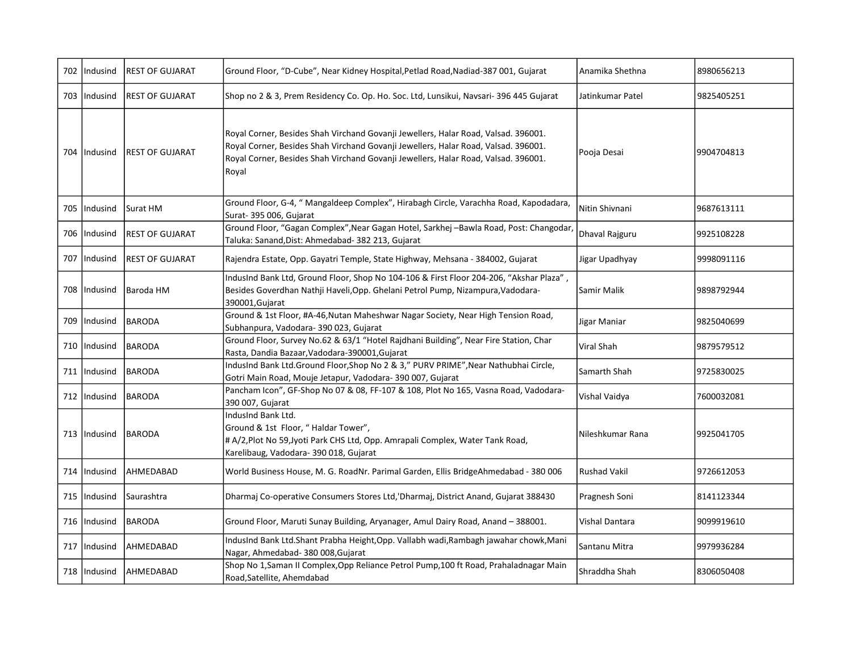|     | 702   Indusind | <b>REST OF GUJARAT</b>  | Ground Floor, "D-Cube", Near Kidney Hospital, Petlad Road, Nadiad-387 001, Gujarat                                                                                                                                                                                      | Anamika Shethna     | 8980656213 |
|-----|----------------|-------------------------|-------------------------------------------------------------------------------------------------------------------------------------------------------------------------------------------------------------------------------------------------------------------------|---------------------|------------|
|     | 703 IIndusind  | <b>IREST OF GUJARAT</b> | Shop no 2 & 3, Prem Residency Co. Op. Ho. Soc. Ltd, Lunsikui, Navsari-396 445 Gujarat                                                                                                                                                                                   | Jatinkumar Patel    | 9825405251 |
|     | 704   Indusind | <b>IREST OF GUJARAT</b> | Royal Corner, Besides Shah Virchand Govanji Jewellers, Halar Road, Valsad. 396001.<br>Royal Corner, Besides Shah Virchand Govanji Jewellers, Halar Road, Valsad. 396001.<br>Royal Corner, Besides Shah Virchand Govanji Jewellers, Halar Road, Valsad. 396001.<br>Royal | Pooja Desai         | 9904704813 |
| 705 | Indusind       | Surat HM                | Ground Floor, G-4, " Mangaldeep Complex", Hirabagh Circle, Varachha Road, Kapodadara,<br>Surat- 395 006, Gujarat                                                                                                                                                        | Nitin Shivnani      | 9687613111 |
|     | 706   Indusind | <b>REST OF GUJARAT</b>  | Ground Floor, "Gagan Complex", Near Gagan Hotel, Sarkhej -Bawla Road, Post: Changodar,<br>Taluka: Sanand, Dist: Ahmedabad- 382 213, Gujarat                                                                                                                             | Dhaval Rajguru      | 9925108228 |
|     | 707   Indusind | IREST OF GUJARAT        | Rajendra Estate, Opp. Gayatri Temple, State Highway, Mehsana - 384002, Gujarat                                                                                                                                                                                          | Jigar Upadhyay      | 9998091116 |
|     | 708 IIndusind  | Baroda HM               | IndusInd Bank Ltd, Ground Floor, Shop No 104-106 & First Floor 204-206, "Akshar Plaza",<br>Besides Goverdhan Nathji Haveli, Opp. Ghelani Petrol Pump, Nizampura, Vadodara-<br>390001, Gujarat                                                                           | Samir Malik         | 9898792944 |
| 709 | Indusind       | <b>BARODA</b>           | Ground & 1st Floor, #A-46, Nutan Maheshwar Nagar Society, Near High Tension Road,<br>Subhanpura, Vadodara- 390 023, Gujarat                                                                                                                                             | Jigar Maniar        | 9825040699 |
|     | 710   Indusind | BARODA                  | Ground Floor, Survey No.62 & 63/1 "Hotel Rajdhani Building", Near Fire Station, Char<br>Rasta, Dandia Bazaar, Vadodara-390001, Gujarat                                                                                                                                  | Viral Shah          | 9879579512 |
|     | 711   Indusind | BARODA                  | IndusInd Bank Ltd.Ground Floor, Shop No 2 & 3," PURV PRIME", Near Nathubhai Circle,<br>Gotri Main Road, Mouje Jetapur, Vadodara- 390 007, Gujarat                                                                                                                       | Samarth Shah        | 9725830025 |
|     | 712   Indusind | BARODA                  | Pancham Icon", GF-Shop No 07 & 08, FF-107 & 108, Plot No 165, Vasna Road, Vadodara-<br>390 007, Gujarat                                                                                                                                                                 | Vishal Vaidya       | 7600032081 |
|     | 713   Indusind | <b>BARODA</b>           | IndusInd Bank Ltd.<br>Ground & 1st Floor, "Haldar Tower",<br># A/2, Plot No 59, Jyoti Park CHS Ltd, Opp. Amrapali Complex, Water Tank Road,<br>Karelibaug, Vadodara- 390 018, Gujarat                                                                                   | Nileshkumar Rana    | 9925041705 |
|     | 714 Indusind   | <b>AHMEDABAD</b>        | World Business House, M. G. RoadNr. Parimal Garden, Ellis BridgeAhmedabad - 380 006                                                                                                                                                                                     | <b>Rushad Vakil</b> | 9726612053 |
| 715 | Indusind       | Saurashtra              | Dharmaj Co-operative Consumers Stores Ltd,'Dharmaj, District Anand, Gujarat 388430                                                                                                                                                                                      | Pragnesh Soni       | 8141123344 |
|     | 716   Indusind | BARODA                  | Ground Floor, Maruti Sunay Building, Aryanager, Amul Dairy Road, Anand - 388001.                                                                                                                                                                                        | Vishal Dantara      | 9099919610 |
|     | 717   Indusind | <b>AHMEDABAD</b>        | IndusInd Bank Ltd.Shant Prabha Height, Opp. Vallabh wadi, Rambagh jawahar chowk, Mani<br>Nagar, Ahmedabad- 380 008, Gujarat                                                                                                                                             | Santanu Mitra       | 9979936284 |
|     | 718   Indusind | AHMEDABAD               | Shop No 1, Saman II Complex, Opp Reliance Petrol Pump, 100 ft Road, Prahaladnagar Main<br>Road, Satellite, Ahemdabad                                                                                                                                                    | Shraddha Shah       | 8306050408 |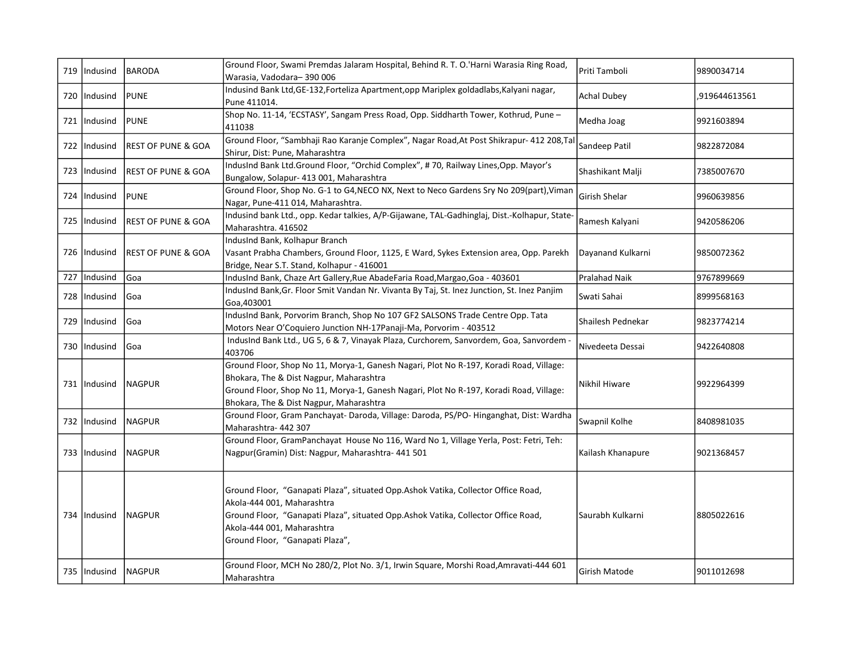| 719   Indusind | BARODA                        | Ground Floor, Swami Premdas Jalaram Hospital, Behind R. T. O.'Harni Warasia Ring Road,<br>Warasia, Vadodara-390006                                                                                                                                                     | Priti Tamboli        | 9890034714    |
|----------------|-------------------------------|------------------------------------------------------------------------------------------------------------------------------------------------------------------------------------------------------------------------------------------------------------------------|----------------------|---------------|
| 720   Indusind | <b>PUNE</b>                   | Indusind Bank Ltd, GE-132, Forteliza Apartment, opp Mariplex goldadlabs, Kalyani nagar,<br>Pune 411014.                                                                                                                                                                | <b>Achal Dubey</b>   | ,919644613561 |
| 721   Indusind | <b>IPUNE</b>                  | Shop No. 11-14, 'ECSTASY', Sangam Press Road, Opp. Siddharth Tower, Kothrud, Pune -<br>411038                                                                                                                                                                          | Medha Joag           | 9921603894    |
| 722   Indusind | <b>REST OF PUNE &amp; GOA</b> | Ground Floor, "Sambhaji Rao Karanje Complex", Nagar Road, At Post Shikrapur- 412 208, Tal<br>Shirur, Dist: Pune, Maharashtra                                                                                                                                           | Sandeep Patil        | 9822872084    |
| 723   Indusind | <b>REST OF PUNE &amp; GOA</b> | IndusInd Bank Ltd.Ground Floor, "Orchid Complex", #70, Railway Lines, Opp. Mayor's<br>Bungalow, Solapur- 413 001, Maharashtra                                                                                                                                          | Shashikant Malji     | 7385007670    |
| 724   Indusind | <b>PUNE</b>                   | Ground Floor, Shop No. G-1 to G4, NECO NX, Next to Neco Gardens Sry No 209(part), Viman<br>Nagar, Pune-411 014, Maharashtra.                                                                                                                                           | Girish Shelar        | 9960639856    |
| 725   Indusind | <b>REST OF PUNE &amp; GOA</b> | Indusind bank Ltd., opp. Kedar talkies, A/P-Gijawane, TAL-Gadhinglaj, Dist.-Kolhapur, State-<br>Maharashtra. 416502                                                                                                                                                    | Ramesh Kalyani       | 9420586206    |
| 726   Indusind | lREST OF PUNE & GOA           | IndusInd Bank, Kolhapur Branch<br>Vasant Prabha Chambers, Ground Floor, 1125, E Ward, Sykes Extension area, Opp. Parekh<br>Bridge, Near S.T. Stand, Kolhapur - 416001                                                                                                  | Dayanand Kulkarni    | 9850072362    |
| 727   Indusind | lGoa                          | IndusInd Bank, Chaze Art Gallery, Rue AbadeFaria Road, Margao, Goa - 403601                                                                                                                                                                                            | <b>Pralahad Naik</b> | 9767899669    |
| 728   Indusind | lGoa                          | IndusInd Bank, Gr. Floor Smit Vandan Nr. Vivanta By Taj, St. Inez Junction, St. Inez Panjim<br>Goa, 403001                                                                                                                                                             | Swati Sahai          | 8999568163    |
| 729   Indusind | Goa                           | IndusInd Bank, Porvorim Branch, Shop No 107 GF2 SALSONS Trade Centre Opp. Tata<br>Motors Near O'Coquiero Junction NH-17Panaji-Ma, Porvorim - 403512                                                                                                                    | Shailesh Pednekar    | 9823774214    |
| 730   Indusind | l Goa                         | IndusInd Bank Ltd., UG 5, 6 & 7, Vinayak Plaza, Curchorem, Sanvordem, Goa, Sanvordem -<br>403706                                                                                                                                                                       | Nivedeeta Dessai     | 9422640808    |
| 731   Indusind | <b>NAGPUR</b>                 | Ground Floor, Shop No 11, Morya-1, Ganesh Nagari, Plot No R-197, Koradi Road, Village:<br>Bhokara, The & Dist Nagpur, Maharashtra<br>Ground Floor, Shop No 11, Morya-1, Ganesh Nagari, Plot No R-197, Koradi Road, Village:<br>Bhokara, The & Dist Nagpur, Maharashtra | Nikhil Hiware        | 9922964399    |
| 732 Indusind   | <b>NAGPUR</b>                 | Ground Floor, Gram Panchayat- Daroda, Village: Daroda, PS/PO- Hinganghat, Dist: Wardha<br>Maharashtra- 442 307                                                                                                                                                         | Swapnil Kolhe        | 8408981035    |
| 733   Indusind | NAGPUR                        | Ground Floor, GramPanchayat House No 116, Ward No 1, Village Yerla, Post: Fetri, Teh:<br>Nagpur(Gramin) Dist: Nagpur, Maharashtra- 441 501                                                                                                                             | Kailash Khanapure    | 9021368457    |
| 734   Indusind | <b>NAGPUR</b>                 | Ground Floor, "Ganapati Plaza", situated Opp.Ashok Vatika, Collector Office Road,<br>Akola-444 001, Maharashtra<br>Ground Floor, "Ganapati Plaza", situated Opp.Ashok Vatika, Collector Office Road,<br>Akola-444 001, Maharashtra<br>Ground Floor, "Ganapati Plaza",  | Saurabh Kulkarni     | 8805022616    |
| 735   Indusind | NAGPUR                        | Ground Floor, MCH No 280/2, Plot No. 3/1, Irwin Square, Morshi Road, Amravati-444 601<br>Maharashtra                                                                                                                                                                   | Girish Matode        | 9011012698    |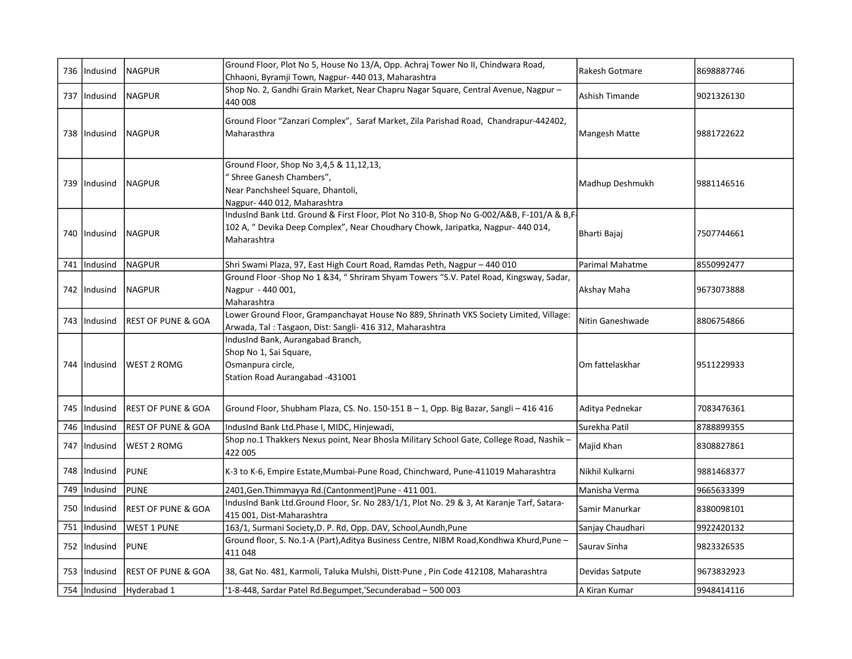|     | 736 Indusind   | <b>NAGPUR</b>                  | Ground Floor, Plot No 5, House No 13/A, Opp. Achraj Tower No II, Chindwara Road,<br>Chhaoni, Byramji Town, Nagpur- 440 013, Maharashtra                                                      | Rakesh Gotmare   | 8698887746 |
|-----|----------------|--------------------------------|----------------------------------------------------------------------------------------------------------------------------------------------------------------------------------------------|------------------|------------|
| 737 | Indusind       | NAGPUR                         | Shop No. 2, Gandhi Grain Market, Near Chapru Nagar Square, Central Avenue, Nagpur -<br>440 008                                                                                               | Ashish Timande   | 9021326130 |
|     | 738 Indusind   | <b>NAGPUR</b>                  | Ground Floor "Zanzari Complex", Saraf Market, Zila Parishad Road, Chandrapur-442402,<br>Maharasthra                                                                                          | Mangesh Matte    | 9881722622 |
|     | 739   Indusind | <b>NAGPUR</b>                  | Ground Floor, Shop No 3,4,5 & 11,12,13,<br>" Shree Ganesh Chambers",<br>Near Panchsheel Square, Dhantoli,<br>Nagpur- 440 012, Maharashtra                                                    | Madhup Deshmukh  | 9881146516 |
|     | 740   Indusind | <b>NAGPUR</b>                  | IndusInd Bank Ltd. Ground & First Floor, Plot No 310-B, Shop No G-002/A&B, F-101/A & B,F-<br>102 A, " Devika Deep Complex", Near Choudhary Chowk, Jaripatka, Nagpur- 440 014,<br>Maharashtra | Bharti Bajaj     | 7507744661 |
|     | 741   Indusind | <b>NAGPUR</b>                  | Shri Swami Plaza, 97, East High Court Road, Ramdas Peth, Nagpur - 440 010                                                                                                                    | Parimal Mahatme  | 8550992477 |
|     | 742   Indusind | <b>NAGPUR</b>                  | Ground Floor -Shop No 1 &34, " Shriram Shyam Towers "S.V. Patel Road, Kingsway, Sadar,<br>Nagpur - 440 001,<br>Maharashtra                                                                   | Akshay Maha      | 9673073888 |
|     | 743 Indusind   | <b>IREST OF PUNE &amp; GOA</b> | Lower Ground Floor, Grampanchayat House No 889, Shrinath VKS Society Limited, Village:<br>Arwada, Tal: Tasgaon, Dist: Sangli- 416 312, Maharashtra                                           | Nitin Ganeshwade | 8806754866 |
|     | 744 Indusind   | <b>WEST 2 ROMG</b>             | IndusInd Bank, Aurangabad Branch,<br>Shop No 1, Sai Square,<br>Osmanpura circle,<br>Station Road Aurangabad -431001                                                                          | Om fattelaskhar  | 9511229933 |
|     | 745   Indusind | <b>REST OF PUNE &amp; GOA</b>  | Ground Floor, Shubham Plaza, CS. No. 150-151 B - 1, Opp. Big Bazar, Sangli - 416 416                                                                                                         | Aditya Pednekar  | 7083476361 |
| 746 | Indusind       | REST OF PUNE & GOA             | IndusInd Bank Ltd.Phase I, MIDC, Hinjewadi,                                                                                                                                                  | Surekha Patil    | 8788899355 |
| 747 | lIndusind      | WEST 2 ROMG                    | Shop no.1 Thakkers Nexus point, Near Bhosla Military School Gate, College Road, Nashik -<br>422 005                                                                                          | Majid Khan       | 8308827861 |
|     | 748   Indusind | <b>PUNE</b>                    | K-3 to K-6, Empire Estate, Mumbai-Pune Road, Chinchward, Pune-411019 Maharashtra                                                                                                             | Nikhil Kulkarni  | 9881468377 |
| 749 | Indusind       | <b>PUNE</b>                    | 2401, Gen. Thimmayya Rd. (Cantonment) Pune - 411 001.                                                                                                                                        | Manisha Verma    | 9665633399 |
| 750 | Indusind       | <b>REST OF PUNE &amp; GOA</b>  | IndusInd Bank Ltd.Ground Floor, Sr. No 283/1/1, Plot No. 29 & 3, At Karanje Tarf, Satara-<br>415 001, Dist-Maharashtra                                                                       | Samir Manurkar   | 8380098101 |
| 751 | Indusind       | <b>WEST 1 PUNE</b>             | 163/1, Surmani Society, D. P. Rd, Opp. DAV, School, Aundh, Pune                                                                                                                              | Sanjay Chaudhari | 9922420132 |
|     | 752 Indusind   | <b>PUNE</b>                    | Ground floor, S. No.1-A (Part), Aditya Business Centre, NIBM Road, Kondhwa Khurd, Pune -<br>411048                                                                                           | Sauray Sinha     | 9823326535 |
|     | 753   Indusind | <b>REST OF PUNE &amp; GOA</b>  | 38, Gat No. 481, Karmoli, Taluka Mulshi, Distt-Pune, Pin Code 412108, Maharashtra                                                                                                            | Devidas Satpute  | 9673832923 |
|     |                | 754   Indusind   Hyderabad 1   | '1-8-448, Sardar Patel Rd.Begumpet,'Secunderabad - 500 003                                                                                                                                   | A Kiran Kumar    | 9948414116 |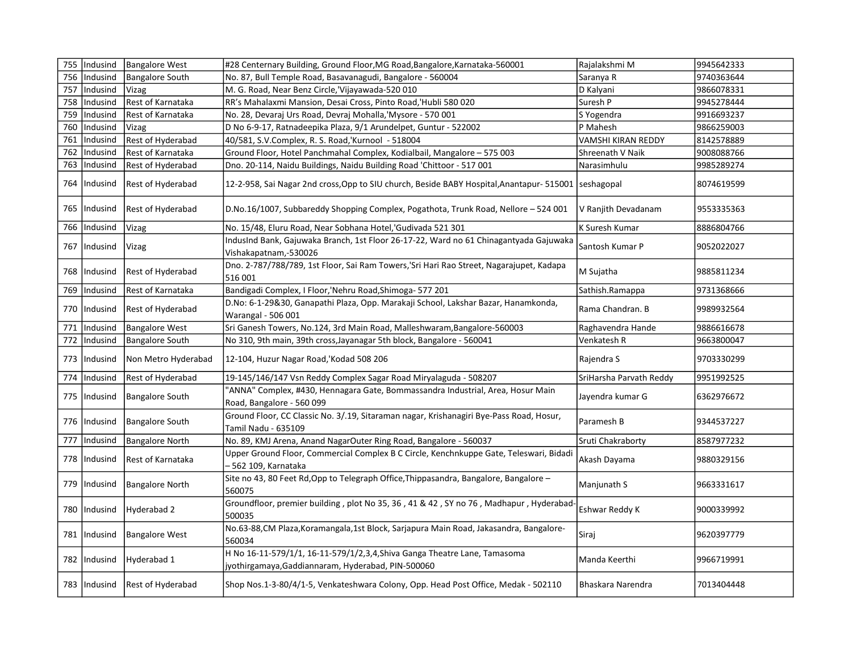| 755 | Indusind       | <b>Bangalore West</b>    | #28 Centernary Building, Ground Floor, MG Road, Bangalore, Karnataka-560001                                                     | Rajalakshmi M             | 9945642333 |
|-----|----------------|--------------------------|---------------------------------------------------------------------------------------------------------------------------------|---------------------------|------------|
| 756 | Indusind       | <b>Bangalore South</b>   | No. 87, Bull Temple Road, Basavanagudi, Bangalore - 560004                                                                      | Saranya R                 | 9740363644 |
| 757 | Indusind       | Vizag                    | M. G. Road, Near Benz Circle, Vijayawada-520 010                                                                                | D Kalyani                 | 9866078331 |
| 758 | Indusind       | Rest of Karnataka        | RR's Mahalaxmi Mansion, Desai Cross, Pinto Road, 'Hubli 580 020                                                                 | Suresh P                  | 9945278444 |
| 759 | Indusind       | Rest of Karnataka        | No. 28, Devaraj Urs Road, Devraj Mohalla, 'Mysore - 570 001                                                                     | S Yogendra                | 9916693237 |
| 760 | Indusind       | Vizag                    | D No 6-9-17, Ratnadeepika Plaza, 9/1 Arundelpet, Guntur - 522002                                                                | P Mahesh                  | 9866259003 |
| 761 | Indusind       | Rest of Hyderabad        | 40/581, S.V.Complex, R. S. Road,'Kurnool - 518004                                                                               | <b>VAMSHI KIRAN REDDY</b> | 8142578889 |
| 762 | Indusind       | Rest of Karnataka        | Ground Floor, Hotel Panchmahal Complex, Kodialbail, Mangalore - 575 003                                                         | Shreenath V Naik          | 9008088766 |
| 763 | Indusind       | Rest of Hyderabad        | Dno. 20-114, Naidu Buildings, Naidu Building Road 'Chittoor - 517 001                                                           | Narasimhulu               | 9985289274 |
| 764 | Indusind       | <b>Rest of Hyderabad</b> | 12-2-958, Sai Nagar 2nd cross, Opp to SIU church, Beside BABY Hospital, Anantapur- 515001                                       | seshagopal                | 8074619599 |
|     | 765   Indusind | <b>Rest of Hyderabad</b> | D.No.16/1007, Subbareddy Shopping Complex, Pogathota, Trunk Road, Nellore - 524 001                                             | V Ranjith Devadanam       | 9553335363 |
| 766 | Indusind       | Vizag                    | No. 15/48, Eluru Road, Near Sobhana Hotel,'Gudivada 521 301                                                                     | K Suresh Kumar            | 8886804766 |
|     | 767   Indusind | Vizag                    | IndusInd Bank, Gajuwaka Branch, 1st Floor 26-17-22, Ward no 61 Chinagantyada Gajuwaka<br>Vishakapatnam,-530026                  | Santosh Kumar P           | 9052022027 |
|     | 768   Indusind | <b>Rest of Hyderabad</b> | Dno. 2-787/788/789, 1st Floor, Sai Ram Towers, 'Sri Hari Rao Street, Nagarajupet, Kadapa<br>516 001                             | M Sujatha                 | 9885811234 |
| 769 | Indusind       | Rest of Karnataka        | Bandigadi Complex, I Floor, 'Nehru Road, Shimoga- 577 201                                                                       | Sathish.Ramappa           | 9731368666 |
|     | 770   Indusind | Rest of Hyderabad        | D.No: 6-1-29&30, Ganapathi Plaza, Opp. Marakaji School, Lakshar Bazar, Hanamkonda,<br>Warangal - 506 001                        | Rama Chandran. B          | 9989932564 |
| 771 | Indusind       | <b>Bangalore West</b>    | Sri Ganesh Towers, No.124, 3rd Main Road, Malleshwaram, Bangalore-560003                                                        | Raghavendra Hande         | 9886616678 |
| 772 | Indusind       | <b>Bangalore South</b>   | No 310, 9th main, 39th cross, Jayanagar 5th block, Bangalore - 560041                                                           | Venkatesh R               | 9663800047 |
| 773 | Indusind       | Non Metro Hyderabad      | 12-104, Huzur Nagar Road, Kodad 508 206                                                                                         | Rajendra S                | 9703330299 |
| 774 | Indusind       | <b>Rest of Hyderabad</b> | 19-145/146/147 Vsn Reddy Complex Sagar Road Miryalaguda - 508207                                                                | SriHarsha Parvath Reddy   | 9951992525 |
|     | 775   Indusind | <b>Bangalore South</b>   | 'ANNA" Complex, #430, Hennagara Gate, Bommassandra Industrial, Area, Hosur Main<br>Road, Bangalore - 560 099                    | Jayendra kumar G          | 6362976672 |
|     | 776   Indusind | Bangalore South          | Ground Floor, CC Classic No. 3/.19, Sitaraman nagar, Krishanagiri Bye-Pass Road, Hosur,<br>Tamil Nadu - 635109                  | Paramesh B                | 9344537227 |
| 777 | Indusind       | <b>Bangalore North</b>   | No. 89, KMJ Arena, Anand NagarOuter Ring Road, Bangalore - 560037                                                               | Sruti Chakraborty         | 8587977232 |
|     | 778   Indusind | l Rest of Karnataka      | Upper Ground Floor, Commercial Complex B C Circle, Kenchnkuppe Gate, Teleswari, Bidadi<br>- 562 109, Karnataka                  | Akash Dayama              | 9880329156 |
|     | 779   Indusind | <b>Bangalore North</b>   | Site no 43, 80 Feet Rd, Opp to Telegraph Office, Thippasandra, Bangalore, Bangalore -<br>560075                                 | Manjunath S               | 9663331617 |
|     | 780   Indusind | Hyderabad 2              | Groundfloor, premier building, plot No 35, 36, 41 & 42, SY no 76, Madhapur, Hyderabad-<br>500035                                | Eshwar Reddy K            | 9000339992 |
| 781 | Indusind       | <b>Bangalore West</b>    | No.63-88, CM Plaza, Koramangala, 1st Block, Sarjapura Main Road, Jakasandra, Bangalore-<br>560034                               | Siraj                     | 9620397779 |
|     | 782   Indusind | Hyderabad 1              | H No 16-11-579/1/1, 16-11-579/1/2,3,4, Shiva Ganga Theatre Lane, Tamasoma<br>jyothirgamaya, Gaddiannaram, Hyderabad, PIN-500060 | Manda Keerthi             | 9966719991 |
|     | 783   Indusind | <b>Rest of Hyderabad</b> | Shop Nos.1-3-80/4/1-5, Venkateshwara Colony, Opp. Head Post Office, Medak - 502110                                              | Bhaskara Narendra         | 7013404448 |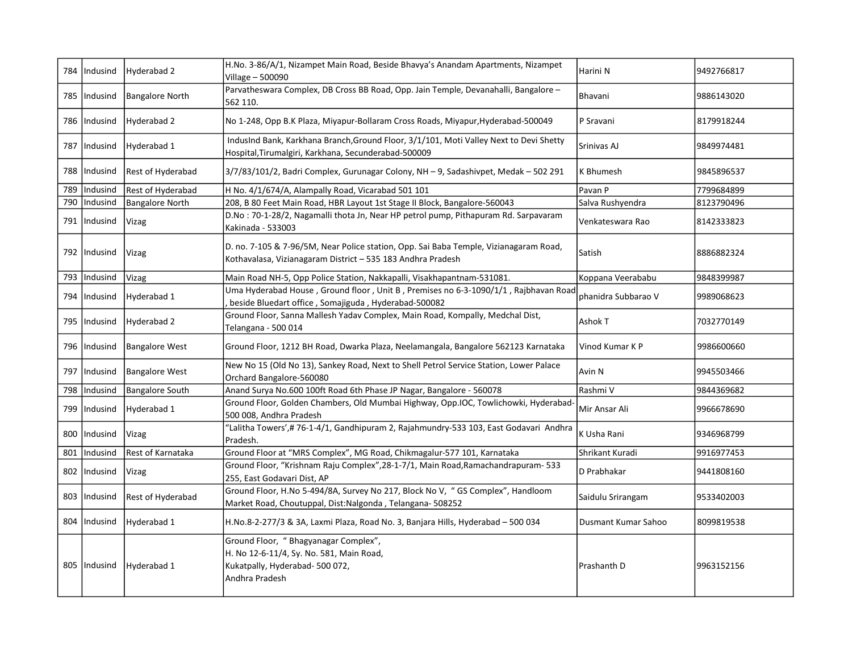|     | 784   Indusind | Hyderabad 2              | H.No. 3-86/A/1, Nizampet Main Road, Beside Bhavya's Anandam Apartments, Nizampet<br>Village - 500090                                                 | Harini N            | 9492766817 |
|-----|----------------|--------------------------|------------------------------------------------------------------------------------------------------------------------------------------------------|---------------------|------------|
| 785 | Indusind       | <b>Bangalore North</b>   | Parvatheswara Complex, DB Cross BB Road, Opp. Jain Temple, Devanahalli, Bangalore -<br>562 110.                                                      | Bhavani             | 9886143020 |
|     | 786   Indusind | Hyderabad 2              | No 1-248, Opp B.K Plaza, Miyapur-Bollaram Cross Roads, Miyapur, Hyderabad-500049                                                                     | P Sravani           | 8179918244 |
| 787 | Indusind       | Hyderabad 1              | IndusInd Bank, Karkhana Branch, Ground Floor, 3/1/101, Moti Valley Next to Devi Shetty<br>Hospital, Tirumalgiri, Karkhana, Secunderabad-500009       | Srinivas AJ         | 9849974481 |
| 788 | Indusind       | <b>Rest of Hyderabad</b> | 3/7/83/101/2, Badri Complex, Gurunagar Colony, NH - 9, Sadashivpet, Medak - 502 291                                                                  | K Bhumesh           | 9845896537 |
| 789 | Indusind       | Rest of Hyderabad        | H No. 4/1/674/A, Alampally Road, Vicarabad 501 101                                                                                                   | Pavan P             | 7799684899 |
| 790 | Indusind       | <b>Bangalore North</b>   | 208, B 80 Feet Main Road, HBR Layout 1st Stage II Block, Bangalore-560043                                                                            | Salva Rushyendra    | 8123790496 |
|     | 791   Indusind | Vizag                    | D.No: 70-1-28/2, Nagamalli thota Jn, Near HP petrol pump, Pithapuram Rd. Sarpavaram<br>Kakinada - 533003                                             | Venkateswara Rao    | 8142333823 |
|     | 792   Indusind | Vizag                    | D. no. 7-105 & 7-96/5M, Near Police station, Opp. Sai Baba Temple, Vizianagaram Road,<br>Kothavalasa, Vizianagaram District - 535 183 Andhra Pradesh | Satish              | 8886882324 |
| 793 | Indusind       | Vizag                    | Main Road NH-5, Opp Police Station, Nakkapalli, Visakhapantnam-531081.                                                                               | Koppana Veerababu   | 9848399987 |
|     | 794   Indusind | Hyderabad 1              | Uma Hyderabad House, Ground floor, Unit B, Premises no 6-3-1090/1/1, Rajbhavan Road<br>beside Bluedart office, Somajiguda, Hyderabad-500082          | phanidra Subbarao V | 9989068623 |
|     | 795   Indusind | Hyderabad 2              | Ground Floor, Sanna Mallesh Yadav Complex, Main Road, Kompally, Medchal Dist,<br>Telangana - 500 014                                                 | Ashok T             | 7032770149 |
|     | 796   Indusind | <b>Bangalore West</b>    | Ground Floor, 1212 BH Road, Dwarka Plaza, Neelamangala, Bangalore 562123 Karnataka                                                                   | Vinod Kumar K P     | 9986600660 |
|     | 797   Indusind | <b>Bangalore West</b>    | New No 15 (Old No 13), Sankey Road, Next to Shell Petrol Service Station, Lower Palace<br>Orchard Bangalore-560080                                   | Avin N              | 9945503466 |
| 798 | Indusind       | <b>Bangalore South</b>   | Anand Surya No.600 100ft Road 6th Phase JP Nagar, Bangalore - 560078                                                                                 | Rashmi V            | 9844369682 |
|     | 799   Indusind | Hyderabad 1              | Ground Floor, Golden Chambers, Old Mumbai Highway, Opp.IOC, Towlichowki, Hyderabad<br>500 008, Andhra Pradesh                                        | Mir Ansar Ali       | 9966678690 |
| 800 | Indusind       | Vizag                    | "Lalitha Towers',# 76-1-4/1, Gandhipuram 2, Rajahmundry-533 103, East Godavari Andhra<br>Pradesh.                                                    | K Usha Rani         | 9346968799 |
| 801 | Indusind       | Rest of Karnataka        | Ground Floor at "MRS Complex", MG Road, Chikmagalur-577 101, Karnataka                                                                               | Shrikant Kuradi     | 9916977453 |
|     | 802   Indusind | Vizag                    | Ground Floor, "Krishnam Raju Complex", 28-1-7/1, Main Road, Ramachandrapuram-533<br>255, East Godavari Dist, AP                                      | D Prabhakar         | 9441808160 |
|     | 803   Indusind | Rest of Hyderabad        | Ground Floor, H.No 5-494/8A, Survey No 217, Block No V, "GS Complex", Handloom<br>Market Road, Choutuppal, Dist:Nalgonda, Telangana-508252           | Saidulu Srirangam   | 9533402003 |
|     | 804 Indusind   | Hyderabad 1              | H.No.8-2-277/3 & 3A, Laxmi Plaza, Road No. 3, Banjara Hills, Hyderabad - 500 034                                                                     | Dusmant Kumar Sahoo | 8099819538 |
|     | 805   Indusind | Hyderabad 1              | Ground Floor, "Bhagyanagar Complex",<br>H. No 12-6-11/4, Sy. No. 581, Main Road,<br>Kukatpally, Hyderabad-500 072,<br>Andhra Pradesh                 | Prashanth D         | 9963152156 |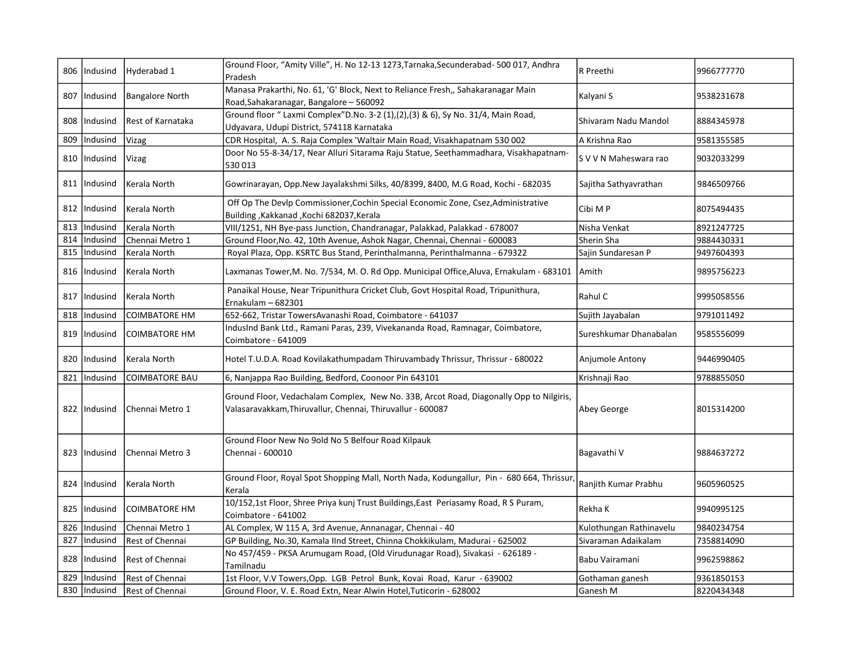|     | 806   Indusind | Hyderabad 1               | Ground Floor, "Amity Ville", H. No 12-13 1273, Tarnaka, Secunderabad- 500 017, Andhra<br>Pradesh                                                     | R Preethi               | 9966777770 |
|-----|----------------|---------------------------|------------------------------------------------------------------------------------------------------------------------------------------------------|-------------------------|------------|
| 807 | Indusind       | <b>Bangalore North</b>    | Manasa Prakarthi, No. 61, 'G' Block, Next to Reliance Fresh,, Sahakaranagar Main<br>Road, Sahakaranagar, Bangalore - 560092                          | Kalyani S               | 9538231678 |
| 808 | Indusind       | <b>IRest of Karnataka</b> | Ground floor " Laxmi Complex" D.No. 3-2 (1), (2), (3) & 6), Sy No. 31/4, Main Road,<br>Udyavara, Udupi District, 574118 Karnataka                    | Shivaram Nadu Mandol    | 8884345978 |
| 809 | Indusind       | Vizag                     | CDR Hospital, A. S. Raja Complex 'Waltair Main Road, Visakhapatnam 530 002                                                                           | A Krishna Rao           | 9581355585 |
|     | 810   Indusind | Vizag                     | Door No 55-8-34/17, Near Alluri Sitarama Raju Statue, Seethammadhara, Visakhapatnam-<br>530013                                                       | S V V N Maheswara rao   | 9032033299 |
|     | 811   Indusind | Kerala North              | Gowrinarayan, Opp.New Jayalakshmi Silks, 40/8399, 8400, M.G Road, Kochi - 682035                                                                     | Sajitha Sathyavrathan   | 9846509766 |
|     | 812   Indusind | Kerala North              | Off Op The Devlp Commissioner, Cochin Special Economic Zone, Csez, Administrative<br>Building, Kakkanad, Kochi 682037, Kerala                        | Cibi M P                | 8075494435 |
| 813 | Indusind       | Kerala North              | VIII/1251, NH Bye-pass Junction, Chandranagar, Palakkad, Palakkad - 678007                                                                           | Nisha Venkat            | 8921247725 |
| 814 | Indusind       | Chennai Metro 1           | Ground Floor, No. 42, 10th Avenue, Ashok Nagar, Chennai, Chennai - 600083                                                                            | Sherin Sha              | 9884430331 |
| 815 | Indusind       | Kerala North              | Royal Plaza, Opp. KSRTC Bus Stand, Perinthalmanna, Perinthalmanna - 679322                                                                           | Sajin Sundaresan P      | 9497604393 |
|     | 816   Indusind | Kerala North              | Laxmanas Tower, M. No. 7/534, M. O. Rd Opp. Municipal Office, Aluva, Ernakulam - 683101                                                              | Amith                   | 9895756223 |
|     | 817   Indusind | Kerala North              | Panaikal House, Near Tripunithura Cricket Club, Govt Hospital Road, Tripunithura,<br>Ernakulam - 682301                                              | Rahul C                 | 9995058556 |
| 818 | Indusind       | COIMBATORE HM             | 652-662, Tristar TowersAvanashi Road, Coimbatore - 641037                                                                                            | Sujith Jayabalan        | 9791011492 |
| 819 | Indusind       | <b>COIMBATORE HM</b>      | IndusInd Bank Ltd., Ramani Paras, 239, Vivekananda Road, Ramnagar, Coimbatore,<br>Coimbatore - 641009                                                | Sureshkumar Dhanabalan  | 9585556099 |
|     | 820   Indusind | Kerala North              | Hotel T.U.D.A. Road Kovilakathumpadam Thiruvambady Thrissur, Thrissur - 680022                                                                       | Anjumole Antony         | 9446990405 |
| 821 | Indusind       | <b>COIMBATORE BAU</b>     | 6, Nanjappa Rao Building, Bedford, Coonoor Pin 643101                                                                                                | Krishnaji Rao           | 9788855050 |
|     | 822   Indusind | Chennai Metro 1           | Ground Floor, Vedachalam Complex, New No. 33B, Arcot Road, Diagonally Opp to Nilgiris,<br>Valasaravakkam, Thiruvallur, Chennai, Thiruvallur - 600087 | Abey George             | 8015314200 |
|     | 823   Indusind | Chennai Metro 3           | Ground Floor New No 9old No 5 Belfour Road Kilpauk<br>Chennai - 600010                                                                               | Bagavathi V             | 9884637272 |
|     | 824   Indusind | Kerala North              | Ground Floor, Royal Spot Shopping Mall, North Nada, Kodungallur, Pin - 680 664, Thrissur,<br>Kerala                                                  | Ranjith Kumar Prabhu    | 9605960525 |
|     | 825   Indusind | <b>COIMBATORE HM</b>      | 10/152,1st Floor, Shree Priya kunj Trust Buildings, East Periasamy Road, R S Puram,<br>Coimbatore - 641002                                           | Rekha K                 | 9940995125 |
| 826 | Indusind       | Chennai Metro 1           | AL Complex, W 115 A, 3rd Avenue, Annanagar, Chennai - 40                                                                                             | Kulothungan Rathinavelu | 9840234754 |
| 827 | Indusind       | Rest of Chennai           | GP Building, No.30, Kamala IInd Street, Chinna Chokkikulam, Madurai - 625002                                                                         | Sivaraman Adaikalam     | 7358814090 |
|     | 828   Indusind | Rest of Chennai           | No 457/459 - PKSA Arumugam Road, (Old Virudunagar Road), Sivakasi - 626189 -<br>Tamilnadu                                                            | Babu Vairamani          | 9962598862 |
| 829 | Indusind       | Rest of Chennai           | 1st Floor, V.V Towers, Opp. LGB Petrol Bunk, Kovai Road, Karur - 639002                                                                              | Gothaman ganesh         | 9361850153 |
|     | 830   Indusind | Rest of Chennai           | Ground Floor, V. E. Road Extn, Near Alwin Hotel, Tuticorin - 628002                                                                                  | Ganesh M                | 8220434348 |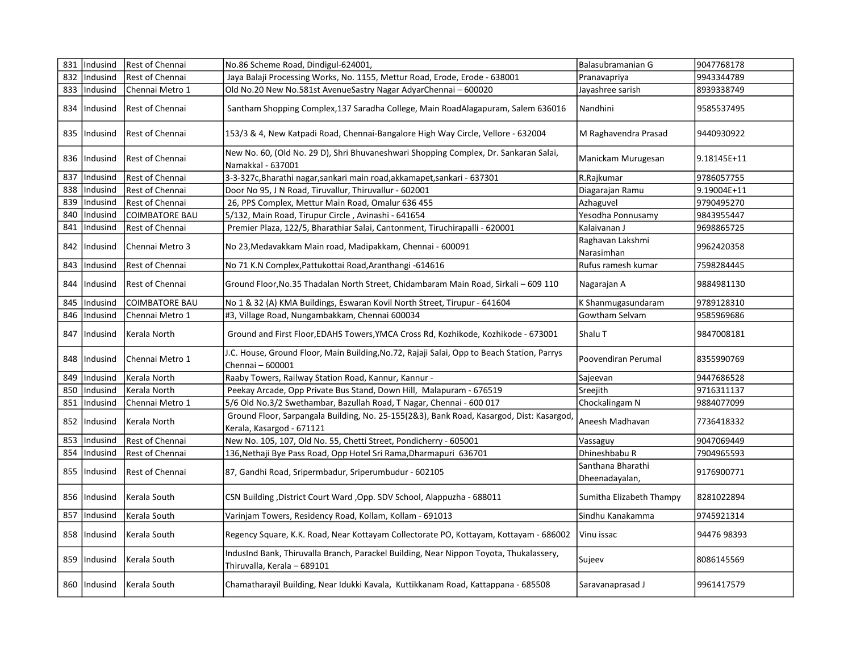|     | 831   Indusind | Rest of Chennai       | No.86 Scheme Road, Dindigul-624001,                                                                                   | Balasubramanian G                   | 9047768178  |
|-----|----------------|-----------------------|-----------------------------------------------------------------------------------------------------------------------|-------------------------------------|-------------|
| 832 | Indusind       | Rest of Chennai       | Jaya Balaji Processing Works, No. 1155, Mettur Road, Erode, Erode - 638001                                            | Pranavapriya                        | 9943344789  |
| 833 | Indusind       | Chennai Metro 1       | Old No.20 New No.581st AvenueSastry Nagar AdyarChennai - 600020                                                       | Jayashree sarish                    | 8939338749  |
|     | 834   Indusind | Rest of Chennai       | Santham Shopping Complex,137 Saradha College, Main RoadAlagapuram, Salem 636016                                       | Nandhini                            | 9585537495  |
|     | 835   Indusind | Rest of Chennai       | 153/3 & 4, New Katpadi Road, Chennai-Bangalore High Way Circle, Vellore - 632004                                      | M Raghavendra Prasad                | 9440930922  |
|     | 836   Indusind | Rest of Chennai       | New No. 60, (Old No. 29 D), Shri Bhuvaneshwari Shopping Complex, Dr. Sankaran Salai,<br>Namakkal - 637001             | Manickam Murugesan                  | 9.18145E+11 |
| 837 | Indusind       | Rest of Chennai       | 3-3-327c, Bharathi nagar, sankari main road, akkamapet, sankari - 637301                                              | R.Rajkumar                          | 9786057755  |
| 838 | Indusind       | Rest of Chennai       | Door No 95, J N Road, Tiruvallur, Thiruvallur - 602001                                                                | Diagarajan Ramu                     | 9.19004E+11 |
| 839 | Indusind       | Rest of Chennai       | 26, PPS Complex, Mettur Main Road, Omalur 636 455                                                                     | Azhaguvel                           | 9790495270  |
| 840 | Indusind       | <b>COIMBATORE BAU</b> | 5/132, Main Road, Tirupur Circle, Avinashi - 641654                                                                   | Yesodha Ponnusamy                   | 9843955447  |
| 841 | Indusind       | Rest of Chennai       | Premier Plaza, 122/5, Bharathiar Salai, Cantonment, Tiruchirapalli - 620001                                           | Kalaivanan J                        | 9698865725  |
| 842 | Indusind       | Chennai Metro 3       | No 23, Medavakkam Main road, Madipakkam, Chennai - 600091                                                             | Raghavan Lakshmi<br>Narasimhan      | 9962420358  |
| 843 | Indusind       | Rest of Chennai       | No 71 K.N Complex, Pattukottai Road, Aranthangi -614616                                                               | Rufus ramesh kumar                  | 7598284445  |
|     | 844   Indusind | Rest of Chennai       | Ground Floor, No.35 Thadalan North Street, Chidambaram Main Road, Sirkali - 609 110                                   | Nagarajan A                         | 9884981130  |
| 845 | Indusind       | <b>COIMBATORE BAU</b> | No 1 & 32 (A) KMA Buildings, Eswaran Kovil North Street, Tirupur - 641604                                             | K Shanmugasundaram                  | 9789128310  |
|     | 846   Indusind | Chennai Metro 1       | #3, Village Road, Nungambakkam, Chennai 600034                                                                        | Gowtham Selvam                      | 9585969686  |
| 847 | Indusind       | Kerala North          | Ground and First Floor, EDAHS Towers, YMCA Cross Rd, Kozhikode, Kozhikode - 673001                                    | Shalu T                             | 9847008181  |
|     | 848   Indusind | Chennai Metro 1       | J.C. House, Ground Floor, Main Building, No.72, Rajaji Salai, Opp to Beach Station, Parrys<br>Chennai - 600001        | Poovendiran Perumal                 | 8355990769  |
| 849 | Indusind       | Kerala North          | Raaby Towers, Railway Station Road, Kannur, Kannur -                                                                  | Sajeevan                            | 9447686528  |
| 850 | Indusind       | Kerala North          | Peekay Arcade, Opp Private Bus Stand, Down Hill, Malapuram - 676519                                                   | Sreejith                            | 9716311137  |
| 851 | Indusind       | Chennai Metro 1       | 5/6 Old No.3/2 Swethambar, Bazullah Road, T Nagar, Chennai - 600 017                                                  | Chockalingam N                      | 9884077099  |
|     | 852   Indusind | Kerala North          | Ground Floor, Sarpangala Building, No. 25-155(2&3), Bank Road, Kasargod, Dist: Kasargod,<br>Kerala, Kasargod - 671121 | Aneesh Madhavan                     | 7736418332  |
| 853 | Indusind       | Rest of Chennai       | New No. 105, 107, Old No. 55, Chetti Street, Pondicherry - 605001                                                     | Vassaguy                            | 9047069449  |
| 854 | Indusind       | Rest of Chennai       | 136, Nethaji Bye Pass Road, Opp Hotel Sri Rama, Dharmapuri 636701                                                     | Dhineshbabu R                       | 7904965593  |
|     | 855   Indusind | Rest of Chennai       | 87, Gandhi Road, Sripermbadur, Sriperumbudur - 602105                                                                 | Santhana Bharathi<br>Dheenadayalan, | 9176900771  |
|     | 856   Indusind | Kerala South          | CSN Building , District Court Ward , Opp. SDV School, Alappuzha - 688011                                              | Sumitha Elizabeth Thampy            | 8281022894  |
| 857 | Indusind       | Kerala South          | Varinjam Towers, Residency Road, Kollam, Kollam - 691013                                                              | Sindhu Kanakamma                    | 9745921314  |
| 858 | Indusind       | Kerala South          | Regency Square, K.K. Road, Near Kottayam Collectorate PO, Kottayam, Kottayam - 686002                                 | Vinu issac                          | 94476 98393 |
|     | 859   Indusind | Kerala South          | IndusInd Bank, Thiruvalla Branch, Parackel Building, Near Nippon Toyota, Thukalassery,<br>Thiruvalla, Kerala - 689101 | Sujeev                              | 8086145569  |
|     | 860   Indusind | Kerala South          | Chamatharayil Building, Near Idukki Kavala, Kuttikkanam Road, Kattappana - 685508                                     | Saravanaprasad J                    | 9961417579  |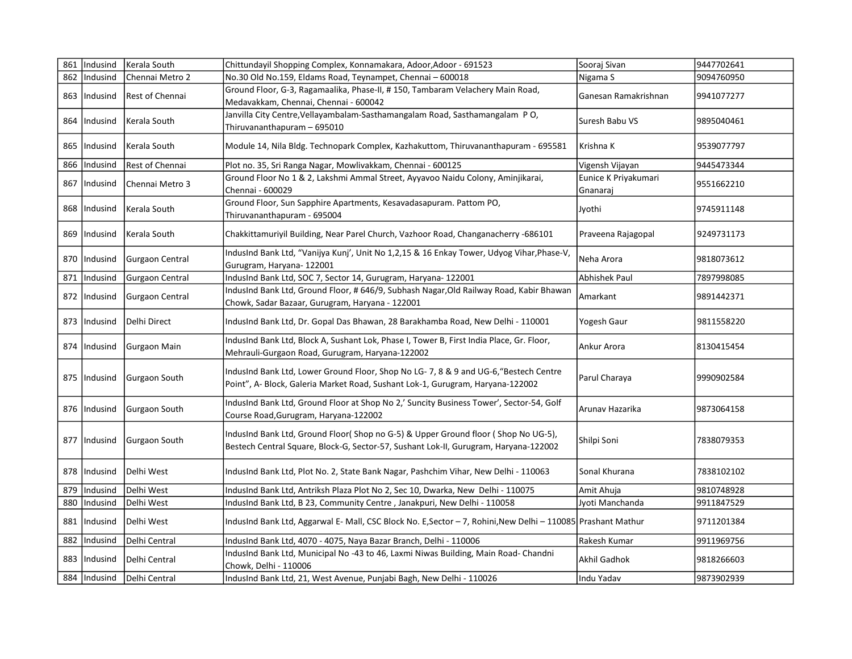|     | 861   Indusind | Kerala South           | Chittundayil Shopping Complex, Konnamakara, Adoor, Adoor - 691523                                                                                                         | Sooraj Sivan                     | 9447702641 |
|-----|----------------|------------------------|---------------------------------------------------------------------------------------------------------------------------------------------------------------------------|----------------------------------|------------|
| 862 | Indusind       | Chennai Metro 2        | No.30 Old No.159, Eldams Road, Teynampet, Chennai - 600018                                                                                                                | Nigama S                         | 9094760950 |
| 863 | Indusind       | Rest of Chennai        | Ground Floor, G-3, Ragamaalika, Phase-II, #150, Tambaram Velachery Main Road,<br>Medavakkam, Chennai, Chennai - 600042                                                    | Ganesan Ramakrishnan             | 9941077277 |
|     | 864   Indusind | Kerala South           | Janvilla City Centre, Vellayambalam-Sasthamangalam Road, Sasthamangalam PO,<br>Thiruvananthapuram - 695010                                                                | Suresh Babu VS                   | 9895040461 |
|     | 865   Indusind | Kerala South           | Module 14, Nila Bldg. Technopark Complex, Kazhakuttom, Thiruvananthapuram - 695581                                                                                        | Krishna K                        | 9539077797 |
| 866 | Indusind       | Rest of Chennai        | Plot no. 35, Sri Ranga Nagar, Mowlivakkam, Chennai - 600125                                                                                                               | Vigensh Vijayan                  | 9445473344 |
|     | 867   Indusind | Chennai Metro 3        | Ground Floor No 1 & 2, Lakshmi Ammal Street, Ayyavoo Naidu Colony, Aminjikarai,<br>Chennai - 600029                                                                       | Eunice K Priyakumari<br>Gnanaraj | 9551662210 |
|     | 868   Indusind | Kerala South           | Ground Floor, Sun Sapphire Apartments, Kesavadasapuram. Pattom PO,<br>Thiruvananthapuram - 695004                                                                         | Jyothi                           | 9745911148 |
|     | 869   Indusind | Kerala South           | Chakkittamuriyil Building, Near Parel Church, Vazhoor Road, Changanacherry -686101                                                                                        | Praveena Rajagopal               | 9249731173 |
|     | 870   Indusind | Gurgaon Central        | IndusInd Bank Ltd, "Vanijya Kunj', Unit No 1,2,15 & 16 Enkay Tower, Udyog Vihar, Phase-V,<br>Gurugram, Haryana- 122001                                                    | Neha Arora                       | 9818073612 |
| 871 | Indusind       | <b>Gurgaon Central</b> | IndusInd Bank Ltd, SOC 7, Sector 14, Gurugram, Haryana- 122001                                                                                                            | <b>Abhishek Paul</b>             | 7897998085 |
|     | 872   Indusind | Gurgaon Central        | IndusInd Bank Ltd, Ground Floor, # 646/9, Subhash Nagar, Old Railway Road, Kabir Bhawan<br>Chowk, Sadar Bazaar, Gurugram, Haryana - 122001                                | Amarkant                         | 9891442371 |
|     | 873   Indusind | Delhi Direct           | IndusInd Bank Ltd, Dr. Gopal Das Bhawan, 28 Barakhamba Road, New Delhi - 110001                                                                                           | Yogesh Gaur                      | 9811558220 |
|     | 874   Indusind | Gurgaon Main           | IndusInd Bank Ltd, Block A, Sushant Lok, Phase I, Tower B, First India Place, Gr. Floor,<br>Mehrauli-Gurgaon Road, Gurugram, Haryana-122002                               | Ankur Arora                      | 8130415454 |
|     | 875   Indusind | Gurgaon South          | IndusInd Bank Ltd, Lower Ground Floor, Shop No LG-7, 8 & 9 and UG-6, "Bestech Centre<br>Point", A- Block, Galeria Market Road, Sushant Lok-1, Gurugram, Haryana-122002    | Parul Charaya                    | 9990902584 |
|     | 876 Indusind   | Gurgaon South          | IndusInd Bank Ltd, Ground Floor at Shop No 2,' Suncity Business Tower', Sector-54, Golf<br>Course Road, Gurugram, Haryana-122002                                          | Arunav Hazarika                  | 9873064158 |
|     | 877   Indusind | Gurgaon South          | IndusInd Bank Ltd, Ground Floor(Shop no G-5) & Upper Ground floor (Shop No UG-5),<br>Bestech Central Square, Block-G, Sector-57, Sushant Lok-II, Gurugram, Haryana-122002 | Shilpi Soni                      | 7838079353 |
|     | 878   Indusind | Delhi West             | IndusInd Bank Ltd, Plot No. 2, State Bank Nagar, Pashchim Vihar, New Delhi - 110063                                                                                       | Sonal Khurana                    | 7838102102 |
| 879 | Indusind       | Delhi West             | IndusInd Bank Ltd, Antriksh Plaza Plot No 2, Sec 10, Dwarka, New Delhi - 110075                                                                                           | Amit Ahuja                       | 9810748928 |
| 880 | Indusind       | Delhi West             | IndusInd Bank Ltd, B 23, Community Centre, Janakpuri, New Delhi - 110058                                                                                                  | Jyoti Manchanda                  | 9911847529 |
|     | 881   Indusind | Delhi West             | IndusInd Bank Ltd, Aggarwal E- Mall, CSC Block No. E, Sector - 7, Rohini, New Delhi - 110085   Prashant Mathur                                                            |                                  | 9711201384 |
| 882 | Indusind       | Delhi Central          | IndusInd Bank Ltd, 4070 - 4075, Naya Bazar Branch, Delhi - 110006                                                                                                         | Rakesh Kumar                     | 9911969756 |
|     | 883   Indusind | Delhi Central          | IndusInd Bank Ltd, Municipal No -43 to 46, Laxmi Niwas Building, Main Road-Chandni<br>Chowk, Delhi - 110006                                                               | Akhil Gadhok                     | 9818266603 |
|     | 884 Indusind   | Delhi Central          | IndusInd Bank Ltd, 21, West Avenue, Punjabi Bagh, New Delhi - 110026                                                                                                      | Indu Yadav                       | 9873902939 |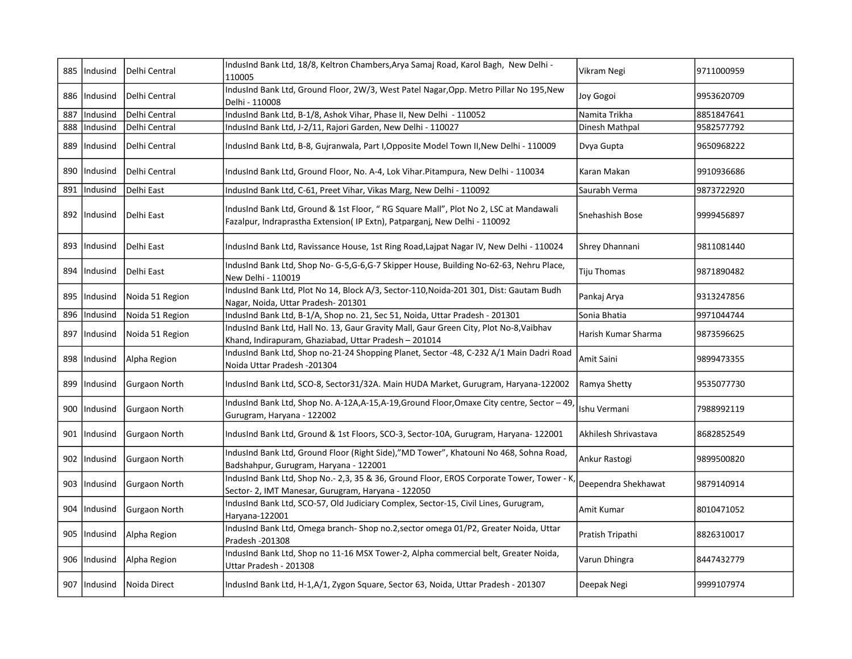| 885 | Indusind       | Delhi Central   | IndusInd Bank Ltd, 18/8, Keltron Chambers, Arya Samaj Road, Karol Bagh, New Delhi -<br>110005                                                                     | Vikram Negi          | 9711000959 |
|-----|----------------|-----------------|-------------------------------------------------------------------------------------------------------------------------------------------------------------------|----------------------|------------|
| 886 | Indusind       | Delhi Central   | IndusInd Bank Ltd, Ground Floor, 2W/3, West Patel Nagar, Opp. Metro Pillar No 195, New<br>Delhi - 110008                                                          | Joy Gogoi            | 9953620709 |
| 887 | Indusind       | Delhi Central   | IndusInd Bank Ltd, B-1/8, Ashok Vihar, Phase II, New Delhi - 110052                                                                                               | Namita Trikha        | 8851847641 |
| 888 | Indusind       | Delhi Central   | IndusInd Bank Ltd, J-2/11, Rajori Garden, New Delhi - 110027                                                                                                      | Dinesh Mathpal       | 9582577792 |
| 889 | Indusind       | Delhi Central   | IndusInd Bank Ltd, B-8, Gujranwala, Part I, Opposite Model Town II, New Delhi - 110009                                                                            | Dvya Gupta           | 9650968222 |
|     | 890   Indusind | Delhi Central   | IndusInd Bank Ltd, Ground Floor, No. A-4, Lok Vihar.Pitampura, New Delhi - 110034                                                                                 | Karan Makan          | 9910936686 |
| 891 | Indusind       | Delhi East      | IndusInd Bank Ltd, C-61, Preet Vihar, Vikas Marg, New Delhi - 110092                                                                                              | Saurabh Verma        | 9873722920 |
|     | 892   Indusind | Delhi East      | IndusInd Bank Ltd, Ground & 1st Floor, "RG Square Mall", Plot No 2, LSC at Mandawali<br>Fazalpur, Indraprastha Extension(IP Extn), Patparganj, New Delhi - 110092 | Snehashish Bose      | 9999456897 |
|     | 893   Indusind | Delhi East      | IndusInd Bank Ltd, Ravissance House, 1st Ring Road, Lajpat Nagar IV, New Delhi - 110024                                                                           | Shrey Dhannani       | 9811081440 |
|     | 894   Indusind | Delhi East      | IndusInd Bank Ltd, Shop No- G-5, G-6, G-7 Skipper House, Building No-62-63, Nehru Place,<br>New Delhi - 110019                                                    | <b>Tiju Thomas</b>   | 9871890482 |
|     | 895   Indusind | Noida 51 Region | IndusInd Bank Ltd, Plot No 14, Block A/3, Sector-110, Noida-201 301, Dist: Gautam Budh<br>Nagar, Noida, Uttar Pradesh-201301                                      | Pankaj Arya          | 9313247856 |
| 896 | Indusind       | Noida 51 Region | IndusInd Bank Ltd, B-1/A, Shop no. 21, Sec 51, Noida, Uttar Pradesh - 201301                                                                                      | Sonia Bhatia         | 9971044744 |
| 897 | Indusind       | Noida 51 Region | IndusInd Bank Ltd, Hall No. 13, Gaur Gravity Mall, Gaur Green City, Plot No-8, Vaibhav<br>Khand, Indirapuram, Ghaziabad, Uttar Pradesh - 201014                   | Harish Kumar Sharma  | 9873596625 |
|     | 898   Indusind | Alpha Region    | IndusInd Bank Ltd, Shop no-21-24 Shopping Planet, Sector -48, C-232 A/1 Main Dadri Road<br>Noida Uttar Pradesh -201304                                            | Amit Saini           | 9899473355 |
| 899 | Indusind       | Gurgaon North   | IndusInd Bank Ltd, SCO-8, Sector31/32A. Main HUDA Market, Gurugram, Haryana-122002                                                                                | Ramya Shetty         | 9535077730 |
|     | 900   Indusind | Gurgaon North   | IndusInd Bank Ltd, Shop No. A-12A, A-15, A-19, Ground Floor, Omaxe City centre, Sector - 49<br>Gurugram, Haryana - 122002                                         | Ishu Vermani         | 7988992119 |
| 901 | Indusind       | Gurgaon North   | IndusInd Bank Ltd, Ground & 1st Floors, SCO-3, Sector-10A, Gurugram, Haryana- 122001                                                                              | Akhilesh Shrivastava | 8682852549 |
|     | 902   Indusind | Gurgaon North   | IndusInd Bank Ltd, Ground Floor (Right Side),"MD Tower", Khatouni No 468, Sohna Road,<br>Badshahpur, Gurugram, Haryana - 122001                                   | Ankur Rastogi        | 9899500820 |
|     | 903   Indusind | Gurgaon North   | IndusInd Bank Ltd, Shop No.- 2,3, 35 & 36, Ground Floor, EROS Corporate Tower, Tower - K<br>Sector- 2, IMT Manesar, Gurugram, Haryana - 122050                    | Deependra Shekhawat  | 9879140914 |
|     | 904   Indusind | Gurgaon North   | IndusInd Bank Ltd, SCO-57, Old Judiciary Complex, Sector-15, Civil Lines, Gurugram,<br>Haryana-122001                                                             | Amit Kumar           | 8010471052 |
| 905 | Indusind       | Alpha Region    | IndusInd Bank Ltd, Omega branch- Shop no.2, sector omega 01/P2, Greater Noida, Uttar<br>Pradesh -201308                                                           | Pratish Tripathi     | 8826310017 |
|     | 906   Indusind | Alpha Region    | IndusInd Bank Ltd, Shop no 11-16 MSX Tower-2, Alpha commercial belt, Greater Noida,<br>Uttar Pradesh - 201308                                                     | Varun Dhingra        | 8447432779 |
|     | 907   Indusind | Noida Direct    | IndusInd Bank Ltd, H-1, A/1, Zygon Square, Sector 63, Noida, Uttar Pradesh - 201307                                                                               | Deepak Negi          | 9999107974 |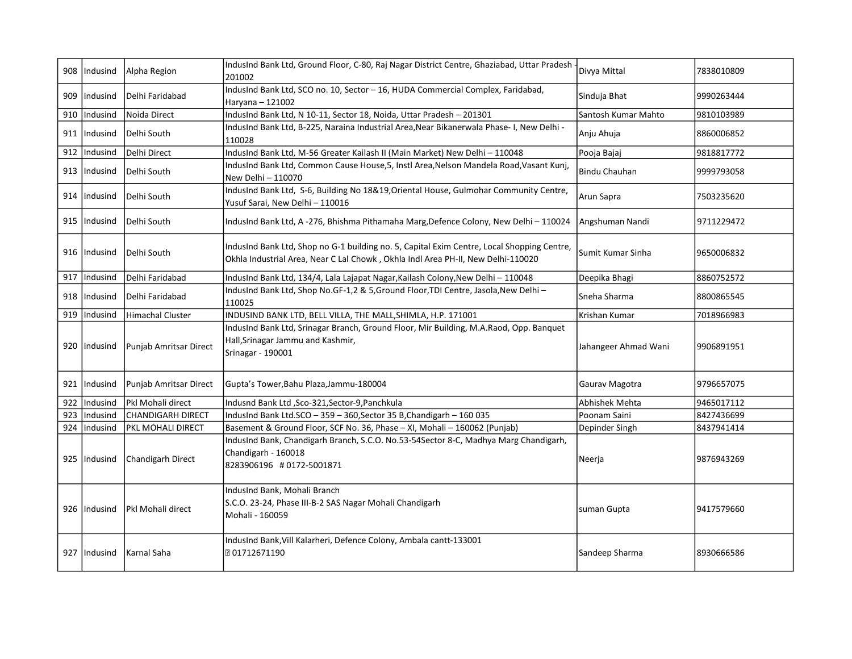|     | 908   Indusind | Alpha Region             | IndusInd Bank Ltd, Ground Floor, C-80, Raj Nagar District Centre, Ghaziabad, Uttar Pradesh<br>201002                                                                           | Divya Mittal         | 7838010809 |
|-----|----------------|--------------------------|--------------------------------------------------------------------------------------------------------------------------------------------------------------------------------|----------------------|------------|
|     | 909   Indusind | Delhi Faridabad          | IndusInd Bank Ltd, SCO no. 10, Sector - 16, HUDA Commercial Complex, Faridabad,<br>Haryana - 121002                                                                            | Sinduja Bhat         | 9990263444 |
| 910 | Indusind       | Noida Direct             | IndusInd Bank Ltd, N 10-11, Sector 18, Noida, Uttar Pradesh - 201301                                                                                                           | Santosh Kumar Mahto  | 9810103989 |
|     | 911 IIndusind  | Delhi South              | IndusInd Bank Ltd, B-225, Naraina Industrial Area, Near Bikanerwala Phase- I, New Delhi -<br>110028                                                                            | Anju Ahuja           | 8860006852 |
| 912 | Indusind       | Delhi Direct             | IndusInd Bank Ltd, M-56 Greater Kailash II (Main Market) New Delhi - 110048                                                                                                    | Pooja Bajaj          | 9818817772 |
|     | 913   Indusind | Delhi South              | IndusInd Bank Ltd, Common Cause House, 5, Instl Area, Nelson Mandela Road, Vasant Kunj,<br>New Delhi - 110070                                                                  | Bindu Chauhan        | 9999793058 |
|     | 914   Indusind | Delhi South              | IndusInd Bank Ltd, S-6, Building No 18&19, Oriental House, Gulmohar Community Centre,<br>Yusuf Sarai, New Delhi - 110016                                                       | Arun Sapra           | 7503235620 |
|     | 915   Indusind | Delhi South              | IndusInd Bank Ltd, A-276, Bhishma Pithamaha Marg, Defence Colony, New Delhi - 110024                                                                                           | Angshuman Nandi      | 9711229472 |
|     | 916   Indusind | Delhi South              | IndusInd Bank Ltd, Shop no G-1 building no. 5, Capital Exim Centre, Local Shopping Centre,<br>Okhla Industrial Area, Near C Lal Chowk, Okhla Indl Area PH-II, New Delhi-110020 | Sumit Kumar Sinha    | 9650006832 |
| 917 | Indusind       | Delhi Faridabad          | IndusInd Bank Ltd, 134/4, Lala Lajapat Nagar, Kailash Colony, New Delhi - 110048                                                                                               | Deepika Bhagi        | 8860752572 |
|     | 918   Indusind | Delhi Faridabad          | IndusInd Bank Ltd, Shop No.GF-1,2 & 5,Ground Floor, TDI Centre, Jasola, New Delhi-<br>110025                                                                                   | Sneha Sharma         | 8800865545 |
| 919 | Indusind       | Himachal Cluster         | INDUSIND BANK LTD, BELL VILLA, THE MALL, SHIMLA, H.P. 171001                                                                                                                   | Krishan Kumar        | 7018966983 |
|     | 920   Indusind | Punjab Amritsar Direct   | IndusInd Bank Ltd, Srinagar Branch, Ground Floor, Mir Building, M.A.Raod, Opp. Banquet<br>Hall, Srinagar Jammu and Kashmir,<br>Srinagar - 190001                               | Jahangeer Ahmad Wani | 9906891951 |
|     | 921   Indusind | Punjab Amritsar Direct   | Gupta's Tower, Bahu Plaza, Jammu-180004                                                                                                                                        | Gaurav Magotra       | 9796657075 |
| 922 | Indusind       | Pkl Mohali direct        | Indusnd Bank Ltd , Sco-321, Sector-9, Panchkula                                                                                                                                | Abhishek Mehta       | 9465017112 |
| 923 | Indusind       | <b>CHANDIGARH DIRECT</b> | IndusInd Bank Ltd.SCO - 359 - 360, Sector 35 B, Chandigarh - 160 035                                                                                                           | Poonam Saini         | 8427436699 |
| 924 | Indusind       | PKL MOHALI DIRECT        | Basement & Ground Floor, SCF No. 36, Phase - XI, Mohali - 160062 (Punjab)                                                                                                      | Depinder Singh       | 8437941414 |
|     | 925   Indusind | Chandigarh Direct        | IndusInd Bank, Chandigarh Branch, S.C.O. No.53-54Sector 8-C, Madhya Marg Chandigarh,<br>Chandigarh - 160018<br>8283906196 #0172-5001871                                        | Neerja               | 9876943269 |
|     | 926   Indusind | <b>Pkl Mohali direct</b> | IndusInd Bank, Mohali Branch<br>S.C.O. 23-24, Phase III-B-2 SAS Nagar Mohali Chandigarh<br>Mohali - 160059                                                                     | suman Gupta          | 9417579660 |
|     | 927   Indusind | l Karnal Saha            | IndusInd Bank, Vill Kalarheri, Defence Colony, Ambala cantt-133001<br>201712671190                                                                                             | Sandeep Sharma       | 8930666586 |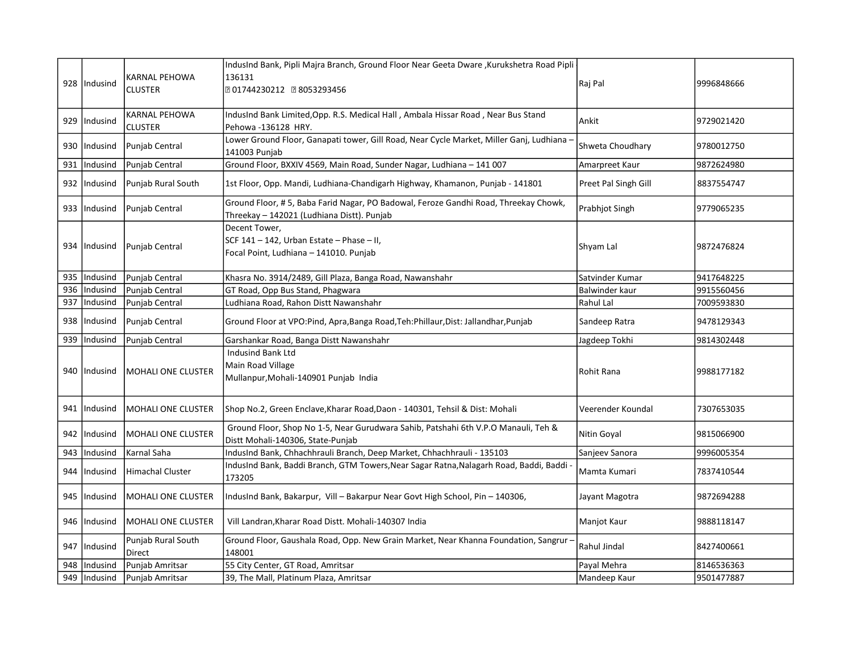|     | 928 Indusind   | KARNAL PEHOWA                   | IndusInd Bank, Pipli Majra Branch, Ground Floor Near Geeta Dware, Kurukshetra Road Pipli<br>136131                                | Raj Pal              | 9996848666 |
|-----|----------------|---------------------------------|-----------------------------------------------------------------------------------------------------------------------------------|----------------------|------------|
|     |                | <b>CLUSTER</b>                  | 201744230212 28053293456                                                                                                          |                      |            |
|     | 929  Indusind  | KARNAL PEHOWA<br><b>CLUSTER</b> | IndusInd Bank Limited, Opp. R.S. Medical Hall, Ambala Hissar Road, Near Bus Stand<br>Pehowa-136128 HRY.                           | Ankit                | 9729021420 |
| 930 | Indusind       | Punjab Central                  | Lower Ground Floor, Ganapati tower, Gill Road, Near Cycle Market, Miller Ganj, Ludhiana<br>141003 Punjab                          | Shweta Choudhary     | 9780012750 |
| 931 | Indusind       | Punjab Central                  | Ground Floor, BXXIV 4569, Main Road, Sunder Nagar, Ludhiana - 141 007                                                             | Amarpreet Kaur       | 9872624980 |
|     | 932  Indusind  | Punjab Rural South              | 1st Floor, Opp. Mandi, Ludhiana-Chandigarh Highway, Khamanon, Punjab - 141801                                                     | Preet Pal Singh Gill | 8837554747 |
| 933 | Indusind       | Punjab Central                  | Ground Floor, #5, Baba Farid Nagar, PO Badowal, Feroze Gandhi Road, Threekay Chowk,<br>Threekay - 142021 (Ludhiana Distt). Punjab | Prabhjot Singh       | 9779065235 |
|     |                |                                 | Decent Tower,                                                                                                                     |                      |            |
|     | 934 Indusind   | Punjab Central                  | SCF 141 - 142, Urban Estate - Phase - II,<br>Focal Point, Ludhiana - 141010. Punjab                                               | Shyam Lal            | 9872476824 |
|     |                |                                 |                                                                                                                                   | Satvinder Kumar      |            |
| 935 | Indusind       | Punjab Central                  | Khasra No. 3914/2489, Gill Plaza, Banga Road, Nawanshahr                                                                          |                      | 9417648225 |
| 936 | Indusind       | Punjab Central                  | GT Road, Opp Bus Stand, Phagwara                                                                                                  | Balwinder kaur       | 9915560456 |
| 937 | Indusind       | Punjab Central                  | Ludhiana Road, Rahon Distt Nawanshahr                                                                                             | Rahul Lal            | 7009593830 |
| 938 | Indusind       | Punjab Central                  | Ground Floor at VPO: Pind, Apra, Banga Road, Teh: Phillaur, Dist: Jallandhar, Punjab                                              | Sandeep Ratra        | 9478129343 |
| 939 | Indusind       | Punjab Central                  | Garshankar Road, Banga Distt Nawanshahr                                                                                           | Jagdeep Tokhi        | 9814302448 |
|     |                |                                 | <b>Indusind Bank Ltd</b>                                                                                                          |                      |            |
|     | 940  Indusind  | <b>MOHALI ONE CLUSTER</b>       | Main Road Village                                                                                                                 | Rohit Rana           | 9988177182 |
|     |                |                                 | Mullanpur, Mohali-140901 Punjab India                                                                                             |                      |            |
|     | 941  Indusind  | MOHALI ONE CLUSTER              | Shop No.2, Green Enclave, Kharar Road, Daon - 140301, Tehsil & Dist: Mohali                                                       | Veerender Koundal    | 7307653035 |
| 942 | Indusind       | <b>MOHALI ONE CLUSTER</b>       | Ground Floor, Shop No 1-5, Near Gurudwara Sahib, Patshahi 6th V.P.O Manauli, Teh &<br>Distt Mohali-140306, State-Punjab           | Nitin Goyal          | 9815066900 |
| 943 | Indusind       | Karnal Saha                     | IndusInd Bank, Chhachhrauli Branch, Deep Market, Chhachhrauli - 135103                                                            | Sanjeev Sanora       | 9996005354 |
|     | 944  Indusind  | Himachal Cluster                | IndusInd Bank, Baddi Branch, GTM Towers, Near Sagar Ratna, Nalagarh Road, Baddi, Baddi -<br>173205                                | Mamta Kumari         | 7837410544 |
| 945 | Indusind       | <b>MOHALI ONE CLUSTER</b>       | IndusInd Bank, Bakarpur, Vill - Bakarpur Near Govt High School, Pin - 140306,                                                     | Jayant Magotra       | 9872694288 |
|     | 946   Indusind | lMOHALI ONE CLUSTER             | Vill Landran, Kharar Road Distt. Mohali-140307 India                                                                              | Manjot Kaur          | 9888118147 |
|     | 947   Indusind | Punjab Rural South<br>Direct    | Ground Floor, Gaushala Road, Opp. New Grain Market, Near Khanna Foundation, Sangrur<br>148001                                     | Rahul Jindal         | 8427400661 |
| 948 | Indusind       | Punjab Amritsar                 | 55 City Center, GT Road, Amritsar                                                                                                 | Payal Mehra          | 8146536363 |
| 949 | Indusind       | Punjab Amritsar                 | 39, The Mall, Platinum Plaza, Amritsar                                                                                            | Mandeep Kaur         | 9501477887 |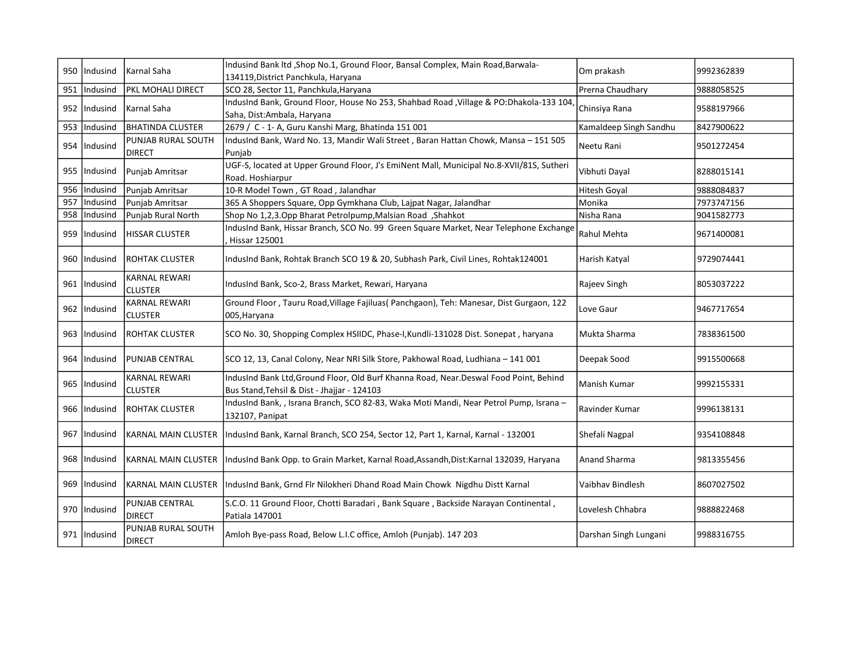| 950 l | Indusind       | Karnal Saha                            | Indusind Bank ltd , Shop No.1, Ground Floor, Bansal Complex, Main Road, Barwala-<br>134119, District Panchkula, Haryana               | Om prakash             | 9992362839 |
|-------|----------------|----------------------------------------|---------------------------------------------------------------------------------------------------------------------------------------|------------------------|------------|
| 951   | Indusind       | PKL MOHALI DIRECT                      | SCO 28, Sector 11, Panchkula, Haryana                                                                                                 | Prerna Chaudhary       | 9888058525 |
|       | 952   Indusind | Karnal Saha                            | IndusInd Bank, Ground Floor, House No 253, Shahbad Road , Village & PO: Dhakola-133 104<br>Saha, Dist:Ambala, Haryana                 | Chinsiya Rana          | 9588197966 |
| 953   | Indusind       | <b>BHATINDA CLUSTER</b>                | 2679 / C - 1- A, Guru Kanshi Marg, Bhatinda 151 001                                                                                   | Kamaldeep Singh Sandhu | 8427900622 |
| 954   | Indusind       | <b>PUNJAB RURAL SOUTH</b><br>DIRECT    | IndusInd Bank, Ward No. 13, Mandir Wali Street, Baran Hattan Chowk, Mansa - 151 505<br>Punjab                                         | Neetu Rani             | 9501272454 |
|       | 955   Indusind | Punjab Amritsar                        | UGF-S, located at Upper Ground Floor, J's EmiNent Mall, Municipal No.8-XVII/81S, Sutheri<br>Road. Hoshiarpur                          | Vibhuti Dayal          | 8288015141 |
| 956   | Indusind       | Punjab Amritsar                        | 10-R Model Town, GT Road, Jalandhar                                                                                                   | Hitesh Goyal           | 9888084837 |
| 957   | Indusind       | Punjab Amritsar                        | 365 A Shoppers Square, Opp Gymkhana Club, Lajpat Nagar, Jalandhar                                                                     | Monika                 | 7973747156 |
| 958   | Indusind       | Punjab Rural North                     | Shop No 1,2,3.Opp Bharat Petrolpump, Malsian Road, Shahkot                                                                            | Nisha Rana             | 9041582773 |
| 959   | Indusind       | <b>HISSAR CLUSTER</b>                  | IndusInd Bank, Hissar Branch, SCO No. 99 Green Square Market, Near Telephone Exchange<br>Hissar 125001                                | Rahul Mehta            | 9671400081 |
|       | 960   Indusind | <b>ROHTAK CLUSTER</b>                  | IndusInd Bank, Rohtak Branch SCO 19 & 20, Subhash Park, Civil Lines, Rohtak124001                                                     | Harish Katyal          | 9729074441 |
|       | 961   Indusind | <b>KARNAL REWARI</b><br><b>CLUSTER</b> | IndusInd Bank, Sco-2, Brass Market, Rewari, Haryana                                                                                   | Rajeev Singh           | 8053037222 |
|       | 962   Indusind | <b>KARNAL REWARI</b><br><b>CLUSTER</b> | Ground Floor, Tauru Road, Village Fajiluas (Panchgaon), Teh: Manesar, Dist Gurgaon, 122<br>005, Haryana                               | Love Gaur              | 9467717654 |
| 963   | Indusind       | <b>ROHTAK CLUSTER</b>                  | SCO No. 30, Shopping Complex HSIIDC, Phase-I, Kundli-131028 Dist. Sonepat, haryana                                                    | Mukta Sharma           | 7838361500 |
| 964   | Indusind       | lpunjab CENTRAL                        | SCO 12, 13, Canal Colony, Near NRI Silk Store, Pakhowal Road, Ludhiana - 141 001                                                      | Deepak Sood            | 9915500668 |
| 965   | Indusind       | <b>KARNAL REWARI</b><br><b>CLUSTER</b> | IndusInd Bank Ltd, Ground Floor, Old Burf Khanna Road, Near. Deswal Food Point, Behind<br>Bus Stand, Tehsil & Dist - Jhajjar - 124103 | Manish Kumar           | 9992155331 |
| 966   | Indusind       | <b>ROHTAK CLUSTER</b>                  | IndusInd Bank, , Israna Branch, SCO 82-83, Waka Moti Mandi, Near Petrol Pump, Israna -<br>132107, Panipat                             | Ravinder Kumar         | 9996138131 |
| 967   | Indusind       |                                        | KARNAL MAIN CLUSTER   IndusInd Bank, Karnal Branch, SCO 254, Sector 12, Part 1, Karnal, Karnal - 132001                               | Shefali Nagpal         | 9354108848 |
|       | 968   Indusind |                                        | KARNAL MAIN CLUSTER  IndusInd Bank Opp. to Grain Market, Karnal Road, Assandh, Dist: Karnal 132039, Haryana                           | Anand Sharma           | 9813355456 |
| 969   | Indusind       | <b>KARNAL MAIN CLUSTER</b>             | IndusInd Bank, Grnd Flr Nilokheri Dhand Road Main Chowk Nigdhu Distt Karnal                                                           | Vaibhav Bindlesh       | 8607027502 |
|       | 970   Indusind | PUNJAB CENTRAL<br><b>DIRECT</b>        | S.C.O. 11 Ground Floor, Chotti Baradari, Bank Square, Backside Narayan Continental,<br>Patiala 147001                                 | Lovelesh Chhabra       | 9888822468 |
|       | 971   Indusind | PUNJAB RURAL SOUTH<br>DIRECT           | Amloh Bye-pass Road, Below L.I.C office, Amloh (Punjab). 147 203                                                                      | Darshan Singh Lungani  | 9988316755 |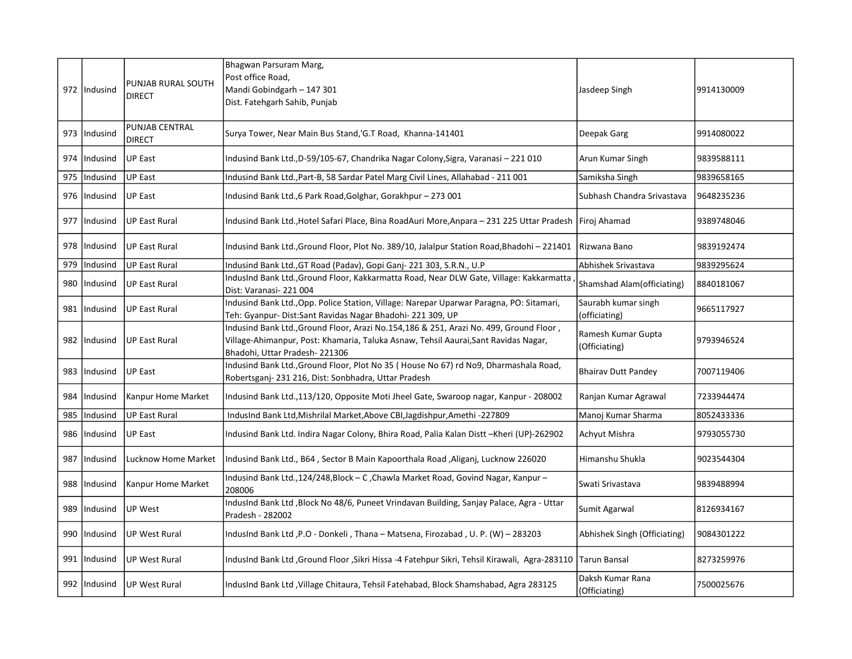|     | 972   Indusind | PUNJAB RURAL SOUTH<br><b>DIRECT</b> | Bhagwan Parsuram Marg,<br>Post office Road,<br>Mandi Gobindgarh - 147 301<br>Dist. Fatehgarh Sahib, Punjab                                                                                                     | Jasdeep Singh                        | 9914130009 |
|-----|----------------|-------------------------------------|----------------------------------------------------------------------------------------------------------------------------------------------------------------------------------------------------------------|--------------------------------------|------------|
|     | 973   Indusind | PUNJAB CENTRAL<br><b>DIRECT</b>     | Surya Tower, Near Main Bus Stand, G.T Road, Khanna-141401                                                                                                                                                      | Deepak Garg                          | 9914080022 |
|     | 974   Indusind | <b>UP East</b>                      | Indusind Bank Ltd., D-59/105-67, Chandrika Nagar Colony, Sigra, Varanasi - 221 010                                                                                                                             | Arun Kumar Singh                     | 9839588111 |
| 975 | Indusind       | <b>UP East</b>                      | Indusind Bank Ltd., Part-B, 58 Sardar Patel Marg Civil Lines, Allahabad - 211 001                                                                                                                              | Samiksha Singh                       | 9839658165 |
| 976 | Indusind       | UP East                             | Indusind Bank Ltd.,6 Park Road, Golghar, Gorakhpur - 273 001                                                                                                                                                   | Subhash Chandra Srivastava           | 9648235236 |
|     | 977   Indusind | UP East Rural                       | Indusind Bank Ltd., Hotel Safari Place, Bina RoadAuri More, Anpara - 231 225 Uttar Pradesh                                                                                                                     | Firoj Ahamad                         | 9389748046 |
| 978 | Indusind       | IUP East Rural                      | Indusind Bank Ltd., Ground Floor, Plot No. 389/10, Jalalpur Station Road, Bhadohi - 221401                                                                                                                     | Rizwana Bano                         | 9839192474 |
| 979 | Indusind       | <b>UP East Rural</b>                | Indusind Bank Ltd., GT Road (Padav), Gopi Ganj-221 303, S.R.N., U.P                                                                                                                                            | Abhishek Srivastava                  | 9839295624 |
| 980 | Indusind       | UP East Rural                       | IndusInd Bank Ltd., Ground Floor, Kakkarmatta Road, Near DLW Gate, Village: Kakkarmatta<br>Dist: Varanasi-221004                                                                                               | Shamshad Alam(officiating)           | 8840181067 |
|     | 981   Indusind | UP East Rural                       | Indusind Bank Ltd., Opp. Police Station, Village: Narepar Uparwar Paragna, PO: Sitamari,<br>Teh: Gyanpur- Dist:Sant Ravidas Nagar Bhadohi- 221 309, UP                                                         | Saurabh kumar singh<br>(officiating) | 9665117927 |
|     | 982   Indusind | UP East Rural                       | Indusind Bank Ltd., Ground Floor, Arazi No.154,186 & 251, Arazi No. 499, Ground Floor,<br>Village-Ahimanpur, Post: Khamaria, Taluka Asnaw, Tehsil Aaurai, Sant Ravidas Nagar,<br>Bhadohi, Uttar Pradesh-221306 | Ramesh Kumar Gupta<br>(Officiating)  | 9793946524 |
|     | 983   Indusind | <b>UP East</b>                      | Indusind Bank Ltd., Ground Floor, Plot No 35 (House No 67) rd No9, Dharmashala Road,<br>Robertsganj-231 216, Dist: Sonbhadra, Uttar Pradesh                                                                    | <b>Bhairav Dutt Pandey</b>           | 7007119406 |
| 984 | Indusind       | Kanpur Home Market                  | Indusind Bank Ltd.,113/120, Opposite Moti Jheel Gate, Swaroop nagar, Kanpur - 208002                                                                                                                           | Ranjan Kumar Agrawal                 | 7233944474 |
| 985 | Indusind       | <b>UP East Rural</b>                | IndusInd Bank Ltd, Mishrilal Market, Above CBI, Jagdishpur, Amethi -227809                                                                                                                                     | Manoj Kumar Sharma                   | 8052433336 |
| 986 | Indusind       | <b>UP East</b>                      | Indusind Bank Ltd. Indira Nagar Colony, Bhira Road, Palia Kalan Distt-Kheri (UP)-262902                                                                                                                        | Achyut Mishra                        | 9793055730 |
| 987 | Indusind       | Lucknow Home Market                 | Indusind Bank Ltd., B64, Sector B Main Kapoorthala Road, Aliganj, Lucknow 226020                                                                                                                               | Himanshu Shukla                      | 9023544304 |
| 988 | Indusind       | Kanpur Home Market                  | Indusind Bank Ltd.,124/248,Block - C, Chawla Market Road, Govind Nagar, Kanpur -<br>208006                                                                                                                     | Swati Srivastava                     | 9839488994 |
| 989 | Indusind       | <b>UP West</b>                      | IndusInd Bank Ltd , Block No 48/6, Puneet Vrindavan Building, Sanjay Palace, Agra - Uttar<br>Pradesh - 282002                                                                                                  | Sumit Agarwal                        | 8126934167 |
| 990 | Indusind       | <b>UP West Rural</b>                | IndusInd Bank Ltd , P.O - Donkeli, Thana - Matsena, Firozabad, U. P. (W) - 283203                                                                                                                              | Abhishek Singh (Officiating)         | 9084301222 |
|     | 991   Indusind | UP West Rural                       | IndusInd Bank Ltd , Ground Floor , Sikri Hissa -4 Fatehpur Sikri, Tehsil Kirawali, Agra-283110                                                                                                                 | Tarun Bansal                         | 8273259976 |
|     | 992   Indusind | UP West Rural                       | IndusInd Bank Ltd , Village Chitaura, Tehsil Fatehabad, Block Shamshabad, Agra 283125                                                                                                                          | Daksh Kumar Rana<br>(Officiating)    | 7500025676 |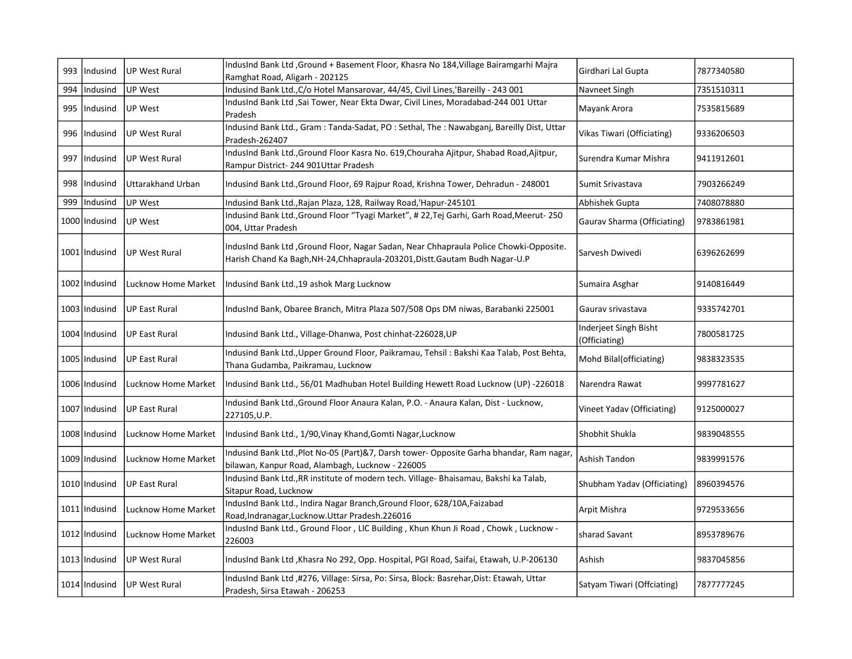| 993 | Indusind        | UP West Rural        | IndusInd Bank Ltd , Ground + Basement Floor, Khasra No 184, Village Bairamgarhi Majra<br>Ramghat Road, Aligarh - 202125                                                | Girdhari Lal Gupta                     | 7877340580 |
|-----|-----------------|----------------------|------------------------------------------------------------------------------------------------------------------------------------------------------------------------|----------------------------------------|------------|
| 994 | Indusind        | UP West              | Indusind Bank Ltd., C/o Hotel Mansarovar, 44/45, Civil Lines, 'Bareilly - 243 001                                                                                      | Navneet Singh                          | 7351510311 |
| 995 | Indusind        | <b>UP West</b>       | IndusInd Bank Ltd, Sai Tower, Near Ekta Dwar, Civil Lines, Moradabad-244 001 Uttar<br>Pradesh                                                                          | Mayank Arora                           | 7535815689 |
| 996 | Indusind        | <b>UP West Rural</b> | Indusind Bank Ltd., Gram: Tanda-Sadat, PO: Sethal, The: Nawabganj, Bareilly Dist, Uttar<br>Pradesh-262407                                                              | Vikas Tiwari (Officiating)             | 9336206503 |
| 997 | Indusind        | <b>UP West Rural</b> | IndusInd Bank Ltd., Ground Floor Kasra No. 619, Chouraha Ajitpur, Shabad Road, Ajitpur,<br>Rampur District-244 901Uttar Pradesh                                        | Surendra Kumar Mishra                  | 9411912601 |
| 998 | Indusind        | Uttarakhand Urban    | Indusind Bank Ltd., Ground Floor, 69 Rajpur Road, Krishna Tower, Dehradun - 248001                                                                                     | Sumit Srivastava                       | 7903266249 |
| 999 | Indusind        | UP West              | Indusind Bank Ltd., Rajan Plaza, 128, Railway Road, 'Hapur-245101                                                                                                      | Abhishek Gupta                         | 7408078880 |
|     | 1000 Indusind   | <b>UP West</b>       | Indusind Bank Ltd., Ground Floor "Tyagi Market", #22, Tej Garhi, Garh Road, Meerut-250<br>004, Uttar Pradesh                                                           | Gaurav Sharma (Officiating)            | 9783861981 |
|     | 1001 Indusind   | UP West Rural        | IndusInd Bank Ltd , Ground Floor, Nagar Sadan, Near Chhapraula Police Chowki-Opposite.<br>Harish Chand Ka Bagh, NH-24, Chhapraula-203201, Distt. Gautam Budh Nagar-U.P | Sarvesh Dwivedi                        | 6396262699 |
|     | 1002 Indusind   | Lucknow Home Market  | Indusind Bank Ltd., 19 ashok Marg Lucknow                                                                                                                              | Sumaira Asghar                         | 9140816449 |
|     | 1003 Indusind   | UP East Rural        | IndusInd Bank, Obaree Branch, Mitra Plaza 507/508 Ops DM niwas, Barabanki 225001                                                                                       | Gauray srivastava                      | 9335742701 |
|     | 1004 Indusind   | UP East Rural        | Indusind Bank Ltd., Village-Dhanwa, Post chinhat-226028, UP                                                                                                            | Inderjeet Singh Bisht<br>(Officiating) | 7800581725 |
|     | 1005 Indusind   | UP East Rural        | Indusind Bank Ltd., Upper Ground Floor, Paikramau, Tehsil: Bakshi Kaa Talab, Post Behta,<br>Thana Gudamba, Paikramau, Lucknow                                          | Mohd Bilal(officiating)                | 9838323535 |
|     | 1006   Indusind | Lucknow Home Market  | Indusind Bank Ltd., 56/01 Madhuban Hotel Building Hewett Road Lucknow (UP) -226018                                                                                     | Narendra Rawat                         | 9997781627 |
|     | 1007 Indusind   | UP East Rural        | Indusind Bank Ltd., Ground Floor Anaura Kalan, P.O. - Anaura Kalan, Dist - Lucknow,<br>227105, U.P.                                                                    | Vineet Yadav (Officiating)             | 9125000027 |
|     | 1008   Indusind | Lucknow Home Market  | Indusind Bank Ltd., 1/90, Vinay Khand, Gomti Nagar, Lucknow                                                                                                            | Shobhit Shukla                         | 9839048555 |
|     | 1009   Indusind | Lucknow Home Market  | Indusind Bank Ltd., Plot No-05 (Part)&7, Darsh tower- Opposite Garha bhandar, Ram nagar,<br>bilawan, Kanpur Road, Alambagh, Lucknow - 226005                           | Ashish Tandon                          | 9839991576 |
|     | 1010 Indusind   | UP East Rural        | Indusind Bank Ltd., RR institute of modern tech. Village- Bhaisamau, Bakshi ka Talab,<br>Sitapur Road, Lucknow                                                         | Shubham Yadav (Officiating)            | 8960394576 |
|     | 1011   Indusind | Lucknow Home Market  | IndusInd Bank Ltd., Indira Nagar Branch, Ground Floor, 628/10A, Faizabad<br>Road, Indranagar, Lucknow. Uttar Pradesh. 226016                                           | Arpit Mishra                           | 9729533656 |
|     | 1012 Indusind   | Lucknow Home Market  | IndusInd Bank Ltd., Ground Floor, LIC Building, Khun Khun Ji Road, Chowk, Lucknow -<br>226003                                                                          | sharad Savant                          | 8953789676 |
|     | 1013 Indusind   | UP West Rural        | IndusInd Bank Ltd , Khasra No 292, Opp. Hospital, PGI Road, Saifai, Etawah, U.P-206130                                                                                 | Ashish                                 | 9837045856 |
|     | 1014 Indusind   | UP West Rural        | IndusInd Bank Ltd ,#276, Village: Sirsa, Po: Sirsa, Block: Basrehar, Dist: Etawah, Uttar<br>Pradesh, Sirsa Etawah - 206253                                             | Satyam Tiwari (Offciating)             | 7877777245 |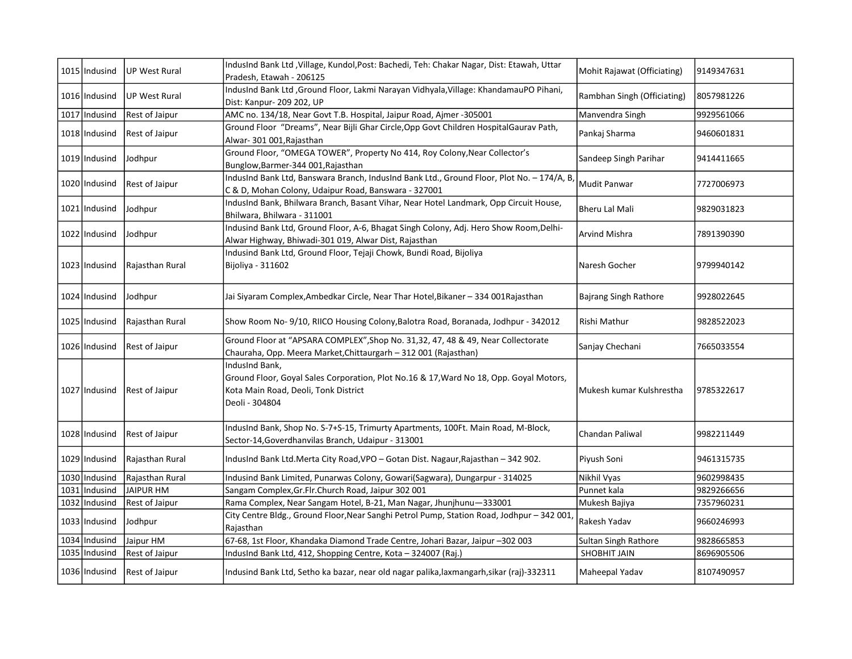| 1015 Indusind   | <b>UP West Rural</b>  | IndusInd Bank Ltd, Village, Kundol, Post: Bachedi, Teh: Chakar Nagar, Dist: Etawah, Uttar<br>Pradesh, Etawah - 206125                                              | Mohit Rajawat (Officiating) | 9149347631 |
|-----------------|-----------------------|--------------------------------------------------------------------------------------------------------------------------------------------------------------------|-----------------------------|------------|
| 1016 Indusind   | <b>UP West Rural</b>  | IndusInd Bank Ltd, Ground Floor, Lakmi Narayan Vidhyala, Village: KhandamauPO Pihani,<br>Dist: Kanpur- 209 202, UP                                                 | Rambhan Singh (Officiating) | 8057981226 |
| 1017 Indusind   | <b>Rest of Jaipur</b> | AMC no. 134/18, Near Govt T.B. Hospital, Jaipur Road, Ajmer -305001                                                                                                | Manvendra Singh             | 9929561066 |
| 1018   Indusind | <b>Rest of Jaipur</b> | Ground Floor "Dreams", Near Bijli Ghar Circle, Opp Govt Children Hospital Gaurav Path,<br>Alwar- 301 001, Rajasthan                                                | Pankaj Sharma               | 9460601831 |
| 1019 Indusind   | Jodhpur               | Ground Floor, "OMEGA TOWER", Property No 414, Roy Colony, Near Collector's<br>Bunglow, Barmer-344 001, Rajasthan                                                   | Sandeep Singh Parihar       | 9414411665 |
| 1020 Indusind   | <b>Rest of Jaipur</b> | IndusInd Bank Ltd, Banswara Branch, IndusInd Bank Ltd., Ground Floor, Plot No. - 174/A, B,<br>C & D, Mohan Colony, Udaipur Road, Banswara - 327001                 | Mudit Panwar                | 7727006973 |
| 1021   Indusind | Jodhpur               | IndusInd Bank, Bhilwara Branch, Basant Vihar, Near Hotel Landmark, Opp Circuit House,<br>Bhilwara, Bhilwara - 311001                                               | <b>Bheru Lal Mali</b>       | 9829031823 |
| 1022 Indusind   | Jodhpur               | Indusind Bank Ltd, Ground Floor, A-6, Bhagat Singh Colony, Adj. Hero Show Room, Delhi-<br>Alwar Highway, Bhiwadi-301 019, Alwar Dist, Rajasthan                    | Arvind Mishra               | 7891390390 |
| 1023 Indusind   | Rajasthan Rural       | Indusind Bank Ltd, Ground Floor, Tejaji Chowk, Bundi Road, Bijoliya<br>Bijoliya - 311602                                                                           | Naresh Gocher               | 9799940142 |
| 1024 Indusind   | Jodhpur               | Jai Siyaram Complex,Ambedkar Circle, Near Thar Hotel,Bikaner – 334 001Rajasthan                                                                                    | Bajrang Singh Rathore       | 9928022645 |
| 1025 Indusind   | Rajasthan Rural       | Show Room No- 9/10, RIICO Housing Colony, Balotra Road, Boranada, Jodhpur - 342012                                                                                 | Rishi Mathur                | 9828522023 |
| 1026 Indusind   | <b>Rest of Jaipur</b> | Ground Floor at "APSARA COMPLEX", Shop No. 31,32, 47, 48 & 49, Near Collectorate<br>Chauraha, Opp. Meera Market, Chittaurgarh - 312 001 (Rajasthan)                | Sanjay Chechani             | 7665033554 |
| 1027 Indusind   | <b>Rest of Jaipur</b> | IndusInd Bank,<br>Ground Floor, Goyal Sales Corporation, Plot No.16 & 17, Ward No 18, Opp. Goyal Motors,<br>Kota Main Road, Deoli, Tonk District<br>Deoli - 304804 | Mukesh kumar Kulshrestha    | 9785322617 |
| 1028 Indusind   | Rest of Jaipur        | IndusInd Bank, Shop No. S-7+S-15, Trimurty Apartments, 100Ft. Main Road, M-Block,<br>Sector-14, Goverdhanvilas Branch, Udaipur - 313001                            | Chandan Paliwal             | 9982211449 |
| 1029   Indusind | Rajasthan Rural       | IndusInd Bank Ltd.Merta City Road, VPO - Gotan Dist. Nagaur, Rajasthan - 342 902.                                                                                  | Piyush Soni                 | 9461315735 |
| 1030 Indusind   | Rajasthan Rural       | Indusind Bank Limited, Punarwas Colony, Gowari(Sagwara), Dungarpur - 314025                                                                                        | Nikhil Vyas                 | 9602998435 |
| 1031 Indusind   | JAIPUR HM             | Sangam Complex, Gr. Flr. Church Road, Jaipur 302 001                                                                                                               | Punnet kala                 | 9829266656 |
| 1032 Indusind   | <b>Rest of Jaipur</b> | Rama Complex, Near Sangam Hotel, B-21, Man Nagar, Jhunjhunu-333001                                                                                                 | Mukesh Bajiya               | 7357960231 |
| 1033   Indusind | Jodhpur               | City Centre Bldg., Ground Floor, Near Sanghi Petrol Pump, Station Road, Jodhpur - 342 001,<br>Rajasthan                                                            | Rakesh Yadav                | 9660246993 |
| 1034 Indusind   | Jaipur HM             | 67-68, 1st Floor, Khandaka Diamond Trade Centre, Johari Bazar, Jaipur -302 003                                                                                     | Sultan Singh Rathore        | 9828665853 |
| 1035 Indusind   | Rest of Jaipur        | IndusInd Bank Ltd, 412, Shopping Centre, Kota - 324007 (Raj.)                                                                                                      | SHOBHIT JAIN                | 8696905506 |
| 1036 Indusind   | <b>Rest of Jaipur</b> | Indusind Bank Ltd, Setho ka bazar, near old nagar palika, laxmangarh, sikar (raj)-332311                                                                           | Maheepal Yadav              | 8107490957 |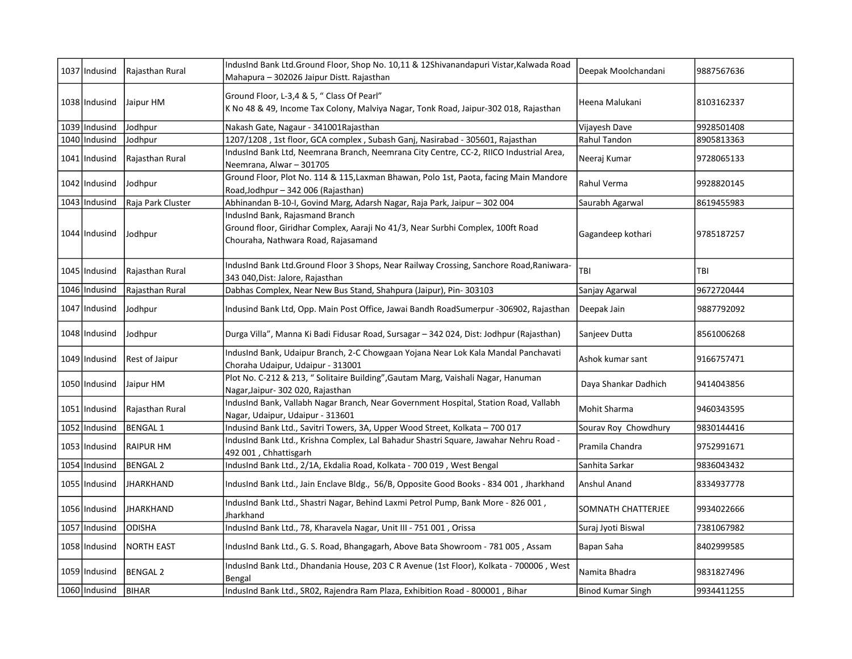| 1037 Indusind   | Rajasthan Rural       | IndusInd Bank Ltd.Ground Floor, Shop No. 10,11 & 12Shivanandapuri Vistar, Kalwada Road<br>Mahapura - 302026 Jaipur Distt. Rajasthan                       | Deepak Moolchandani  | 9887567636 |
|-----------------|-----------------------|-----------------------------------------------------------------------------------------------------------------------------------------------------------|----------------------|------------|
| 1038   Indusind | Jaipur HM             | Ground Floor, L-3,4 & 5, " Class Of Pearl"<br>K No 48 & 49, Income Tax Colony, Malviya Nagar, Tonk Road, Jaipur-302 018, Rajasthan                        | Heena Malukani       | 8103162337 |
| 1039 Indusind   | Jodhpur               | Nakash Gate, Nagaur - 341001 Rajasthan                                                                                                                    | Vijayesh Dave        | 9928501408 |
| 1040 Indusind   | Jodhpur               | 1207/1208, 1st floor, GCA complex, Subash Ganj, Nasirabad - 305601, Rajasthan                                                                             | Rahul Tandon         | 8905813363 |
| 1041   Indusind | Rajasthan Rural       | IndusInd Bank Ltd, Neemrana Branch, Neemrana City Centre, CC-2, RIICO Industrial Area,<br>Neemrana, Alwar - 301705                                        | Neeraj Kumar         | 9728065133 |
| 1042   Indusind | Jodhpur               | Ground Floor, Plot No. 114 & 115, Laxman Bhawan, Polo 1st, Paota, facing Main Mandore<br>Road, Jodhpur - 342 006 (Rajasthan)                              | Rahul Verma          | 9928820145 |
| 1043   Indusind | Raja Park Cluster     | Abhinandan B-10-I, Govind Marg, Adarsh Nagar, Raja Park, Jaipur - 302 004                                                                                 | Saurabh Agarwal      | 8619455983 |
| 1044 Indusind   | Jodhpur               | IndusInd Bank, Rajasmand Branch<br>Ground floor, Giridhar Complex, Aaraji No 41/3, Near Surbhi Complex, 100ft Road<br>Chouraha, Nathwara Road, Rajasamand | Gagandeep kothari    | 9785187257 |
| 1045 Indusind   | Rajasthan Rural       | IndusInd Bank Ltd.Ground Floor 3 Shops, Near Railway Crossing, Sanchore Road,Raniwara-<br>343 040, Dist: Jalore, Rajasthan                                | TBI                  | TBI        |
| 1046 Indusind   | Rajasthan Rural       | Dabhas Complex, Near New Bus Stand, Shahpura (Jaipur), Pin-303103                                                                                         | Sanjay Agarwal       | 9672720444 |
| 1047   Indusind | Jodhpur               | Indusind Bank Ltd, Opp. Main Post Office, Jawai Bandh RoadSumerpur -306902, Rajasthan                                                                     | Deepak Jain          | 9887792092 |
| 1048   Indusind | Jodhpur               | Durga Villa", Manna Ki Badi Fidusar Road, Sursagar - 342 024, Dist: Jodhpur (Rajasthan)                                                                   | Sanjeev Dutta        | 8561006268 |
| 1049   Indusind | <b>Rest of Jaipur</b> | IndusInd Bank, Udaipur Branch, 2-C Chowgaan Yojana Near Lok Kala Mandal Panchavati<br>Choraha Udaipur, Udaipur - 313001                                   | Ashok kumar sant     | 9166757471 |
| 1050   Indusind | Jaipur HM             | Plot No. C-212 & 213, " Solitaire Building", Gautam Marg, Vaishali Nagar, Hanuman<br>Nagar, Jaipur - 302 020, Rajasthan                                   | Daya Shankar Dadhich | 9414043856 |
| 1051   Indusind | Rajasthan Rural       | IndusInd Bank, Vallabh Nagar Branch, Near Government Hospital, Station Road, Vallabh<br>Nagar, Udaipur, Udaipur - 313601                                  | Mohit Sharma         | 9460343595 |
| 1052 Indusind   | <b>BENGAL1</b>        | Indusind Bank Ltd., Savitri Towers, 3A, Upper Wood Street, Kolkata - 700 017                                                                              | Sourav Roy Chowdhury | 9830144416 |
| 1053   Indusind | RAIPUR HM             | IndusInd Bank Ltd., Krishna Complex, Lal Bahadur Shastri Square, Jawahar Nehru Road -<br>492 001, Chhattisgarh                                            | Pramila Chandra      | 9752991671 |
| 1054 Indusind   | <b>BENGAL 2</b>       | IndusInd Bank Ltd., 2/1A, Ekdalia Road, Kolkata - 700 019, West Bengal                                                                                    | Sanhita Sarkar       | 9836043432 |
| 1055   Indusind | <b>JHARKHAND</b>      | IndusInd Bank Ltd., Jain Enclave Bldg., 56/B, Opposite Good Books - 834 001, Jharkhand                                                                    | Anshul Anand         | 8334937778 |
| 1056 Indusind   | JHARKHAND             | IndusInd Bank Ltd., Shastri Nagar, Behind Laxmi Petrol Pump, Bank More - 826 001,<br>Jharkhand                                                            | SOMNATH CHATTERJEE   | 9934022666 |
| 1057 Indusind   | <b>ODISHA</b>         | IndusInd Bank Ltd., 78, Kharavela Nagar, Unit III - 751 001, Orissa                                                                                       | Suraj Jyoti Biswal   | 7381067982 |
| 1058   Indusind | <b>INORTH EAST</b>    | IndusInd Bank Ltd., G. S. Road, Bhangagarh, Above Bata Showroom - 781 005, Assam                                                                          | Bapan Saha           | 8402999585 |
| 1059   Indusind | <b>BENGAL 2</b>       | IndusInd Bank Ltd., Dhandania House, 203 C R Avenue (1st Floor), Kolkata - 700006, West<br>Bengal                                                         | Namita Bhadra        | 9831827496 |
| 1060 Indusind   | BIHAR                 | IndusInd Bank Ltd., SR02, Rajendra Ram Plaza, Exhibition Road - 800001, Bihar                                                                             | Binod Kumar Singh    | 9934411255 |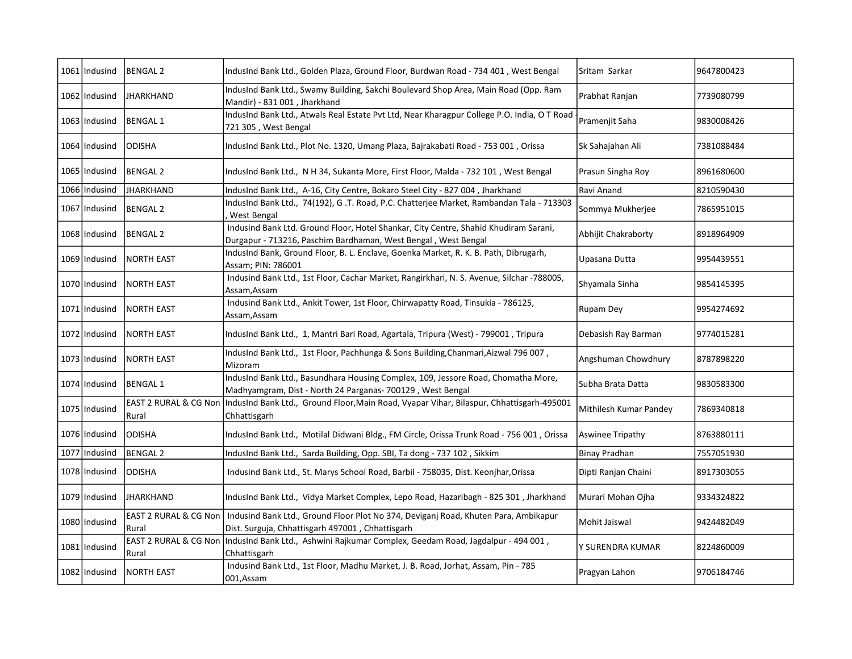|      | 1061   Indusind | BENGAL 2          | IndusInd Bank Ltd., Golden Plaza, Ground Floor, Burdwan Road - 734 401, West Bengal                                                                             | Sritam Sarkar          | 9647800423 |
|------|-----------------|-------------------|-----------------------------------------------------------------------------------------------------------------------------------------------------------------|------------------------|------------|
|      | 1062 Indusind   | <b>JHARKHAND</b>  | IndusInd Bank Ltd., Swamy Building, Sakchi Boulevard Shop Area, Main Road (Opp. Ram<br>Mandir) - 831 001, Jharkhand                                             | Prabhat Ranjan         | 7739080799 |
|      | 1063   Indusind | <b>BENGAL1</b>    | IndusInd Bank Ltd., Atwals Real Estate Pvt Ltd, Near Kharagpur College P.O. India, O T Road<br>721 305, West Bengal                                             | Pramenjit Saha         | 9830008426 |
|      | 1064 Indusind   | <b>ODISHA</b>     | IndusInd Bank Ltd., Plot No. 1320, Umang Plaza, Bajrakabati Road - 753 001, Orissa                                                                              | Sk Sahajahan Ali       | 7381088484 |
|      | 1065   Indusind | IBENGAL 2         | IndusInd Bank Ltd., N H 34, Sukanta More, First Floor, Malda - 732 101, West Bengal                                                                             | Prasun Singha Roy      | 8961680600 |
|      | 1066 Indusind   | <b>JHARKHAND</b>  | IndusInd Bank Ltd., A-16, City Centre, Bokaro Steel City - 827 004, Jharkhand                                                                                   | Ravi Anand             | 8210590430 |
|      | 1067   Indusind | BENGAL 2          | IndusInd Bank Ltd., 74(192), G.T. Road, P.C. Chatterjee Market, Rambandan Tala - 713303<br>West Bengal                                                          | Sommya Mukherjee       | 7865951015 |
|      | 1068   Indusind | BENGAL 2          | Indusind Bank Ltd. Ground Floor, Hotel Shankar, City Centre, Shahid Khudiram Sarani,<br>Durgapur - 713216, Paschim Bardhaman, West Bengal, West Bengal          | Abhijit Chakraborty    | 8918964909 |
|      | 1069   Indusind | <b>NORTH EAST</b> | IndusInd Bank, Ground Floor, B. L. Enclave, Goenka Market, R. K. B. Path, Dibrugarh,<br>Assam; PIN: 786001                                                      | Upasana Dutta          | 9954439551 |
|      | 1070 Indusind   | INORTH EAST       | Indusind Bank Ltd., 1st Floor, Cachar Market, Rangirkhari, N. S. Avenue, Silchar -788005,<br>Assam, Assam                                                       | Shyamala Sinha         | 9854145395 |
|      | 1071   Indusind | <b>NORTH EAST</b> | Indusind Bank Ltd., Ankit Tower, 1st Floor, Chirwapatty Road, Tinsukia - 786125,<br>Assam, Assam                                                                | Rupam Dev              | 9954274692 |
|      | 1072   Indusind | <b>NORTH EAST</b> | IndusInd Bank Ltd., 1, Mantri Bari Road, Agartala, Tripura (West) - 799001, Tripura                                                                             | Debasish Ray Barman    | 9774015281 |
|      | 1073   Indusind | <b>NORTH EAST</b> | IndusInd Bank Ltd., 1st Floor, Pachhunga & Sons Building, Chanmari, Aizwal 796 007,<br>Mizoram                                                                  | Angshuman Chowdhury    | 8787898220 |
|      | 1074 Indusind   | <b>BENGAL1</b>    | IndusInd Bank Ltd., Basundhara Housing Complex, 109, Jessore Road, Chomatha More,<br>Madhyamgram, Dist - North 24 Parganas- 700129, West Bengal                 | Subha Brata Datta      | 9830583300 |
|      | 1075 Indusind   | Rural             | EAST 2 RURAL & CG Non  IndusInd Bank Ltd., Ground Floor, Main Road, Vyapar Vihar, Bilaspur, Chhattisgarh-495001<br>Chhattisgarh                                 | Mithilesh Kumar Pandey | 7869340818 |
|      | 1076 Indusind   | ODISHA            | IndusInd Bank Ltd., Motilal Didwani Bldg., FM Circle, Orissa Trunk Road - 756 001, Orissa                                                                       | Aswinee Tripathy       | 8763880111 |
| 1077 | Indusind        | <b>BENGAL 2</b>   | IndusInd Bank Ltd., Sarda Building, Opp. SBI, Ta dong - 737 102, Sikkim                                                                                         | <b>Binay Pradhan</b>   | 7557051930 |
|      | 1078 Indusind   | <b>ODISHA</b>     | Indusind Bank Ltd., St. Marys School Road, Barbil - 758035, Dist. Keonjhar, Orissa                                                                              | Dipti Ranjan Chaini    | 8917303055 |
|      | 1079 Indusind   | <b>JHARKHAND</b>  | IndusInd Bank Ltd., Vidya Market Complex, Lepo Road, Hazaribagh - 825 301, Jharkhand                                                                            | Murari Mohan Ojha      | 9334324822 |
|      | 1080 Indusind   | Rural             | EAST 2 RURAL & CG Non   Indusind Bank Ltd., Ground Floor Plot No 374, Deviganj Road, Khuten Para, Ambikapur<br>Dist. Surguja, Chhattisgarh 497001, Chhattisgarh | Mohit Jaiswal          | 9424482049 |
|      | 1081 Indusind   | Rural             | , EAST 2 RURAL & CG Non  IndusInd Bank Ltd., Ashwini Rajkumar Complex, Geedam Road, Jagdalpur - 494 001<br>Chhattisgarh                                         | Y SURENDRA KUMAR       | 8224860009 |
|      | 1082 Indusind   | <b>NORTH EAST</b> | Indusind Bank Ltd., 1st Floor, Madhu Market, J. B. Road, Jorhat, Assam, Pin - 785<br>001, Assam                                                                 | Pragyan Lahon          | 9706184746 |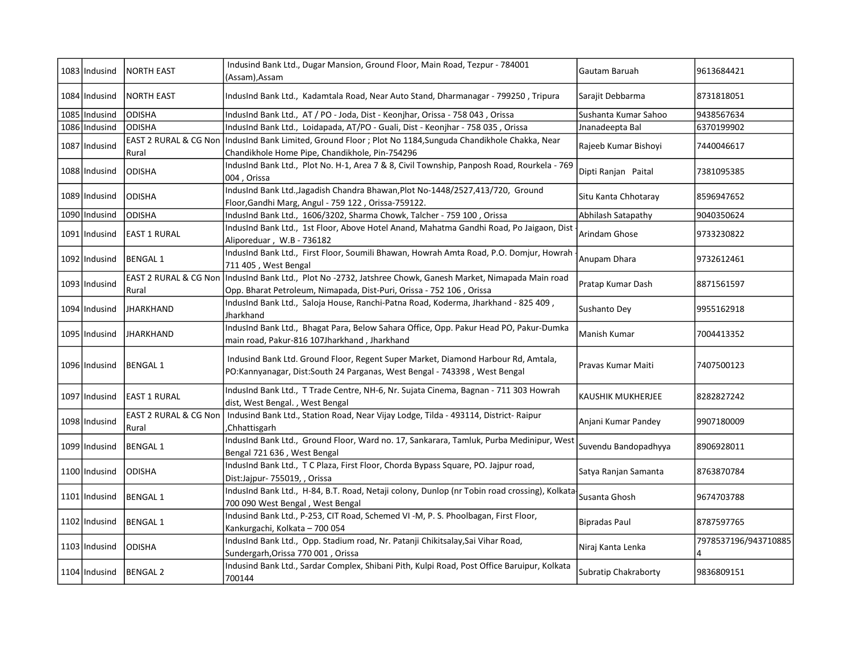| 1083 Indusind   | <b>NORTH EAST</b>              | Indusind Bank Ltd., Dugar Mansion, Ground Floor, Main Road, Tezpur - 784001<br>(Assam), Assam                                                                  | Gautam Baruah               | 9613684421                 |
|-----------------|--------------------------------|----------------------------------------------------------------------------------------------------------------------------------------------------------------|-----------------------------|----------------------------|
| 1084 Indusind   | <b>NORTH EAST</b>              | IndusInd Bank Ltd., Kadamtala Road, Near Auto Stand, Dharmanagar - 799250, Tripura                                                                             | Sarajit Debbarma            | 8731818051                 |
| 1085 Indusind   | <b>ODISHA</b>                  | IndusInd Bank Ltd., AT / PO - Joda, Dist - Keonjhar, Orissa - 758 043, Orissa                                                                                  | Sushanta Kumar Sahoo        | 9438567634                 |
| 1086 Indusind   | <b>ODISHA</b>                  | IndusInd Bank Ltd., Loidapada, AT/PO - Guali, Dist - Keonjhar - 758 035, Orissa                                                                                | Jnanadeepta Bal             | 6370199902                 |
| 1087 Indusind   | Rural                          | EAST 2 RURAL & CG Non   IndusInd Bank Limited, Ground Floor ; Plot No 1184, Sunguda Chandikhole Chakka, Near<br>Chandikhole Home Pipe, Chandikhole, Pin-754296 | Rajeeb Kumar Bishoyi        | 7440046617                 |
| 1088 Indusind   | <b>ODISHA</b>                  | IndusInd Bank Ltd., Plot No. H-1, Area 7 & 8, Civil Township, Panposh Road, Rourkela - 769<br>004, Orissa                                                      | Dipti Ranjan Paital         | 7381095385                 |
| 1089 Indusind   | <b>ODISHA</b>                  | IndusInd Bank Ltd., Jagadish Chandra Bhawan, Plot No-1448/2527, 413/720, Ground<br>Floor, Gandhi Marg, Angul - 759 122, Orissa-759122.                         | Situ Kanta Chhotaray        | 8596947652                 |
| 1090 Indusind   | <b>ODISHA</b>                  | IndusInd Bank Ltd., 1606/3202, Sharma Chowk, Talcher - 759 100, Orissa                                                                                         | Abhilash Satapathy          | 9040350624                 |
| 1091 Indusind   | <b>EAST 1 RURAL</b>            | IndusInd Bank Ltd., 1st Floor, Above Hotel Anand, Mahatma Gandhi Road, Po Jaigaon, Dist<br>Aliporeduar, W.B - 736182                                           | Arindam Ghose               | 9733230822                 |
| 1092 Indusind   | <b>BENGAL1</b>                 | IndusInd Bank Ltd., First Floor, Soumili Bhawan, Howrah Amta Road, P.O. Domjur, Howrah<br>711 405, West Bengal                                                 | Anupam Dhara                | 9732612461                 |
| 1093 Indusind   | EAST 2 RURAL & CG Non<br>Rural | IndusInd Bank Ltd., Plot No -2732, Jatshree Chowk, Ganesh Market, Nimapada Main road<br>Opp. Bharat Petroleum, Nimapada, Dist-Puri, Orissa - 752 106, Orissa   | Pratap Kumar Dash           | 8871561597                 |
| 1094 Indusind   | <b>JHARKHAND</b>               | IndusInd Bank Ltd., Saloja House, Ranchi-Patna Road, Koderma, Jharkhand - 825 409,<br>Jharkhand                                                                | Sushanto Dey                | 9955162918                 |
| 1095 Indusind   | JHARKHAND                      | IndusInd Bank Ltd., Bhagat Para, Below Sahara Office, Opp. Pakur Head PO, Pakur-Dumka<br>main road, Pakur-816 107Jharkhand, Jharkhand                          | Manish Kumar                | 7004413352                 |
| 1096 Indusind   | <b>BENGAL 1</b>                | Indusind Bank Ltd. Ground Floor, Regent Super Market, Diamond Harbour Rd, Amtala,<br>PO:Kannyanagar, Dist:South 24 Parganas, West Bengal - 743398, West Bengal | Pravas Kumar Maiti          | 7407500123                 |
| 1097 Indusind   | <b>EAST 1 RURAL</b>            | IndusInd Bank Ltd., T Trade Centre, NH-6, Nr. Sujata Cinema, Bagnan - 711 303 Howrah<br>dist, West Bengal., West Bengal                                        | KAUSHIK MUKHERJEE           | 8282827242                 |
| 1098   Indusind | Rural                          | EAST 2 RURAL & CG Non   Indusind Bank Ltd., Station Road, Near Vijay Lodge, Tilda - 493114, District- Raipur<br>Chhattisgarh,                                  | Anjani Kumar Pandey         | 9907180009                 |
| 1099 Indusind   | <b>BENGAL 1</b>                | IndusInd Bank Ltd., Ground Floor, Ward no. 17, Sankarara, Tamluk, Purba Medinipur, West<br>Bengal 721 636, West Bengal                                         | Suvendu Bandopadhyya        | 8906928011                 |
| 1100   Indusind | <b>ODISHA</b>                  | IndusInd Bank Ltd., T C Plaza, First Floor, Chorda Bypass Square, PO. Jajpur road,<br>Dist:Jajpur- 755019, , Orissa                                            | Satya Ranjan Samanta        | 8763870784                 |
| 1101 Indusind   | <b>BENGAL 1</b>                | IndusInd Bank Ltd., H-84, B.T. Road, Netaji colony, Dunlop (nr Tobin road crossing), Kolkata<br>700 090 West Bengal, West Bengal                               | Susanta Ghosh               | 9674703788                 |
| 1102 Indusind   | <b>BENGAL 1</b>                | Indusind Bank Ltd., P-253, CIT Road, Schemed VI -M, P. S. Phoolbagan, First Floor,<br>Kankurgachi, Kolkata - 700 054                                           | <b>Bipradas Paul</b>        | 8787597765                 |
| 1103 Indusind   | <b>ODISHA</b>                  | IndusInd Bank Ltd., Opp. Stadium road, Nr. Patanji Chikitsalay, Sai Vihar Road,<br>Sundergarh, Orissa 770 001, Orissa                                          | Niraj Kanta Lenka           | 7978537196/943710885<br>14 |
| 1104 Indusind   | <b>BENGAL 2</b>                | Indusind Bank Ltd., Sardar Complex, Shibani Pith, Kulpi Road, Post Office Baruipur, Kolkata<br>700144                                                          | <b>Subratip Chakraborty</b> | 9836809151                 |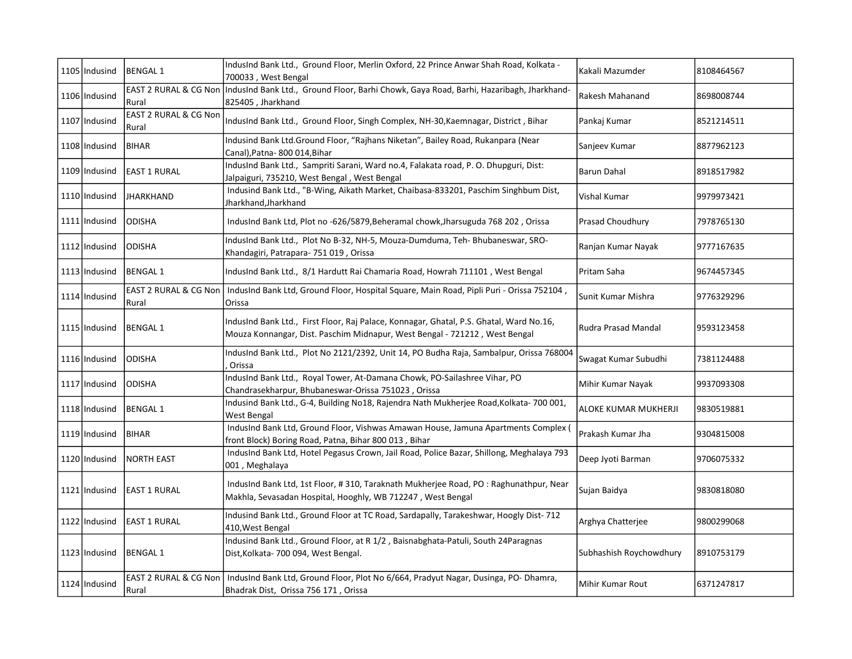| 1105 Indusind   | <b>BENGAL1</b>                 | IndusInd Bank Ltd., Ground Floor, Merlin Oxford, 22 Prince Anwar Shah Road, Kolkata -<br>700033, West Bengal                                                          | Kakali Mazumder         | 8108464567 |
|-----------------|--------------------------------|-----------------------------------------------------------------------------------------------------------------------------------------------------------------------|-------------------------|------------|
| 1106 Indusind   | Rural                          | EAST 2 RURAL & CG Non   IndusInd Bank Ltd., Ground Floor, Barhi Chowk, Gaya Road, Barhi, Hazaribagh, Jharkhand-<br>825405, Jharkhand                                  | Rakesh Mahanand         | 8698008744 |
| 1107 Indusind   | EAST 2 RURAL & CG Non<br>Rural | IndusInd Bank Ltd., Ground Floor, Singh Complex, NH-30, Kaemnagar, District, Bihar                                                                                    | Pankaj Kumar            | 8521214511 |
| 1108 Indusind   | <b>BIHAR</b>                   | Indusind Bank Ltd.Ground Floor, "Rajhans Niketan", Bailey Road, Rukanpara (Near<br>Canal), Patna-800 014, Bihar                                                       | Sanjeev Kumar           | 8877962123 |
| 1109 Indusind   | EAST 1 RURAL                   | IndusInd Bank Ltd., Sampriti Sarani, Ward no.4, Falakata road, P. O. Dhupguri, Dist:<br>Jalpaiguri, 735210, West Bengal, West Bengal                                  | <b>Barun Dahal</b>      | 8918517982 |
| 1110 Indusind   | <b>JHARKHAND</b>               | Indusind Bank Ltd., "B-Wing, Aikath Market, Chaibasa-833201, Paschim Singhbum Dist,<br>Jharkhand, Jharkhand                                                           | Vishal Kumar            | 9979973421 |
| 1111 Indusind   | ODISHA                         | IndusInd Bank Ltd, Plot no -626/5879, Beheramal chowk, Jharsuguda 768 202, Orissa                                                                                     | Prasad Choudhury        | 7978765130 |
| 1112   Indusind | <b>ODISHA</b>                  | IndusInd Bank Ltd., Plot No B-32, NH-5, Mouza-Dumduma, Teh- Bhubaneswar, SRO-<br>Khandagiri, Patrapara- 751 019, Orissa                                               | Ranjan Kumar Nayak      | 9777167635 |
| 1113 Indusind   | <b>BENGAL1</b>                 | IndusInd Bank Ltd., 8/1 Hardutt Rai Chamaria Road, Howrah 711101, West Bengal                                                                                         | Pritam Saha             | 9674457345 |
| 1114 Indusind   | EAST 2 RURAL & CG Non<br>Rural | IndusInd Bank Ltd, Ground Floor, Hospital Square, Main Road, Pipli Puri - Orissa 752104,<br>Orissa                                                                    | Sunit Kumar Mishra      | 9776329296 |
| 1115 Indusind   | BENGAL 1                       | IndusInd Bank Ltd., First Floor, Raj Palace, Konnagar, Ghatal, P.S. Ghatal, Ward No.16,<br>Mouza Konnangar, Dist. Paschim Midnapur, West Bengal - 721212, West Bengal | Rudra Prasad Mandal     | 9593123458 |
| 1116 Indusind   | <b>ODISHA</b>                  | IndusInd Bank Ltd., Plot No 2121/2392, Unit 14, PO Budha Raja, Sambalpur, Orissa 768004<br>Orissa                                                                     | Swagat Kumar Subudhi    | 7381124488 |
| 1117 Indusind   | <b>ODISHA</b>                  | IndusInd Bank Ltd., Royal Tower, At-Damana Chowk, PO-Sailashree Vihar, PO<br>Chandrasekharpur, Bhubaneswar-Orissa 751023, Orissa                                      | Mihir Kumar Nayak       | 9937093308 |
| 1118 Indusind   | BENGAL 1                       | Indusind Bank Ltd., G-4, Building No18, Rajendra Nath Mukherjee Road, Kolkata-700 001,<br>West Bengal                                                                 | ALOKE KUMAR MUKHERJI    | 9830519881 |
| 1119 Indusind   | BIHAR                          | IndusInd Bank Ltd, Ground Floor, Vishwas Amawan House, Jamuna Apartments Complex (<br>front Block) Boring Road, Patna, Bihar 800 013, Bihar                           | Prakash Kumar Jha       | 9304815008 |
| 1120   Indusind | <b>NORTH EAST</b>              | IndusInd Bank Ltd, Hotel Pegasus Crown, Jail Road, Police Bazar, Shillong, Meghalaya 793<br>001, Meghalaya                                                            | Deep Jyoti Barman       | 9706075332 |
| 1121 Indusind   | EAST 1 RURAL                   | IndusInd Bank Ltd, 1st Floor, #310, Taraknath Mukherjee Road, PO: Raghunathpur, Near<br>Makhla, Sevasadan Hospital, Hooghly, WB 712247, West Bengal                   | Sujan Baidya            | 9830818080 |
| 1122 Indusind   | <b>EAST 1 RURAL</b>            | Indusind Bank Ltd., Ground Floor at TC Road, Sardapally, Tarakeshwar, Hoogly Dist-712<br>410, West Bengal                                                             | Arghya Chatterjee       | 9800299068 |
| 1123 Indusind   | BENGAL 1                       | Indusind Bank Ltd., Ground Floor, at R 1/2, Baisnabghata-Patuli, South 24Paragnas<br>Dist, Kolkata-700 094, West Bengal.                                              | Subhashish Roychowdhury | 8910753179 |
| 1124 Indusind   | Rural                          | EAST 2 RURAL & CG Non   IndusInd Bank Ltd, Ground Floor, Plot No 6/664, Pradyut Nagar, Dusinga, PO- Dhamra,<br>Bhadrak Dist, Orissa 756 171, Orissa                   | Mihir Kumar Rout        | 6371247817 |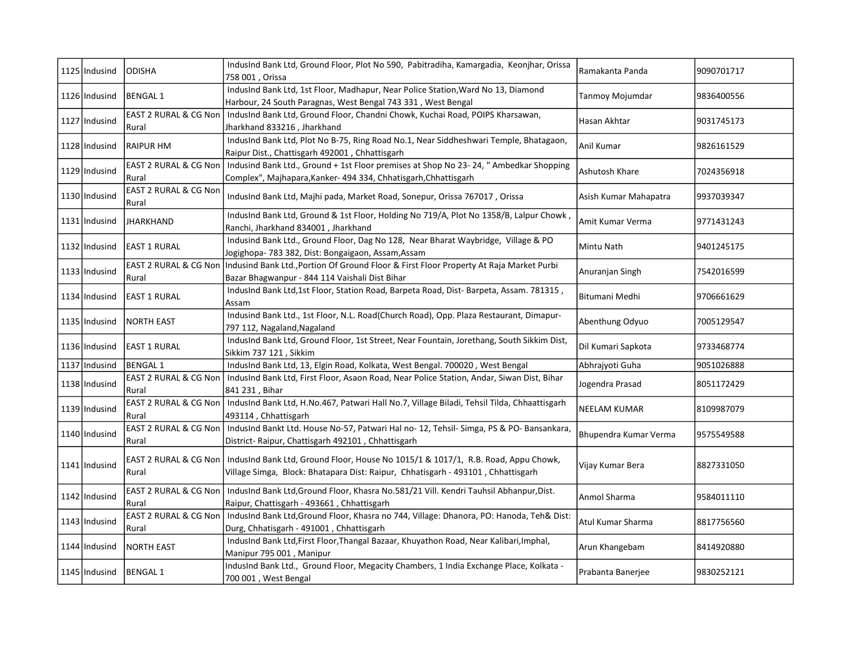| 1125 Indusind   | <b>ODISHA</b>                  | IndusInd Bank Ltd, Ground Floor, Plot No 590, Pabitradiha, Kamargadia, Keonjhar, Orissa<br>758 001, Orissa                                                                                    | Ramakanta Panda       | 9090701717 |
|-----------------|--------------------------------|-----------------------------------------------------------------------------------------------------------------------------------------------------------------------------------------------|-----------------------|------------|
| 1126 Indusind   | <b>BENGAL 1</b>                | IndusInd Bank Ltd, 1st Floor, Madhapur, Near Police Station, Ward No 13, Diamond<br>Harbour, 24 South Paragnas, West Bengal 743 331, West Bengal                                              | Tanmoy Mojumdar       | 9836400556 |
| 1127 Indusind   | Rural                          | EAST 2 RURAL & CG Non   IndusInd Bank Ltd, Ground Floor, Chandni Chowk, Kuchai Road, POIPS Kharsawan,<br>Jharkhand 833216, Jharkhand                                                          | Hasan Akhtar          | 9031745173 |
| 1128 Indusind   | <b>RAIPUR HM</b>               | IndusInd Bank Ltd, Plot No B-75, Ring Road No.1, Near Siddheshwari Temple, Bhatagaon,<br>Raipur Dist., Chattisgarh 492001, Chhattisgarh                                                       | Anil Kumar            | 9826161529 |
| 1129   Indusind | EAST 2 RURAL & CG Non<br>Rural | Indusind Bank Ltd., Ground + 1st Floor premises at Shop No 23-24, " Ambedkar Shopping<br>Complex", Majhapara, Kanker- 494 334, Chhatisgarh, Chhattisgarh                                      | Ashutosh Khare        | 7024356918 |
| 1130 Indusind   | EAST 2 RURAL & CG Non<br>Rural | IndusInd Bank Ltd, Majhi pada, Market Road, Sonepur, Orissa 767017, Orissa                                                                                                                    | Asish Kumar Mahapatra | 9937039347 |
| 1131 Indusind   | <b>JHARKHAND</b>               | IndusInd Bank Ltd, Ground & 1st Floor, Holding No 719/A, Plot No 1358/B, Lalpur Chowk,<br>Ranchi, Jharkhand 834001, Jharkhand                                                                 | Amit Kumar Verma      | 9771431243 |
| 1132   Indusind | <b>EAST 1 RURAL</b>            | Indusind Bank Ltd., Ground Floor, Dag No 128, Near Bharat Waybridge, Village & PO<br>Jogighopa- 783 382, Dist: Bongaigaon, Assam, Assam                                                       | Mintu Nath            | 9401245175 |
| 1133 Indusind   | EAST 2 RURAL & CG Non<br>Rural | Indusind Bank Ltd., Portion Of Ground Floor & First Floor Property At Raja Market Purbi<br>Bazar Bhagwanpur - 844 114 Vaishali Dist Bihar                                                     | Anuranjan Singh       | 7542016599 |
| 1134 Indusind   | EAST 1 RURAL                   | IndusInd Bank Ltd,1st Floor, Station Road, Barpeta Road, Dist-Barpeta, Assam. 781315,<br>Assam                                                                                                | Bitumani Medhi        | 9706661629 |
| 1135 Indusind   | <b>NORTH EAST</b>              | Indusind Bank Ltd., 1st Floor, N.L. Road(Church Road), Opp. Plaza Restaurant, Dimapur-<br>797 112, Nagaland, Nagaland                                                                         | Abenthung Odyuo       | 7005129547 |
| 1136 Indusind   | <b>EAST 1 RURAL</b>            | IndusInd Bank Ltd, Ground Floor, 1st Street, Near Fountain, Jorethang, South Sikkim Dist,<br>Sikkim 737 121, Sikkim                                                                           | Dil Kumari Sapkota    | 9733468774 |
| 1137 Indusind   | <b>BENGAL1</b>                 | IndusInd Bank Ltd, 13, Elgin Road, Kolkata, West Bengal. 700020, West Bengal                                                                                                                  | Abhrajyoti Guha       | 9051026888 |
| 1138 Indusind   | Rural                          | EAST 2 RURAL & CG Non   IndusInd Bank Ltd, First Floor, Asaon Road, Near Police Station, Andar, Siwan Dist, Bihar<br>841 231, Bihar                                                           | Jogendra Prasad       | 8051172429 |
| 1139 Indusind   | Rural                          | EAST 2 RURAL & CG Non   IndusInd Bank Ltd, H.No.467, Patwari Hall No.7, Village Biladi, Tehsil Tilda, Chhaattisgarh<br>493114, Chhattisgarh                                                   | <b>NEELAM KUMAR</b>   | 8109987079 |
| 1140 Indusind   | Rural                          | EAST 2 RURAL & CG Non   IndusInd Bankt Ltd. House No-57, Patwari Hal no-12, Tehsil-Simga, PS & PO-Bansankara,<br>District- Raipur, Chattisgarh 492101, Chhattisgarh                           | Bhupendra Kumar Verma | 9575549588 |
| 1141 Indusind   | Rural                          | EAST 2 RURAL & CG Non   IndusInd Bank Ltd, Ground Floor, House No 1015/1 & 1017/1, R.B. Road, Appu Chowk,<br>Village Simga, Block: Bhatapara Dist: Raipur, Chhatisgarh - 493101, Chhattisgarh | Vijay Kumar Bera      | 8827331050 |
| 1142 Indusind   | Rural                          | EAST 2 RURAL & CG Non   IndusInd Bank Ltd, Ground Floor, Khasra No.581/21 Vill. Kendri Tauhsil Abhanpur, Dist.<br>Raipur, Chattisgarh - 493661, Chhattisgarh                                  | Anmol Sharma          | 9584011110 |
| 1143 Indusind   | Rural                          | EAST 2 RURAL & CG Non   IndusInd Bank Ltd, Ground Floor, Khasra no 744, Village: Dhanora, PO: Hanoda, Teh& Dist:<br>Durg, Chhatisgarh - 491001, Chhattisgarh                                  | Atul Kumar Sharma     | 8817756560 |
| 1144 Indusind   | <b>NORTH EAST</b>              | IndusInd Bank Ltd, First Floor, Thangal Bazaar, Khuyathon Road, Near Kalibari, Imphal,<br>Manipur 795 001, Manipur                                                                            | Arun Khangebam        | 8414920880 |
| 1145 Indusind   | <b>BENGAL1</b>                 | IndusInd Bank Ltd., Ground Floor, Megacity Chambers, 1 India Exchange Place, Kolkata -<br>700 001, West Bengal                                                                                | Prabanta Banerjee     | 9830252121 |